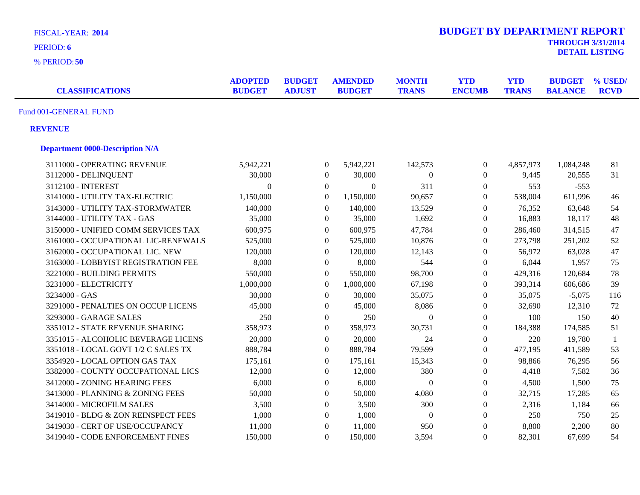| <b>FISCAL-YEAR: 2014</b><br>PERIOD: 6<br>% PERIOD: 50 |                                 |                                |                  |                                 |                              | <b>BUDGET BY DEPARTMENT REPORT</b> |                            | <b>THROUGH 3/31/2014</b>        | <b>DETAIL LISTING</b>  |
|-------------------------------------------------------|---------------------------------|--------------------------------|------------------|---------------------------------|------------------------------|------------------------------------|----------------------------|---------------------------------|------------------------|
| <b>CLASSIFICATIONS</b>                                | <b>ADOPTED</b><br><b>BUDGET</b> | <b>BUDGET</b><br><b>ADJUST</b> |                  | <b>AMENDED</b><br><b>BUDGET</b> | <b>MONTH</b><br><b>TRANS</b> | <b>YTD</b><br><b>ENCUMB</b>        | <b>YTD</b><br><b>TRANS</b> | <b>BUDGET</b><br><b>BALANCE</b> | % USED/<br><b>RCVD</b> |
| Fund 001-GENERAL FUND                                 |                                 |                                |                  |                                 |                              |                                    |                            |                                 |                        |
| <b>REVENUE</b>                                        |                                 |                                |                  |                                 |                              |                                    |                            |                                 |                        |
| <b>Department 0000-Description N/A</b>                |                                 |                                |                  |                                 |                              |                                    |                            |                                 |                        |
| 3111000 - OPERATING REVENUE                           | 5,942,221                       |                                | $\boldsymbol{0}$ | 5,942,221                       | 142,573                      | $\boldsymbol{0}$                   | 4,857,973                  | 1,084,248                       | 81                     |
| 3112000 - DELINQUENT                                  | 30,000                          |                                | $\boldsymbol{0}$ | 30,000                          | $\overline{0}$               | $\boldsymbol{0}$                   | 9,445                      | 20,555                          | 31                     |
| 3112100 - INTEREST                                    | $\overline{0}$                  |                                | $\boldsymbol{0}$ | $\Omega$                        | 311                          | $\boldsymbol{0}$                   | 553                        | $-553$                          |                        |
| 3141000 - UTILITY TAX-ELECTRIC                        | 1,150,000                       |                                | $\boldsymbol{0}$ | 1,150,000                       | 90,657                       | $\boldsymbol{0}$                   | 538,004                    | 611,996                         | 46                     |
| 3143000 - UTILITY TAX-STORMWATER                      | 140,000                         |                                | $\boldsymbol{0}$ | 140,000                         | 13,529                       | $\boldsymbol{0}$                   | 76,352                     | 63,648                          | 54                     |
| 3144000 - UTILITY TAX - GAS                           | 35,000                          |                                | $\boldsymbol{0}$ | 35,000                          | 1,692                        | $\boldsymbol{0}$                   | 16,883                     | 18,117                          | 48                     |
| 3150000 - UNIFIED COMM SERVICES TAX                   | 600,975                         |                                | $\boldsymbol{0}$ | 600,975                         | 47,784                       | $\boldsymbol{0}$                   | 286,460                    | 314,515                         | 47                     |
| 3161000 - OCCUPATIONAL LIC-RENEWALS                   | 525,000                         |                                | $\overline{0}$   | 525,000                         | 10,876                       | $\boldsymbol{0}$                   | 273,798                    | 251,202                         | 52                     |
| 3162000 - OCCUPATIONAL LIC. NEW                       | 120,000                         |                                | $\overline{0}$   | 120,000                         | 12,143                       | $\boldsymbol{0}$                   | 56,972                     | 63,028                          | 47                     |
| 3163000 - LOBBYIST REGISTRATION FEE                   | 8,000                           |                                | $\overline{0}$   | 8,000                           | 544                          | $\boldsymbol{0}$                   | 6,044                      | 1,957                           | 75                     |
| 3221000 - BUILDING PERMITS                            | 550,000                         |                                | $\boldsymbol{0}$ | 550,000                         | 98,700                       | $\boldsymbol{0}$                   | 429,316                    | 120,684                         | 78                     |
| 3231000 - ELECTRICITY                                 | 1,000,000                       |                                | $\boldsymbol{0}$ | 1,000,000                       | 67,198                       | $\boldsymbol{0}$                   | 393,314                    | 606,686                         | 39                     |
| 3234000 - GAS                                         | 30,000                          |                                | $\overline{0}$   | 30,000                          | 35,075                       | $\boldsymbol{0}$                   | 35,075                     | $-5,075$                        | 116                    |
| 3291000 - PENALTIES ON OCCUP LICENS                   | 45,000                          |                                | $\overline{0}$   | 45,000                          | 8,086                        | $\boldsymbol{0}$                   | 32,690                     | 12,310                          | 72                     |
| 3293000 - GARAGE SALES                                | 250                             |                                | $\overline{0}$   | 250                             | $\Omega$                     | $\boldsymbol{0}$                   | 100                        | 150                             | 40                     |
| 3351012 - STATE REVENUE SHARING                       | 358,973                         |                                | $\boldsymbol{0}$ | 358,973                         | 30,731                       | $\boldsymbol{0}$                   | 184,388                    | 174,585                         | 51                     |
| 3351015 - ALCOHOLIC BEVERAGE LICENS                   | 20,000                          |                                | $\overline{0}$   | 20,000                          | 24                           | $\boldsymbol{0}$                   | 220                        | 19,780                          | $\mathbf{1}$           |
| 3351018 - LOCAL GOVT 1/2 C SALES TX                   | 888,784                         |                                | $\overline{0}$   | 888,784                         | 79,599                       | $\boldsymbol{0}$                   | 477,195                    | 411,589                         | 53                     |
| 3354920 - LOCAL OPTION GAS TAX                        | 175,161                         |                                | $\overline{0}$   | 175,161                         | 15,343                       | $\boldsymbol{0}$                   | 98,866                     | 76,295                          | 56                     |
| 3382000 - COUNTY OCCUPATIONAL LICS                    | 12,000                          |                                | $\overline{0}$   | 12,000                          | 380                          | $\Omega$                           | 4,418                      | 7,582                           | 36                     |
| 3412000 - ZONING HEARING FEES                         | 6,000                           |                                | $\overline{0}$   | 6,000                           | $\mathbf{0}$                 | $\boldsymbol{0}$                   | 4,500                      | 1,500                           | 75                     |
| 3413000 - PLANNING & ZONING FEES                      | 50,000                          |                                | $\overline{0}$   | 50,000                          | 4,080                        | $\boldsymbol{0}$                   | 32,715                     | 17,285                          | 65                     |
| 3414000 - MICROFILM SALES                             | 3,500                           |                                | $\overline{0}$   | 3,500                           | 300                          | $\mathbf{0}$                       | 2,316                      | 1,184                           | 66                     |
| 3419010 - BLDG & ZON REINSPECT FEES                   | 1,000                           |                                | $\boldsymbol{0}$ | 1,000                           | $\mathbf{0}$                 | $\boldsymbol{0}$                   | 250                        | 750                             | 25                     |
| 3419030 - CERT OF USE/OCCUPANCY                       | 11,000                          |                                | $\boldsymbol{0}$ | 11,000                          | 950                          | $\boldsymbol{0}$                   | 8,800                      | 2,200                           | 80                     |
| 3419040 - CODE ENFORCEMENT FINES                      | 150,000                         |                                | $\overline{0}$   | 150,000                         | 3,594                        | $\Omega$                           | 82,301                     | 67,699                          | 54                     |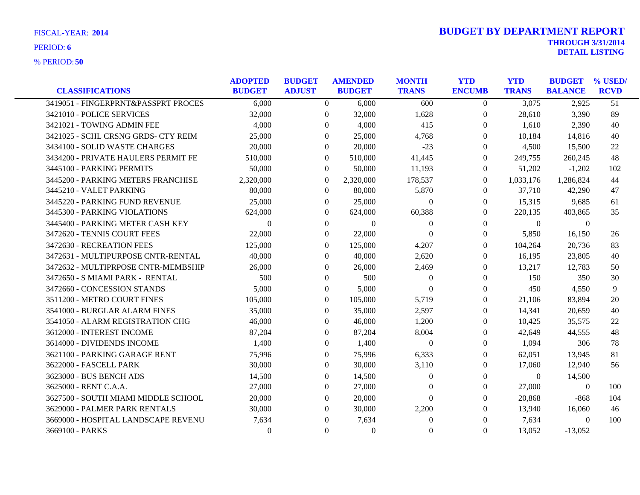|                                     | <b>ADOPTED</b> | <b>BUDGET</b> |                  | <b>AMENDED</b> | <b>MONTH</b>   | <b>YTD</b>       | <b>YTD</b>     | <b>BUDGET</b>  | % USED/     |
|-------------------------------------|----------------|---------------|------------------|----------------|----------------|------------------|----------------|----------------|-------------|
| <b>CLASSIFICATIONS</b>              | <b>BUDGET</b>  | <b>ADJUST</b> |                  | <b>BUDGET</b>  | <b>TRANS</b>   | <b>ENCUMB</b>    | <b>TRANS</b>   | <b>BALANCE</b> | <b>RCVD</b> |
| 3419051 - FINGERPRNT&PASSPRT PROCES | 6,000          |               | $\Omega$         | 6,000          | 600            | $\theta$         | 3,075          | 2,925          | 51          |
| 3421010 - POLICE SERVICES           | 32,000         |               | $\overline{0}$   | 32,000         | 1,628          | $\boldsymbol{0}$ | 28,610         | 3,390          | 89          |
| 3421021 - TOWING ADMIN FEE          | 4,000          |               | $\theta$         | 4,000          | 415            | $\overline{0}$   | 1,610          | 2,390          | 40          |
| 3421025 - SCHL CRSNG GRDS- CTY REIM | 25,000         |               | $\Omega$         | 25,000         | 4,768          | $\Omega$         | 10,184         | 14,816         | 40          |
| 3434100 - SOLID WASTE CHARGES       | 20,000         |               | $\Omega$         | 20,000         | $-23$          | $\Omega$         | 4,500          | 15,500         | 22          |
| 3434200 - PRIVATE HAULERS PERMIT FE | 510,000        |               | $\Omega$         | 510,000        | 41,445         | $\Omega$         | 249,755        | 260,245        | 48          |
| 3445100 - PARKING PERMITS           | 50,000         |               | $\Omega$         | 50,000         | 11,193         | $\Omega$         | 51,202         | $-1,202$       | 102         |
| 3445200 - PARKING METERS FRANCHISE  | 2,320,000      |               | $\theta$         | 2,320,000      | 178,537        | $\overline{0}$   | 1,033,176      | 1,286,824      | 44          |
| 3445210 - VALET PARKING             | 80,000         |               | $\overline{0}$   | 80,000         | 5,870          | $\overline{0}$   | 37,710         | 42,290         | 47          |
| 3445220 - PARKING FUND REVENUE      | 25,000         |               | $\theta$         | 25,000         | $\overline{0}$ | $\Omega$         | 15,315         | 9,685          | 61          |
| 3445300 - PARKING VIOLATIONS        | 624,000        |               | 0                | 624,000        | 60,388         | $\Omega$         | 220,135        | 403,865        | 35          |
| 3445400 - PARKING METER CASH KEY    | $\Omega$       |               | $\Omega$         | $\Omega$       | $\theta$       | $\boldsymbol{0}$ | $\Omega$       | $\overline{0}$ |             |
| 3472620 - TENNIS COURT FEES         | 22,000         |               | $\overline{0}$   | 22,000         | $\theta$       | $\theta$         | 5,850          | 16,150         | 26          |
| 3472630 - RECREATION FEES           | 125,000        |               | $\Omega$         | 125,000        | 4,207          | $\Omega$         | 104,264        | 20,736         | 83          |
| 3472631 - MULTIPURPOSE CNTR-RENTAL  | 40,000         |               | $\Omega$         | 40,000         | 2,620          | $\Omega$         | 16,195         | 23,805         | 40          |
| 3472632 - MULTIPRPOSE CNTR-MEMBSHIP | 26,000         |               | $\Omega$         | 26,000         | 2,469          | $\mathbf{0}$     | 13,217         | 12.783         | 50          |
| 3472650 - S MIAMI PARK - RENTAL     | 500            |               | $\Omega$         | 500            | $\overline{0}$ | $\overline{0}$   | 150            | 350            | 30          |
| 3472660 - CONCESSION STANDS         | 5,000          |               | $\overline{0}$   | 5,000          | $\theta$       | $\mathbf{0}$     | 450            | 4,550          | 9           |
| 3511200 - METRO COURT FINES         | 105,000        |               | $\Omega$         | 105,000        | 5,719          | $\Omega$         | 21,106         | 83,894         | 20          |
| 3541000 - BURGLAR ALARM FINES       | 35,000         |               | $\Omega$         | 35,000         | 2,597          | $\mathbf{0}$     | 14,341         | 20,659         | 40          |
| 3541050 - ALARM REGISTRATION CHG    | 46,000         |               | $\Omega$         | 46,000         | 1,200          | $\overline{0}$   | 10,425         | 35,575         | 22          |
| 3612000 - INTEREST INCOME           | 87,204         |               | $\Omega$         | 87,204         | 8,004          | $\Omega$         | 42,649         | 44.555         | 48          |
| 3614000 - DIVIDENDS INCOME          | 1,400          |               | $\Omega$         | 1,400          | $\overline{0}$ | $\mathbf{0}$     | 1,094          | 306            | 78          |
| 3621100 - PARKING GARAGE RENT       | 75,996         |               | $\Omega$         | 75,996         | 6,333          | $\mathbf{0}$     | 62,051         | 13,945         | 81          |
| 3622000 - FASCELL PARK              | 30,000         |               | 0                | 30,000         | 3,110          | $\Omega$         | 17,060         | 12,940         | 56          |
| 3623000 - BUS BENCH ADS             | 14,500         |               | $\Omega$         | 14,500         | $\theta$       | $\mathbf{0}$     | $\overline{0}$ | 14,500         |             |
| 3625000 - RENT C.A.A.               | 27,000         |               | $\Omega$         | 27,000         | $\Omega$       | $\mathbf{0}$     | 27,000         | $\theta$       | 100         |
| 3627500 - SOUTH MIAMI MIDDLE SCHOOL | 20,000         |               | $\Omega$         | 20,000         | $\Omega$       | $\mathbf{0}$     | 20,868         | $-868$         | 104         |
| 3629000 - PALMER PARK RENTALS       | 30,000         |               | $\Omega$         | 30,000         | 2,200          | $\Omega$         | 13,940         | 16,060         | 46          |
| 3669000 - HOSPITAL LANDSCAPE REVENU | 7,634          |               | $\Omega$         | 7,634          | $\theta$       | $\mathbf{0}$     | 7,634          | $\theta$       | 100         |
| 3669100 - PARKS                     | $\Omega$       |               | $\boldsymbol{0}$ | $\mathbf{0}$   | $\theta$       | $\boldsymbol{0}$ | 13,052         | $-13,052$      |             |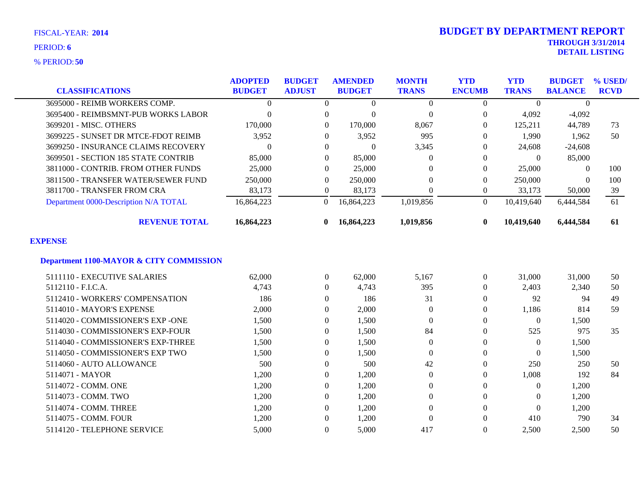**50** % PERIOD:

| <b>CLASSIFICATIONS</b>                             | <b>ADOPTED</b><br><b>BUDGET</b> | <b>BUDGET</b><br><b>ADJUST</b> | <b>AMENDED</b><br><b>BUDGET</b> | <b>MONTH</b><br><b>TRANS</b> | <b>YTD</b><br><b>ENCUMB</b> | <b>YTD</b><br><b>TRANS</b> | <b>BUDGET</b><br><b>BALANCE</b> | % USED/<br><b>RCVD</b> |
|----------------------------------------------------|---------------------------------|--------------------------------|---------------------------------|------------------------------|-----------------------------|----------------------------|---------------------------------|------------------------|
| 3695000 - REIMB WORKERS COMP.                      | $\Omega$                        | $\theta$                       | $\Omega$                        | $\boldsymbol{0}$             | $\Omega$                    | $\theta$                   | $\Omega$                        |                        |
|                                                    |                                 |                                |                                 |                              |                             |                            |                                 |                        |
| 3695400 - REIMBSMNT-PUB WORKS LABOR                | $\theta$                        | $\theta$                       | $\Omega$                        | $\overline{0}$               | $\Omega$                    | 4,092                      | $-4,092$                        |                        |
| 3699201 - MISC. OTHERS                             | 170,000                         | $\theta$                       | 170,000                         | 8,067                        | $\Omega$                    | 125,211                    | 44,789                          | 73                     |
| 3699225 - SUNSET DR MTCE-FDOT REIMB                | 3,952                           | $\Omega$                       | 3,952                           | 995                          | $\Omega$                    | 1,990                      | 1,962                           | 50                     |
| 3699250 - INSURANCE CLAIMS RECOVERY                | $\theta$                        | $\Omega$                       | $\Omega$                        | 3,345                        | 0                           | 24,608                     | $-24,608$                       |                        |
| 3699501 - SECTION 185 STATE CONTRIB                | 85,000                          | $\Omega$                       | 85,000                          | $\theta$                     | $\Omega$                    | $\theta$                   | 85,000                          |                        |
| 3811000 - CONTRIB. FROM OTHER FUNDS                | 25,000                          | $\theta$                       | 25,000                          | 0                            | $\Omega$                    | 25,000                     | $\Omega$                        | 100                    |
| 3811500 - TRANSFER WATER/SEWER FUND                | 250,000                         | $\Omega$                       | 250,000                         | $\Omega$                     | $\Omega$                    | 250,000                    | $\theta$                        | 100                    |
| 3811700 - TRANSFER FROM CRA                        | 83,173                          | $\overline{0}$                 | 83,173                          | $\mathbf{0}$                 | $\overline{0}$              | 33,173                     | 50,000                          | 39                     |
| Department 0000-Description N/A TOTAL              | 16,864,223                      | $\overline{0}$                 | 16,864,223                      | 1,019,856                    | $\Omega$                    | 10,419,640                 | 6,444,584                       | 61                     |
| <b>REVENUE TOTAL</b>                               | 16,864,223                      | $\mathbf{0}$                   | 16,864,223                      | 1,019,856                    | $\mathbf{0}$                | 10,419,640                 | 6,444,584                       | 61                     |
| <b>EXPENSE</b>                                     |                                 |                                |                                 |                              |                             |                            |                                 |                        |
| <b>Department 1100-MAYOR &amp; CITY COMMISSION</b> |                                 |                                |                                 |                              |                             |                            |                                 |                        |
| 5111110 - EXECUTIVE SALARIES                       | 62,000                          | $\overline{0}$                 | 62,000                          | 5,167                        | $\overline{0}$              | 31,000                     | 31,000                          | 50                     |
| 5112110 - F.I.C.A.                                 | 4,743                           | $\theta$                       | 4,743                           | 395                          | $\overline{0}$              | 2,403                      | 2,340                           | 50                     |
| 5112410 - WORKERS' COMPENSATION                    | 186                             | $\Omega$                       | 186                             | 31                           | $\Omega$                    | 92                         | 94                              | 49                     |
| 5114010 - MAYOR'S EXPENSE                          | 2,000                           | $\mathbf{0}$                   | 2,000                           | $\theta$                     | 0                           | 1,186                      | 814                             | 59                     |
| 5114020 - COMMISSIONER'S EXP -ONE                  | 1,500                           | $\Omega$                       | 1,500                           | $\mathbf{0}$                 | $\theta$                    | $\theta$                   | 1,500                           |                        |
| 5114030 - COMMISSIONER'S EXP-FOUR                  | 1,500                           | $\theta$                       | 1,500                           | 84                           | $\Omega$                    | 525                        | 975                             | 35                     |
| 5114040 - COMMISSIONER'S EXP-THREE                 | 1,500                           | $\Omega$                       | 1,500                           | $\overline{0}$               | $\Omega$                    | $\theta$                   | 1,500                           |                        |
| 5114050 - COMMISSIONER'S EXP TWO                   | 1,500                           | $\Omega$                       | 1,500                           | $\overline{0}$               | $\Omega$                    | $\Omega$                   | 1,500                           |                        |
| 5114060 - AUTO ALLOWANCE                           | 500                             | $\theta$                       | 500                             | 42                           | $\Omega$                    | 250                        | 250                             | 50                     |
| 5114071 - MAYOR                                    | 1,200                           | $\theta$                       | 1,200                           | $\Omega$                     | $\Omega$                    | 1,008                      | 192                             | 84                     |
| 5114072 - COMM. ONE                                | 1,200                           | $\overline{0}$                 | 1,200                           | $\boldsymbol{0}$             | $\Omega$                    | 0                          | 1,200                           |                        |
| 5114073 - COMM. TWO                                | 1,200                           | $\theta$                       | 1,200                           | $\overline{0}$               | $\Omega$                    | $\Omega$                   | 1,200                           |                        |
| 5114074 - COMM. THREE                              | 1,200                           | $\theta$                       | 1,200                           | $\overline{0}$               | $\Omega$                    | $\Omega$                   | 1,200                           |                        |
| 5114075 - COMM. FOUR                               | 1,200                           | $\Omega$                       | 1,200                           | $\theta$                     | $\Omega$                    | 410                        | 790                             | 34                     |
| 5114120 - TELEPHONE SERVICE                        | 5,000                           | $\Omega$                       | 5,000                           | 417                          | $\Omega$                    | 2,500                      | 2,500                           | 50                     |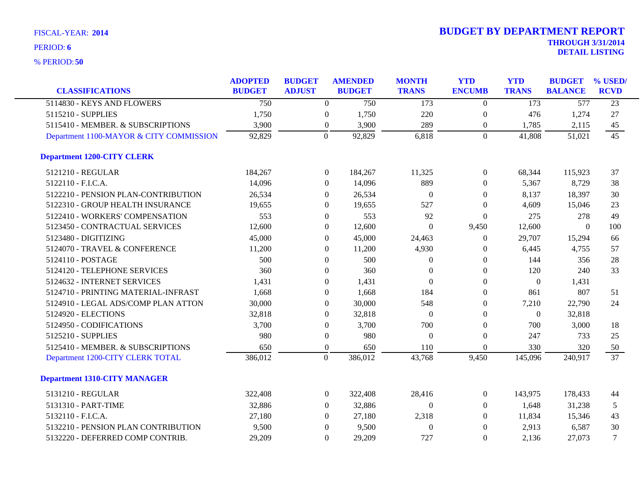| <b>CLASSIFICATIONS</b>                  | <b>ADOPTED</b><br><b>BUDGET</b> | <b>BUDGET</b><br><b>ADJUST</b> |                  | <b>AMENDED</b><br><b>BUDGET</b> | <b>MONTH</b><br><b>TRANS</b> | <b>YTD</b><br><b>ENCUMB</b> | <b>YTD</b><br><b>TRANS</b> | <b>BUDGET</b><br><b>BALANCE</b> | % USED/<br><b>RCVD</b> |
|-----------------------------------------|---------------------------------|--------------------------------|------------------|---------------------------------|------------------------------|-----------------------------|----------------------------|---------------------------------|------------------------|
| 5114830 - KEYS AND FLOWERS              | $\overline{750}$                |                                | $\Omega$         | 750                             | 173                          | $\theta$                    | 173                        | $\overline{577}$                | $\overline{23}$        |
| 5115210 - SUPPLIES                      | 1,750                           |                                | $\boldsymbol{0}$ | 1,750                           | 220                          | $\boldsymbol{0}$            | 476                        | 1,274                           | 27                     |
| 5115410 - MEMBER. & SUBSCRIPTIONS       | 3,900                           |                                | $\overline{0}$   | 3,900                           | 289                          | $\boldsymbol{0}$            | 1,785                      | 2,115                           | 45                     |
| Department 1100-MAYOR & CITY COMMISSION | 92,829                          | $\theta$                       |                  | 92,829                          | 6,818                        | $\overline{0}$              | 41,808                     | 51,021                          | 45                     |
| <b>Department 1200-CITY CLERK</b>       |                                 |                                |                  |                                 |                              |                             |                            |                                 |                        |
| 5121210 - REGULAR                       | 184,267                         |                                | $\overline{0}$   | 184,267                         | 11,325                       | $\overline{0}$              | 68,344                     | 115,923                         | 37                     |
| 5122110 - F.I.C.A.                      | 14,096                          |                                | $\boldsymbol{0}$ | 14,096                          | 889                          | $\overline{0}$              | 5,367                      | 8,729                           | 38                     |
| 5122210 - PENSION PLAN-CONTRIBUTION     | 26,534                          |                                | $\Omega$         | 26,534                          | $\overline{0}$               | $\overline{0}$              | 8,137                      | 18,397                          | 30                     |
| 5122310 - GROUP HEALTH INSURANCE        | 19,655                          |                                | $\Omega$         | 19,655                          | 527                          | $\theta$                    | 4,609                      | 15,046                          | 23                     |
| 5122410 - WORKERS' COMPENSATION         | 553                             |                                | $\overline{0}$   | 553                             | 92                           | $\Omega$                    | 275                        | 278                             | 49                     |
| 5123450 - CONTRACTUAL SERVICES          | 12,600                          |                                | 0                | 12,600                          | $\theta$                     | 9,450                       | 12,600                     | $\theta$                        | 100                    |
| 5123480 - DIGITIZING                    | 45,000                          |                                | $\overline{0}$   | 45,000                          | 24,463                       | $\overline{0}$              | 29,707                     | 15,294                          | 66                     |
| 5124070 - TRAVEL & CONFERENCE           | 11,200                          |                                | $\Omega$         | 11,200                          | 4,930                        | $\theta$                    | 6,445                      | 4,755                           | 57                     |
| 5124110 - POSTAGE                       | 500                             |                                | $\boldsymbol{0}$ | 500                             | $\theta$                     | $\overline{0}$              | 144                        | 356                             | 28                     |
| 5124120 - TELEPHONE SERVICES            | 360                             |                                | $\overline{0}$   | 360                             | $\theta$                     | $\overline{0}$              | 120                        | 240                             | 33                     |
| 5124632 - INTERNET SERVICES             | 1,431                           |                                | $\overline{0}$   | 1,431                           | $\theta$                     | $\theta$                    | $\theta$                   | 1,431                           |                        |
| 5124710 - PRINTING MATERIAL-INFRAST     | 1,668                           |                                | $\Omega$         | 1,668                           | 184                          | $\theta$                    | 861                        | 807                             | 51                     |
| 5124910 - LEGAL ADS/COMP PLAN ATTON     | 30,000                          |                                | $\overline{0}$   | 30,000                          | 548                          | $\overline{0}$              | 7,210                      | 22,790                          | 24                     |
| 5124920 - ELECTIONS                     | 32,818                          |                                | $\overline{0}$   | 32,818                          | $\Omega$                     | $\overline{0}$              | $\theta$                   | 32,818                          |                        |
| 5124950 - CODIFICATIONS                 | 3,700                           |                                | $\overline{0}$   | 3,700                           | 700                          | $\overline{0}$              | 700                        | 3,000                           | 18                     |
| 5125210 - SUPPLIES                      | 980                             |                                | 0                | 980                             | $\overline{0}$               | $\overline{0}$              | 247                        | 733                             | 25                     |
| 5125410 - MEMBER. & SUBSCRIPTIONS       | 650                             |                                | $\boldsymbol{0}$ | 650                             | 110                          | $\overline{0}$              | 330                        | 320                             | 50                     |
| Department 1200-CITY CLERK TOTAL        | 386,012                         | $\overline{0}$                 |                  | 386,012                         | 43,768                       | 9,450                       | 145,096                    | 240,917                         | $\overline{37}$        |
| <b>Department 1310-CITY MANAGER</b>     |                                 |                                |                  |                                 |                              |                             |                            |                                 |                        |
| 5131210 - REGULAR                       | 322,408                         |                                | $\overline{0}$   | 322,408                         | 28,416                       | $\overline{0}$              | 143,975                    | 178,433                         | 44                     |
| 5131310 - PART-TIME                     | 32,886                          |                                | $\overline{0}$   | 32,886                          | $\theta$                     | $\overline{0}$              | 1,648                      | 31,238                          | 5                      |
| 5132110 - F.I.C.A.                      | 27,180                          |                                | $\Omega$         | 27,180                          | 2,318                        | $\overline{0}$              | 11,834                     | 15,346                          | 43                     |
| 5132210 - PENSION PLAN CONTRIBUTION     | 9,500                           |                                | $\theta$         | 9,500                           | $\theta$                     | $\overline{0}$              | 2,913                      | 6,587                           | 30                     |
| 5132220 - DEFERRED COMP CONTRIB.        | 29,209                          |                                | $\Omega$         | 29,209                          | 727                          | $\theta$                    | 2,136                      | 27,073                          | $\tau$                 |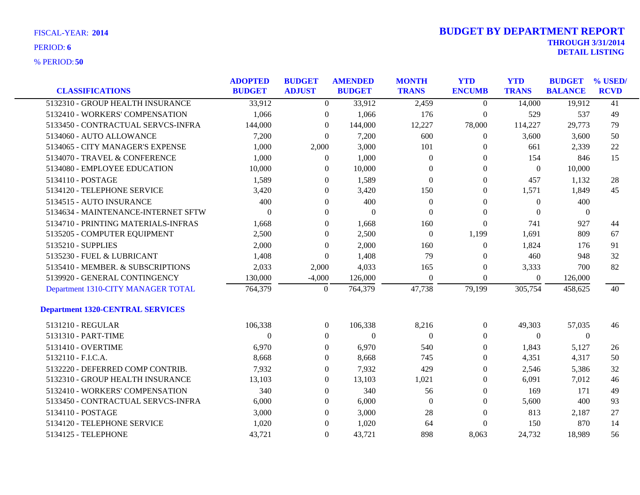| <b>CLASSIFICATIONS</b>                  | <b>ADOPTED</b><br><b>BUDGET</b> | <b>BUDGET</b><br><b>ADJUST</b> | <b>AMENDED</b><br><b>BUDGET</b> | <b>MONTH</b><br><b>TRANS</b> | <b>YTD</b><br><b>ENCUMB</b> | <b>YTD</b><br><b>TRANS</b> | <b>BUDGET</b><br><b>BALANCE</b> | % USED/<br><b>RCVD</b> |
|-----------------------------------------|---------------------------------|--------------------------------|---------------------------------|------------------------------|-----------------------------|----------------------------|---------------------------------|------------------------|
| 5132310 - GROUP HEALTH INSURANCE        | 33,912                          | $\overline{0}$                 | 33,912                          | 2,459                        | $\overline{0}$              | 14,000                     | 19,912                          | $\overline{41}$        |
| 5132410 - WORKERS' COMPENSATION         | 1,066                           | $\boldsymbol{0}$               | 1,066                           | 176                          | $\boldsymbol{0}$            | 529                        | 537                             | 49                     |
| 5133450 - CONTRACTUAL SERVCS-INFRA      | 144,000                         | $\theta$                       | 144,000                         | 12,227                       | 78,000                      | 114,227                    | 29,773                          | 79                     |
| 5134060 - AUTO ALLOWANCE                | 7,200                           | $\overline{0}$                 | 7,200                           | 600                          | $\overline{0}$              | 3,600                      | 3,600                           | 50                     |
| 5134065 - CITY MANAGER'S EXPENSE        | 1,000                           | 2,000                          | 3,000                           | 101                          | $\Omega$                    | 661                        | 2,339                           | 22                     |
| 5134070 - TRAVEL & CONFERENCE           | 1,000                           | $\mathbf{0}$                   | 1,000                           | $\mathbf{0}$                 | 0                           | 154                        | 846                             | 15                     |
| 5134080 - EMPLOYEE EDUCATION            | 10,000                          | $\theta$                       | 10,000                          | $\Omega$                     | 0                           | $\theta$                   | 10,000                          |                        |
| 5134110 - POSTAGE                       | 1,589                           | $\Omega$                       | 1,589                           | $\Omega$                     | $\overline{0}$              | 457                        | 1,132                           | 28                     |
| 5134120 - TELEPHONE SERVICE             | 3,420                           | $\theta$                       | 3,420                           | 150                          | $\overline{0}$              | 1,571                      | 1,849                           | 45                     |
| 5134515 - AUTO INSURANCE                | 400                             | $\overline{0}$                 | 400                             | $\mathbf{0}$                 | $\boldsymbol{0}$            | $\theta$                   | 400                             |                        |
| 5134634 - MAINTENANCE-INTERNET SFTW     | $\mathbf{0}$                    | $\overline{0}$                 | $\theta$                        | $\mathbf{0}$                 | $\theta$                    | $\Omega$                   | $\theta$                        |                        |
| 5134710 - PRINTING MATERIALS-INFRAS     | 1,668                           | $\Omega$                       | 1,668                           | 160                          | $\mathbf{0}$                | 741                        | 927                             | 44                     |
| 5135205 - COMPUTER EQUIPMENT            | 2,500                           | $\Omega$                       | 2,500                           | $\overline{0}$               | 1,199                       | 1,691                      | 809                             | 67                     |
| 5135210 - SUPPLIES                      | 2,000                           | $\mathbf{0}$                   | 2,000                           | 160                          | $\mathbf{0}$                | 1,824                      | 176                             | 91                     |
| 5135230 - FUEL & LUBRICANT              | 1,408                           | $\Omega$                       | 1,408                           | 79                           | 0                           | 460                        | 948                             | 32                     |
| 5135410 - MEMBER. & SUBSCRIPTIONS       | 2,033                           | 2,000                          | 4,033                           | 165                          | $\overline{0}$              | 3,333                      | 700                             | 82                     |
| 5139920 - GENERAL CONTINGENCY           | 130,000                         | $-4,000$                       | 126,000                         | $\Omega$                     | $\overline{0}$              | $\Omega$                   | 126,000                         |                        |
| Department 1310-CITY MANAGER TOTAL      | 764,379                         | $\overline{0}$                 | 764,379                         | 47,738                       | 79,199                      | 305,754                    | 458,625                         | 40                     |
| <b>Department 1320-CENTRAL SERVICES</b> |                                 |                                |                                 |                              |                             |                            |                                 |                        |
| 5131210 - REGULAR                       | 106,338                         | $\overline{0}$                 | 106,338                         | 8,216                        | $\overline{0}$              | 49,303                     | 57,035                          | 46                     |
| 5131310 - PART-TIME                     | $\Omega$                        | $\overline{0}$                 | $\mathbf{0}$                    | $\mathbf{0}$                 | $\overline{0}$              | $\Omega$                   | $\overline{0}$                  |                        |
| 5131410 - OVERTIME                      | 6,970                           | $\overline{0}$                 | 6,970                           | 540                          | $\theta$                    | 1,843                      | 5,127                           | 26                     |
| 5132110 - F.I.C.A.                      | 8,668                           | $\theta$                       | 8,668                           | 745                          | $\theta$                    | 4,351                      | 4,317                           | 50                     |
| 5132220 - DEFERRED COMP CONTRIB.        | 7,932                           | $\Omega$                       | 7,932                           | 429                          | 0                           | 2,546                      | 5,386                           | 32                     |
| 5132310 - GROUP HEALTH INSURANCE        | 13,103                          | $\overline{0}$                 | 13,103                          | 1,021                        | $\Omega$                    | 6,091                      | 7,012                           | 46                     |
| 5132410 - WORKERS' COMPENSATION         | 340                             | $\Omega$                       | 340                             | 56                           | $\overline{0}$              | 169                        | 171                             | 49                     |
| 5133450 - CONTRACTUAL SERVCS-INFRA      | 6,000                           | $\Omega$                       | 6,000                           | $\overline{0}$               | 0                           | 5,600                      | 400                             | 93                     |
| 5134110 - POSTAGE                       | 3,000                           | $\Omega$                       | 3,000                           | 28                           | $\Omega$                    | 813                        | 2,187                           | 27                     |
| 5134120 - TELEPHONE SERVICE             | 1,020                           | $\Omega$                       | 1,020                           | 64                           | $\Omega$                    | 150                        | 870                             | 14                     |
| 5134125 - TELEPHONE                     | 43.721                          | $\Omega$                       | 43,721                          | 898                          | 8,063                       | 24,732                     | 18.989                          | 56                     |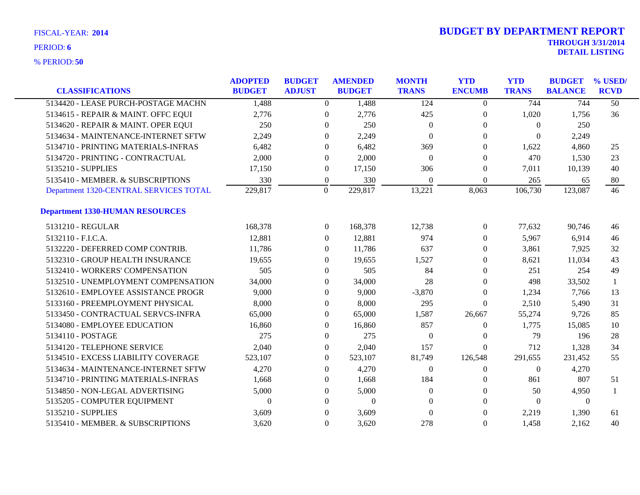| <b>CLASSIFICATIONS</b>                 | <b>ADOPTED</b><br><b>BUDGET</b> | <b>BUDGET</b><br><b>ADJUST</b> |                  | <b>AMENDED</b><br><b>BUDGET</b> | <b>MONTH</b><br><b>TRANS</b> | <b>YTD</b><br><b>ENCUMB</b> | <b>YTD</b><br><b>TRANS</b> | <b>BUDGET</b><br><b>BALANCE</b> | % USED/<br><b>RCVD</b> |
|----------------------------------------|---------------------------------|--------------------------------|------------------|---------------------------------|------------------------------|-----------------------------|----------------------------|---------------------------------|------------------------|
| 5134420 - LEASE PURCH-POSTAGE MACHN    | 1,488                           |                                |                  |                                 | 124                          |                             | 744                        | 744                             | $\overline{50}$        |
|                                        |                                 |                                | $\overline{0}$   | 1,488                           |                              | $\overline{0}$              |                            |                                 |                        |
| 5134615 - REPAIR & MAINT. OFFC EQUI    | 2,776                           |                                | $\theta$         | 2,776                           | 425                          | $\overline{0}$              | 1,020                      | 1.756                           | 36                     |
| 5134620 - REPAIR & MAINT. OPER EQUI    | 250                             |                                | $\mathbf{0}$     | 250                             | $\theta$                     | $\Omega$                    | $\theta$                   | 250                             |                        |
| 5134634 - MAINTENANCE-INTERNET SFTW    | 2,249                           |                                | $\mathbf{0}$     | 2,249                           | $\overline{0}$               | $\mathbf{0}$                | $\Omega$                   | 2,249                           |                        |
| 5134710 - PRINTING MATERIALS-INFRAS    | 6,482                           |                                | $\Omega$         | 6,482                           | 369                          | $\Omega$                    | 1,622                      | 4,860                           | 25                     |
| 5134720 - PRINTING - CONTRACTUAL       | 2,000                           |                                | $\boldsymbol{0}$ | 2,000                           | $\theta$                     | $\theta$                    | 470                        | 1,530                           | 23                     |
| 5135210 - SUPPLIES                     | 17,150                          |                                | $\boldsymbol{0}$ | 17,150                          | 306                          | $\boldsymbol{0}$            | 7,011                      | 10,139                          | 40                     |
| 5135410 - MEMBER. & SUBSCRIPTIONS      | 330                             |                                | $\theta$         | 330                             | $\Omega$                     | $\mathbf{0}$                | 265                        | 65                              | 80                     |
| Department 1320-CENTRAL SERVICES TOTAL | 229,817                         |                                | $\theta$         | 229,817                         | 13,221                       | 8,063                       | 106,730                    | 123,087                         | 46                     |
| <b>Department 1330-HUMAN RESOURCES</b> |                                 |                                |                  |                                 |                              |                             |                            |                                 |                        |
| 5131210 - REGULAR                      | 168,378                         |                                | $\overline{0}$   | 168,378                         | 12,738                       | $\boldsymbol{0}$            | 77,632                     | 90,746                          | 46                     |
| 5132110 - F.I.C.A.                     | 12,881                          |                                | $\overline{0}$   | 12,881                          | 974                          | $\overline{0}$              | 5,967                      | 6,914                           | 46                     |
| 5132220 - DEFERRED COMP CONTRIB.       | 11,786                          |                                | $\mathbf{0}$     | 11,786                          | 637                          | $\Omega$                    | 3,861                      | 7,925                           | 32                     |
| 5132310 - GROUP HEALTH INSURANCE       | 19,655                          |                                | $\Omega$         | 19,655                          | 1,527                        | $\Omega$                    | 8,621                      | 11,034                          | 43                     |
| 5132410 - WORKERS' COMPENSATION        | 505                             |                                | $\Omega$         | 505                             | 84                           | $\Omega$                    | 251                        | 254                             | 49                     |
| 5132510 - UNEMPLOYMENT COMPENSATION    | 34,000                          |                                | $\theta$         | 34,000                          | 28                           | $\mathbf{0}$                | 498                        | 33,502                          |                        |
| 5132610 - EMPLOYEE ASSISTANCE PROGR    | 9,000                           |                                | $\theta$         | 9,000                           | $-3,870$                     | $\Omega$                    | 1,234                      | 7,766                           | 13                     |
| 5133160 - PREEMPLOYMENT PHYSICAL       | 8,000                           |                                | $\mathbf{0}$     | 8,000                           | 295                          | $\Omega$                    | 2,510                      | 5,490                           | 31                     |
| 5133450 - CONTRACTUAL SERVCS-INFRA     | 65,000                          |                                | $\mathbf{0}$     | 65,000                          | 1,587                        | 26,667                      | 55,274                     | 9,726                           | 85                     |
| 5134080 - EMPLOYEE EDUCATION           | 16,860                          |                                | $\mathbf{0}$     | 16,860                          | 857                          | $\overline{0}$              | 1,775                      | 15,085                          | 10                     |
| 5134110 - POSTAGE                      | 275                             |                                | $\mathbf{0}$     | 275                             | $\theta$                     | $\mathbf{0}$                | 79                         | 196                             | 28                     |
| 5134120 - TELEPHONE SERVICE            | 2,040                           |                                | $\mathbf{0}$     | 2,040                           | 157                          | $\Omega$                    | 712                        | 1,328                           | 34                     |
| 5134510 - EXCESS LIABILITY COVERAGE    | 523,107                         |                                | $\theta$         | 523,107                         | 81,749                       | 126,548                     | 291,655                    | 231,452                         | 55                     |
| 5134634 - MAINTENANCE-INTERNET SFTW    | 4,270                           |                                | $\Omega$         | 4,270                           | $\Omega$                     | $\overline{0}$              | $\theta$                   | 4,270                           |                        |
| 5134710 - PRINTING MATERIALS-INFRAS    | 1,668                           |                                | $\Omega$         | 1,668                           | 184                          | $\Omega$                    | 861                        | 807                             | 51                     |
| 5134850 - NON-LEGAL ADVERTISING        | 5,000                           |                                | $\mathbf{0}$     | 5,000                           | $\theta$                     | $\theta$                    | 50                         | 4,950                           |                        |
| 5135205 - COMPUTER EQUIPMENT           | $\theta$                        |                                | $\mathbf{0}$     | $\boldsymbol{0}$                | $\Omega$                     | $\Omega$                    | $\Omega$                   | $\theta$                        |                        |
| 5135210 - SUPPLIES                     | 3,609                           |                                | $\mathbf{0}$     | 3,609                           | $\mathbf{0}$                 | $\Omega$                    | 2,219                      | 1,390                           | 61                     |
| 5135410 - MEMBER. & SUBSCRIPTIONS      | 3,620                           |                                | $\Omega$         | 3,620                           | 278                          | $\Omega$                    | 1,458                      | 2,162                           | 40                     |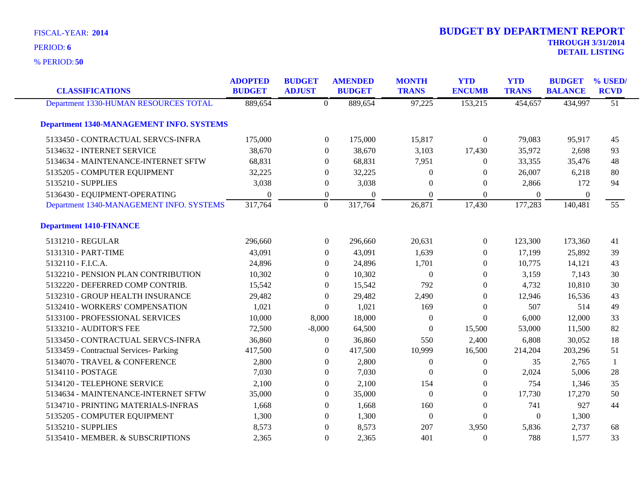**50** % PERIOD:

| <b>CLASSIFICATIONS</b>                          | <b>ADOPTED</b><br><b>BUDGET</b> | <b>BUDGET</b><br><b>ADJUST</b> |                  | <b>AMENDED</b><br><b>BUDGET</b> | <b>MONTH</b><br><b>TRANS</b> | <b>YTD</b><br><b>ENCUMB</b> | <b>YTD</b><br><b>TRANS</b> | <b>BUDGET</b><br><b>BALANCE</b> | % USED/<br><b>RCVD</b> |
|-------------------------------------------------|---------------------------------|--------------------------------|------------------|---------------------------------|------------------------------|-----------------------------|----------------------------|---------------------------------|------------------------|
| Department 1330-HUMAN RESOURCES TOTAL           | 889,654                         |                                | $\overline{0}$   | 889,654                         | 97,225                       | 153,215                     | 454,657                    | 434,997                         | $\overline{51}$        |
| <b>Department 1340-MANAGEMENT INFO. SYSTEMS</b> |                                 |                                |                  |                                 |                              |                             |                            |                                 |                        |
| 5133450 - CONTRACTUAL SERVCS-INFRA              | 175,000                         |                                | $\overline{0}$   | 175,000                         | 15,817                       | $\overline{0}$              | 79,083                     | 95,917                          | 45                     |
| 5134632 - INTERNET SERVICE                      | 38,670                          |                                | $\overline{0}$   | 38,670                          | 3,103                        | 17,430                      | 35,972                     | 2,698                           | 93                     |
| 5134634 - MAINTENANCE-INTERNET SFTW             | 68,831                          |                                | $\overline{0}$   | 68,831                          | 7,951                        | $\overline{0}$              | 33,355                     | 35,476                          | 48                     |
| 5135205 - COMPUTER EQUIPMENT                    | 32,225                          |                                | $\boldsymbol{0}$ | 32,225                          | $\overline{0}$               | $\boldsymbol{0}$            | 26,007                     | 6,218                           | 80                     |
| 5135210 - SUPPLIES                              | 3,038                           |                                | $\boldsymbol{0}$ | 3,038                           | $\theta$                     | $\boldsymbol{0}$            | 2,866                      | 172                             | 94                     |
| 5136430 - EQUIPMENT-OPERATING                   | $\theta$                        |                                | $\boldsymbol{0}$ | $\Omega$                        | $\Omega$                     | $\overline{0}$              | $\boldsymbol{0}$           | $\boldsymbol{0}$                |                        |
| Department 1340-MANAGEMENT INFO. SYSTEMS        | 317,764                         |                                | $\mathbf{0}$     | 317,764                         | 26,871                       | 17,430                      | 177,283                    | 140,481                         | 55                     |
| <b>Department 1410-FINANCE</b>                  |                                 |                                |                  |                                 |                              |                             |                            |                                 |                        |
| 5131210 - REGULAR                               | 296,660                         |                                | $\boldsymbol{0}$ | 296,660                         | 20,631                       | $\boldsymbol{0}$            | 123,300                    | 173,360                         | 41                     |
| 5131310 - PART-TIME                             | 43,091                          |                                | $\overline{0}$   | 43,091                          | 1,639                        | $\overline{0}$              | 17,199                     | 25,892                          | 39                     |
| 5132110 - F.I.C.A.                              | 24,896                          |                                | $\Omega$         | 24,896                          | 1,701                        | $\theta$                    | 10,775                     | 14,121                          | 43                     |
| 5132210 - PENSION PLAN CONTRIBUTION             | 10,302                          |                                | $\overline{0}$   | 10,302                          | $\theta$                     | $\overline{0}$              | 3,159                      | 7,143                           | 30                     |
| 5132220 - DEFERRED COMP CONTRIB.                | 15,542                          |                                | $\overline{0}$   | 15,542                          | 792                          | $\overline{0}$              | 4,732                      | 10,810                          | 30                     |
| 5132310 - GROUP HEALTH INSURANCE                | 29,482                          |                                | $\boldsymbol{0}$ | 29,482                          | 2,490                        | $\boldsymbol{0}$            | 12,946                     | 16,536                          | 43                     |
| 5132410 - WORKERS' COMPENSATION                 | 1,021                           |                                | $\overline{0}$   | 1,021                           | 169                          | $\overline{0}$              | 507                        | 514                             | 49                     |
| 5133100 - PROFESSIONAL SERVICES                 | 10,000                          | 8,000                          |                  | 18,000                          | $\theta$                     | $\overline{0}$              | 6,000                      | 12,000                          | 33                     |
| 5133210 - AUDITOR'S FEE                         | 72,500                          | $-8,000$                       |                  | 64,500                          | $\Omega$                     | 15,500                      | 53,000                     | 11,500                          | 82                     |
| 5133450 - CONTRACTUAL SERVCS-INFRA              | 36,860                          |                                | $\boldsymbol{0}$ | 36,860                          | 550                          | 2,400                       | 6,808                      | 30,052                          | 18                     |
| 5133459 - Contractual Services- Parking         | 417,500                         |                                | $\boldsymbol{0}$ | 417,500                         | 10,999                       | 16,500                      | 214,204                    | 203,296                         | 51                     |
| 5134070 - TRAVEL & CONFERENCE                   | 2,800                           |                                | $\Omega$         | 2,800                           | $\Omega$                     | $\overline{0}$              | 35                         | 2,765                           | $\mathbf{1}$           |
| 5134110 - POSTAGE                               | 7,030                           |                                | $\overline{0}$   | 7,030                           | $\Omega$                     | $\overline{0}$              | 2,024                      | 5,006                           | 28                     |
| 5134120 - TELEPHONE SERVICE                     | 2,100                           |                                | $\overline{0}$   | 2,100                           | 154                          | $\overline{0}$              | 754                        | 1,346                           | 35                     |
| 5134634 - MAINTENANCE-INTERNET SFTW             | 35,000                          |                                | $\overline{0}$   | 35,000                          | $\boldsymbol{0}$             | $\boldsymbol{0}$            | 17,730                     | 17,270                          | 50                     |
| 5134710 - PRINTING MATERIALS-INFRAS             | 1,668                           |                                | $\overline{0}$   | 1,668                           | 160                          | $\overline{0}$              | 741                        | 927                             | 44                     |
| 5135205 - COMPUTER EQUIPMENT                    | 1,300                           |                                | $\boldsymbol{0}$ | 1,300                           | $\theta$                     | $\boldsymbol{0}$            | $\overline{0}$             | 1,300                           |                        |
| 5135210 - SUPPLIES                              | 8,573                           |                                | $\overline{0}$   | 8,573                           | 207                          | 3,950                       | 5,836                      | 2,737                           | 68                     |
| 5135410 - MEMBER. & SUBSCRIPTIONS               | 2,365                           |                                | $\boldsymbol{0}$ | 2,365                           | 401                          | $\theta$                    | 788                        | 1,577                           | 33                     |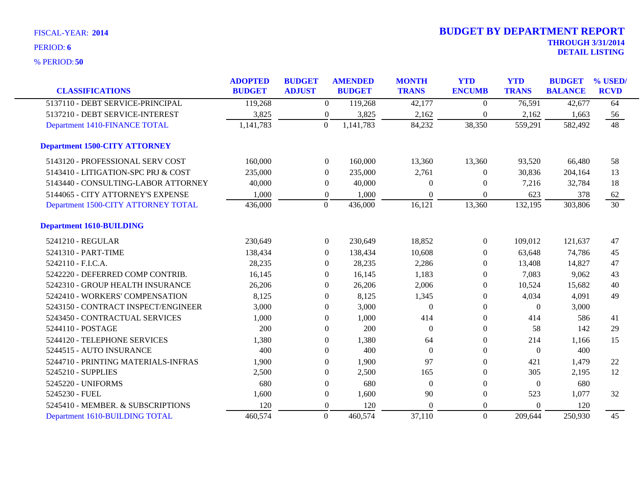| <b>CLASSIFICATIONS</b>               | <b>ADOPTED</b><br><b>BUDGET</b> | <b>BUDGET</b><br><b>ADJUST</b> | <b>AMENDED</b><br><b>BUDGET</b> | <b>MONTH</b><br><b>TRANS</b> | <b>YTD</b><br><b>ENCUMB</b> | <b>YTD</b><br><b>TRANS</b> | <b>BUDGET</b><br><b>BALANCE</b> | % USED/<br><b>RCVD</b> |
|--------------------------------------|---------------------------------|--------------------------------|---------------------------------|------------------------------|-----------------------------|----------------------------|---------------------------------|------------------------|
|                                      |                                 |                                |                                 |                              |                             |                            |                                 |                        |
| 5137110 - DEBT SERVICE-PRINCIPAL     | 119,268                         | $\boldsymbol{0}$               | 119,268                         | 42,177                       | $\theta$                    | 76,591                     | 42,677                          | 64                     |
| 5137210 - DEBT SERVICE-INTEREST      | 3,825                           | $\boldsymbol{0}$               | 3,825                           | 2,162                        | $\overline{0}$              | 2,162                      | 1,663                           | 56                     |
| Department 1410-FINANCE TOTAL        | 1,141,783                       | $\Omega$                       | 1,141,783                       | 84,232                       | 38,350                      | 559,291                    | 582,492                         | 48                     |
| <b>Department 1500-CITY ATTORNEY</b> |                                 |                                |                                 |                              |                             |                            |                                 |                        |
| 5143120 - PROFESSIONAL SERV COST     | 160,000                         | $\overline{0}$                 | 160,000                         | 13,360                       | 13,360                      | 93,520                     | 66,480                          | 58                     |
| 5143410 - LITIGATION-SPC PRJ & COST  | 235,000                         | $\Omega$                       | 235,000                         | 2,761                        | $\Omega$                    | 30,836                     | 204,164                         | 13                     |
| 5143440 - CONSULTING-LABOR ATTORNEY  | 40,000                          | $\overline{0}$                 | 40,000                          | $\Omega$                     | $\theta$                    | 7,216                      | 32,784                          | 18                     |
| 5144065 - CITY ATTORNEY'S EXPENSE    | 1,000                           | $\overline{0}$                 | 1,000                           | $\theta$                     | $\mathbf{0}$                | 623                        | 378                             | 62                     |
| Department 1500-CITY ATTORNEY TOTAL  | 436,000                         | $\boldsymbol{0}$               | 436,000                         | 16,121                       | 13,360                      | 132,195                    | 303,806                         | $\overline{30}$        |
| <b>Department 1610-BUILDING</b>      |                                 |                                |                                 |                              |                             |                            |                                 |                        |
| 5241210 - REGULAR                    | 230,649                         | $\boldsymbol{0}$               | 230,649                         | 18,852                       | $\boldsymbol{0}$            | 109,012                    | 121,637                         | 47                     |
| 5241310 - PART-TIME                  | 138,434                         | $\theta$                       | 138,434                         | 10,608                       | 0                           | 63,648                     | 74,786                          | 45                     |
| 5242110 - F.I.C.A.                   | 28,235                          | $\Omega$                       | 28,235                          | 2,286                        | $\Omega$                    | 13,408                     | 14,827                          | 47                     |
| 5242220 - DEFERRED COMP CONTRIB.     | 16,145                          | $\Omega$                       | 16,145                          | 1,183                        | $\Omega$                    | 7,083                      | 9,062                           | 43                     |
| 5242310 - GROUP HEALTH INSURANCE     | 26,206                          | $\theta$                       | 26,206                          | 2,006                        | $\Omega$                    | 10,524                     | 15,682                          | 40                     |
| 5242410 - WORKERS' COMPENSATION      | 8,125                           | $\theta$                       | 8,125                           | 1,345                        | $\overline{0}$              | 4,034                      | 4,091                           | 49                     |
| 5243150 - CONTRACT INSPECT/ENGINEER  | 3,000                           | $\theta$                       | 3,000                           | $\theta$                     | $\theta$                    | $\mathbf{0}$               | 3,000                           |                        |
| 5243450 - CONTRACTUAL SERVICES       | 1,000                           | $\overline{0}$                 | 1,000                           | 414                          | $\overline{0}$              | 414                        | 586                             | 41                     |
| 5244110 - POSTAGE                    | 200                             | $\theta$                       | 200                             | $\theta$                     | $\overline{0}$              | 58                         | 142                             | 29                     |
| 5244120 - TELEPHONE SERVICES         | 1,380                           | $\overline{0}$                 | 1,380                           | 64                           | 0                           | 214                        | 1,166                           | 15                     |
| 5244515 - AUTO INSURANCE             | 400                             | $\overline{0}$                 | 400                             | $\Omega$                     | $\theta$                    | $\mathbf{0}$               | 400                             |                        |
| 5244710 - PRINTING MATERIALS-INFRAS  | 1,900                           | $\theta$                       | 1,900                           | 97                           | 0                           | 421                        | 1,479                           | 22                     |
| 5245210 - SUPPLIES                   | 2,500                           | $\theta$                       | 2,500                           | 165                          | $\Omega$                    | 305                        | 2,195                           | 12                     |
| 5245220 - UNIFORMS                   | 680                             | $\mathbf{0}$                   | 680                             | $\theta$                     | $\theta$                    | $\boldsymbol{0}$           | 680                             |                        |
| 5245230 - FUEL                       | 1,600                           | $\overline{0}$                 | 1,600                           | 90                           | 0                           | 523                        | 1,077                           | 32                     |
| 5245410 - MEMBER. & SUBSCRIPTIONS    | 120                             | $\overline{0}$                 | 120                             | $\Omega$                     | 0                           | $\mathbf{0}$               | 120                             |                        |
| Department 1610-BUILDING TOTAL       | 460,574                         | $\mathbf{0}$                   | 460,574                         | 37,110                       | $\overline{0}$              | 209,644                    | 250,930                         | 45                     |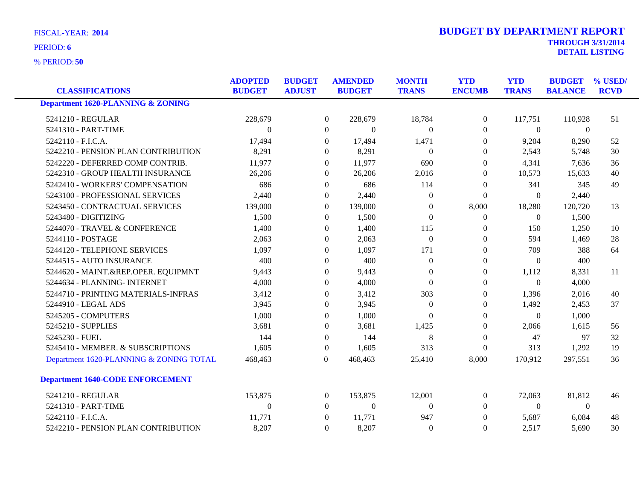**50** % PERIOD:

| <b>DETAIL LISTING</b> |  |  |
|-----------------------|--|--|
|                       |  |  |

| <b>CLASSIFICATIONS</b>                       | <b>ADOPTED</b><br><b>BUDGET</b> | <b>BUDGET</b><br><b>ADJUST</b> | <b>AMENDED</b><br><b>BUDGET</b> |              | <b>YTD</b><br><b>MONTH</b><br><b>ENCUMB</b><br><b>TRANS</b> |                  | <b>YTD</b><br><b>TRANS</b> | <b>BUDGET</b><br><b>BALANCE</b> | % USED/<br><b>RCVD</b> |
|----------------------------------------------|---------------------------------|--------------------------------|---------------------------------|--------------|-------------------------------------------------------------|------------------|----------------------------|---------------------------------|------------------------|
| <b>Department 1620-PLANNING &amp; ZONING</b> |                                 |                                |                                 |              |                                                             |                  |                            |                                 |                        |
| 5241210 - REGULAR                            | 228,679                         |                                | $\Omega$                        | 228,679      | 18,784                                                      | $\mathbf{0}$     | 117,751                    | 110,928                         | 51                     |
| 5241310 - PART-TIME                          | $\Omega$                        |                                | $\Omega$                        | $\mathbf{0}$ | $\Omega$                                                    | $\mathbf{0}$     | $\boldsymbol{0}$           | $\overline{0}$                  |                        |
| 5242110 - F.I.C.A.                           | 17,494                          |                                | $\mathbf{0}$                    | 17,494       | 1,471                                                       | $\boldsymbol{0}$ | 9,204                      | 8,290                           | 52                     |
| 5242210 - PENSION PLAN CONTRIBUTION          | 8,291                           |                                | $\Omega$                        | 8,291        | $\Omega$                                                    | $\mathbf{0}$     | 2,543                      | 5,748                           | 30                     |
| 5242220 - DEFERRED COMP CONTRIB.             | 11,977                          |                                | $\Omega$                        | 11,977       | 690                                                         | $\mathbf{0}$     | 4,341                      | 7,636                           | 36                     |
| 5242310 - GROUP HEALTH INSURANCE             | 26,206                          |                                | $\Omega$                        | 26,206       | 2,016                                                       | $\Omega$         | 10,573                     | 15,633                          | 40                     |
| 5242410 - WORKERS' COMPENSATION              | 686                             |                                | $\mathbf{0}$                    | 686          | 114                                                         | $\mathbf{0}$     | 341                        | 345                             | 49                     |
| 5243100 - PROFESSIONAL SERVICES              | 2,440                           |                                | $\Omega$                        | 2,440        | $\Omega$                                                    | $\Omega$         | $\Omega$                   | 2,440                           |                        |
| 5243450 - CONTRACTUAL SERVICES               | 139,000                         |                                | $\mathbf{0}$                    | 139,000      | $\Omega$                                                    | 8,000            | 18,280                     | 120,720                         | 13                     |
| 5243480 - DIGITIZING                         | 1,500                           |                                | $\Omega$                        | 1,500        | $\Omega$                                                    | $\mathbf{0}$     | $\overline{0}$             | 1,500                           |                        |
| 5244070 - TRAVEL & CONFERENCE                | 1,400                           |                                | $\Omega$                        | 1,400        | 115                                                         | $\Omega$         | 150                        | 1,250                           | 10                     |
| 5244110 - POSTAGE                            | 2,063                           |                                | $\Omega$                        | 2,063        | $\Omega$                                                    | $\Omega$         | 594                        | 1,469                           | 28                     |
| 5244120 - TELEPHONE SERVICES                 | 1,097                           |                                | $\Omega$                        | 1,097        | 171                                                         | $\mathbf{0}$     | 709                        | 388                             | 64                     |
| 5244515 - AUTO INSURANCE                     | 400                             |                                | $\mathbf{0}$                    | 400          | $\Omega$                                                    | $\mathbf{0}$     | $\mathbf{0}$               | 400                             |                        |
| 5244620 - MAINT.&REP.OPER. EQUIPMNT          | 9,443                           |                                | $\Omega$                        | 9,443        | $\Omega$                                                    | $\mathbf{0}$     | 1,112                      | 8,331                           | 11                     |
| 5244634 - PLANNING- INTERNET                 | 4,000                           |                                | $\Omega$                        | 4,000        | $\Omega$                                                    | $\Omega$         | $\mathbf{0}$               | 4,000                           |                        |
| 5244710 - PRINTING MATERIALS-INFRAS          | 3,412                           |                                | $\mathbf{0}$                    | 3,412        | 303                                                         | $\mathbf{0}$     | 1,396                      | 2,016                           | 40                     |
| 5244910 - LEGAL ADS                          | 3,945                           |                                | $\mathbf{0}$                    | 3,945        | $\overline{0}$                                              | $\mathbf{0}$     | 1,492                      | 2,453                           | 37                     |
| 5245205 - COMPUTERS                          | 1,000                           |                                | $\Omega$                        | 1,000        | $\Omega$                                                    | $\Omega$         | $\Omega$                   | 1,000                           |                        |
| 5245210 - SUPPLIES                           | 3,681                           |                                | $\Omega$                        | 3,681        | 1,425                                                       | $\mathbf{0}$     | 2,066                      | 1,615                           | 56                     |
| 5245230 - FUEL                               | 144                             |                                | $\mathbf{0}$                    | 144          | 8                                                           | $\mathbf{0}$     | 47                         | 97                              | 32                     |
| 5245410 - MEMBER. & SUBSCRIPTIONS            | 1,605                           |                                | $\mathbf{0}$                    | 1,605        | 313                                                         | $\mathbf{0}$     | 313                        | 1,292                           | 19                     |
| Department 1620-PLANNING & ZONING TOTAL      | 468,463                         |                                | $\Omega$                        | 468,463      | 25,410                                                      | 8,000            | 170,912                    | 297,551                         | 36                     |
| <b>Department 1640-CODE ENFORCEMENT</b>      |                                 |                                |                                 |              |                                                             |                  |                            |                                 |                        |
| 5241210 - REGULAR                            | 153,875                         |                                | $\overline{0}$                  | 153,875      | 12,001                                                      | $\mathbf{0}$     | 72,063                     | 81,812                          | 46                     |
| 5241310 - PART-TIME                          | $\theta$                        |                                | $\theta$                        | $\mathbf{0}$ | $\Omega$                                                    | $\Omega$         | $\theta$                   | $\overline{0}$                  |                        |
| 5242110 - F.I.C.A.                           | 11,771                          |                                | $\Omega$                        | 11,771       | 947                                                         | $\theta$         | 5,687                      | 6,084                           | 48                     |
| 5242210 - PENSION PLAN CONTRIBUTION          | 8,207                           |                                | $\mathbf{0}$                    | 8,207        | $\Omega$                                                    | $\boldsymbol{0}$ | 2,517                      | 5,690                           | 30                     |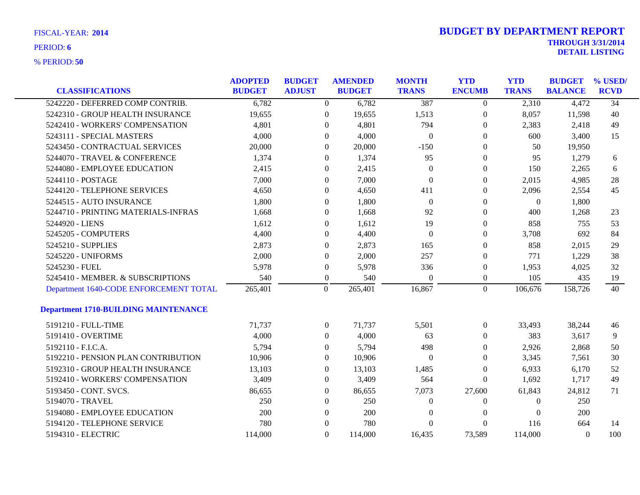| <b>CLASSIFICATIONS</b>                      | <b>ADOPTED</b><br><b>BUDGET</b> | <b>BUDGET</b><br><b>ADJUST</b> | <b>AMENDED</b><br><b>BUDGET</b> | <b>MONTH</b><br><b>TRANS</b> | <b>YTD</b><br><b>ENCUMB</b> | <b>YTD</b><br><b>TRANS</b> | <b>BUDGET</b><br><b>BALANCE</b> | % USED/<br><b>RCVD</b> |
|---------------------------------------------|---------------------------------|--------------------------------|---------------------------------|------------------------------|-----------------------------|----------------------------|---------------------------------|------------------------|
| 5242220 - DEFERRED COMP CONTRIB.            | 6,782                           |                                | 6,782<br>$\overline{0}$         | 387                          | $\overline{0}$              | 2,310                      | 4,472                           | $\overline{34}$        |
| 5242310 - GROUP HEALTH INSURANCE            | 19,655                          | $\mathbf{0}$                   | 19,655                          | 1,513                        | $\boldsymbol{0}$            | 8,057                      | 11,598                          | 40                     |
| 5242410 - WORKERS' COMPENSATION             | 4,801                           | $\overline{0}$                 | 4,801                           | 794                          | $\overline{0}$              | 2,383                      | 2,418                           | 49                     |
| 5243111 - SPECIAL MASTERS                   | 4,000                           | $\overline{0}$                 | 4,000                           | $\mathbf{0}$                 | $\overline{0}$              | 600                        | 3,400                           | 15                     |
| 5243450 - CONTRACTUAL SERVICES              | 20,000                          | $\Omega$                       | 20,000                          | $-150$                       | 0                           | 50                         | 19,950                          |                        |
| 5244070 - TRAVEL & CONFERENCE               | 1,374                           | $\overline{0}$                 | 1,374                           | 95                           | 0                           | 95                         | 1,279                           | 6                      |
| 5244080 - EMPLOYEE EDUCATION                | 2,415                           | $\overline{0}$                 | 2,415                           | $\overline{0}$               | $\overline{0}$              | 150                        | 2,265                           | 6                      |
| 5244110 - POSTAGE                           | 7,000                           | $\overline{0}$                 | 7,000                           | $\overline{0}$               | $\overline{0}$              | 2,015                      | 4,985                           | 28                     |
| 5244120 - TELEPHONE SERVICES                | 4,650                           | $\theta$                       | 4,650                           | 411                          | $\overline{0}$              | 2,096                      | 2,554                           | 45                     |
| 5244515 - AUTO INSURANCE                    | 1,800                           | $\mathbf{0}$                   | 1,800                           | $\mathbf{0}$                 | 0                           | $\boldsymbol{0}$           | 1,800                           |                        |
| 5244710 - PRINTING MATERIALS-INFRAS         | 1,668                           | $\overline{0}$                 | 1,668                           | 92                           | 0                           | 400                        | 1,268                           | 23                     |
| 5244920 - LIENS                             | 1,612                           | $\overline{0}$                 | 1,612                           | 19                           | $\overline{0}$              | 858                        | 755                             | 53                     |
| 5245205 - COMPUTERS                         | 4,400                           | $\Omega$                       | 4,400                           | $\Omega$                     | $\overline{0}$              | 3,708                      | 692                             | 84                     |
| 5245210 - SUPPLIES                          | 2,873                           | $\mathbf{0}$                   | 2,873                           | 165                          | 0                           | 858                        | 2,015                           | 29                     |
| 5245220 - UNIFORMS                          | 2,000                           | $\theta$                       | 2,000                           | 257                          | 0                           | 771                        | 1,229                           | 38                     |
| 5245230 - FUEL                              | 5,978                           | $\theta$                       | 5,978                           | 336                          | $\boldsymbol{0}$            | 1,953                      | 4,025                           | 32                     |
| 5245410 - MEMBER. & SUBSCRIPTIONS           | 540                             | $\overline{0}$                 | 540                             | $\Omega$                     | $\boldsymbol{0}$            | 105                        | 435                             | 19                     |
| Department 1640-CODE ENFORCEMENT TOTAL      | 265,401                         | $\overline{0}$                 | 265,401                         | 16,867                       | $\overline{0}$              | 106,676                    | 158,726                         | 40                     |
| <b>Department 1710-BUILDING MAINTENANCE</b> |                                 |                                |                                 |                              |                             |                            |                                 |                        |
| 5191210 - FULL-TIME                         | 71,737                          | $\overline{0}$                 | 71,737                          | 5,501                        | $\overline{0}$              | 33,493                     | 38,244                          | 46                     |
| 5191410 - OVERTIME                          | 4,000                           | $\Omega$                       | 4,000                           | 63                           | $\overline{0}$              | 383                        | 3,617                           | 9                      |
| 5192110 - F.I.C.A.                          | 5,794                           | $\overline{0}$                 | 5,794                           | 498                          | 0                           | 2,926                      | 2,868                           | 50                     |
| 5192210 - PENSION PLAN CONTRIBUTION         | 10,906                          | $\overline{0}$                 | 10,906                          | $\overline{0}$               | $\theta$                    | 3,345                      | 7,561                           | 30                     |
| 5192310 - GROUP HEALTH INSURANCE            | 13,103                          | $\Omega$                       | 13,103                          | 1,485                        | $\Omega$                    | 6,933                      | 6,170                           | 52                     |
| 5192410 - WORKERS' COMPENSATION             | 3,409                           | $\Omega$                       | 3,409                           | 564                          | $\theta$                    | 1,692                      | 1,717                           | 49                     |
| 5193450 - CONT. SVCS.                       | 86,655                          | $\overline{0}$                 | 86,655                          | 7,073                        | 27,600                      | 61,843                     | 24,812                          | 71                     |
| 5194070 - TRAVEL                            | 250                             | $\overline{0}$                 | 250                             | $\theta$                     | $\theta$                    | $\Omega$                   | 250                             |                        |
| 5194080 - EMPLOYEE EDUCATION                | 200                             | $\Omega$                       | 200                             | $\Omega$                     | $\Omega$                    | $\Omega$                   | 200                             |                        |
| 5194120 - TELEPHONE SERVICE                 | 780                             | $\Omega$                       | 780                             | $\Omega$                     | $\Omega$                    | 116                        | 664                             | 14                     |
| 5194310 - ELECTRIC                          | 114,000                         | $\Omega$                       | 114,000                         | 16,435                       | 73,589                      | 114,000                    | $\Omega$                        | 100                    |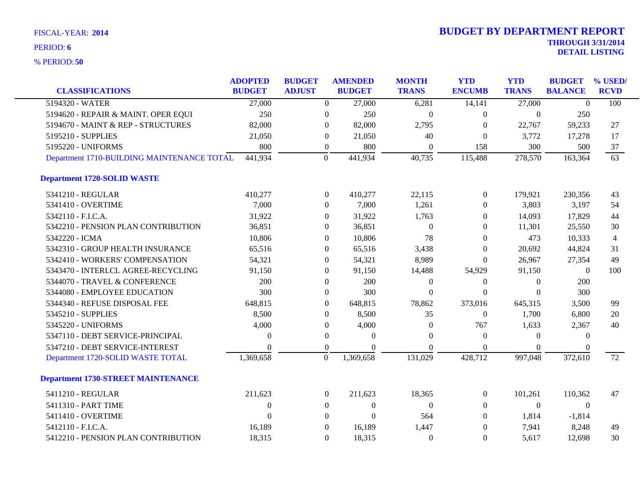| <b>CLASSIFICATIONS</b>                     | <b>ADOPTED</b><br><b>BUDGET</b> | <b>BUDGET</b><br><b>ADJUST</b> |                  | <b>AMENDED</b><br><b>BUDGET</b> | <b>MONTH</b><br><b>TRANS</b> | <b>YTD</b><br><b>ENCUMB</b> | <b>YTD</b><br><b>TRANS</b> | <b>BUDGET</b><br><b>BALANCE</b> | % USED/<br><b>RCVD</b> |
|--------------------------------------------|---------------------------------|--------------------------------|------------------|---------------------------------|------------------------------|-----------------------------|----------------------------|---------------------------------|------------------------|
| 5194320 - WATER                            | 27,000                          |                                | $\boldsymbol{0}$ | 27,000                          | 6,281                        | 14,141                      | 27,000                     | $\Omega$                        | 100                    |
| 5194620 - REPAIR & MAINT. OPER EQUI        | 250                             |                                | $\boldsymbol{0}$ | 250                             | $\boldsymbol{0}$             | $\boldsymbol{0}$            | $\mathbf{0}$               | 250                             |                        |
| 5194670 - MAINT & REP - STRUCTURES         | 82,000                          |                                | $\theta$         | 82,000                          | 2,795                        | $\theta$                    | 22,767                     | 59,233                          | 27                     |
| 5195210 - SUPPLIES                         | 21,050                          |                                | $\overline{0}$   | 21,050                          | 40                           | $\Omega$                    | 3,772                      | 17,278                          | 17                     |
| 5195220 - UNIFORMS                         | 800                             |                                | $\boldsymbol{0}$ | 800                             | $\boldsymbol{0}$             | 158                         | 300                        | 500                             | 37                     |
| Department 1710-BUILDING MAINTENANCE TOTAL | 441,934                         |                                | $\overline{0}$   | 441,934                         | 40,735                       | 115,488                     | 278,570                    | 163,364                         | 63                     |
| <b>Department 1720-SOLID WASTE</b>         |                                 |                                |                  |                                 |                              |                             |                            |                                 |                        |
| 5341210 - REGULAR                          | 410,277                         |                                | $\overline{0}$   | 410,277                         | 22,115                       | $\overline{0}$              | 179,921                    | 230,356                         | 43                     |
| 5341410 - OVERTIME                         | 7,000                           |                                | $\Omega$         | 7,000                           | 1,261                        | $\theta$                    | 3,803                      | 3,197                           | 54                     |
| 5342110 - F.I.C.A.                         | 31,922                          |                                | $\Omega$         | 31,922                          | 1,763                        | $\Omega$                    | 14,093                     | 17,829                          | 44                     |
| 5342210 - PENSION PLAN CONTRIBUTION        | 36,851                          |                                | $\boldsymbol{0}$ | 36,851                          | $\Omega$                     | $\Omega$                    | 11,301                     | 25,550                          | 30                     |
| 5342220 - ICMA                             | 10,806                          |                                | $\theta$         | 10,806                          | 78                           | $\Omega$                    | 473                        | 10,333                          | $\overline{4}$         |
| 5342310 - GROUP HEALTH INSURANCE           | 65,516                          |                                | $\Omega$         | 65,516                          | 3,438                        | $\theta$                    | 20,692                     | 44,824                          | 31                     |
| 5342410 - WORKERS' COMPENSATION            | 54,321                          |                                | $\theta$         | 54,321                          | 8,989                        | $\Omega$                    | 26,967                     | 27,354                          | 49                     |
| 5343470 - INTERLCL AGREE-RECYCLING         | 91,150                          |                                | $\theta$         | 91,150                          | 14,488                       | 54,929                      | 91,150                     | $\theta$                        | 100                    |
| 5344070 - TRAVEL & CONFERENCE              | 200                             |                                | $\boldsymbol{0}$ | 200                             | $\mathbf{0}$                 | $\boldsymbol{0}$            | $\mathbf{0}$               | 200                             |                        |
| 5344080 - EMPLOYEE EDUCATION               | 300                             |                                | $\Omega$         | 300                             | $\theta$                     | $\theta$                    | $\Omega$                   | 300                             |                        |
| 5344340 - REFUSE DISPOSAL FEE              | 648,815                         |                                | $\theta$         | 648,815                         | 78,862                       | 373,016                     | 645,315                    | 3,500                           | 99                     |
| 5345210 - SUPPLIES                         | 8,500                           |                                | $\theta$         | 8,500                           | 35                           | $\theta$                    | 1,700                      | 6,800                           | 20                     |
| 5345220 - UNIFORMS                         | 4,000                           |                                | $\boldsymbol{0}$ | 4,000                           | $\Omega$                     | 767                         | 1,633                      | 2,367                           | 40                     |
| 5347110 - DEBT SERVICE-PRINCIPAL           | $\overline{0}$                  |                                | $\boldsymbol{0}$ | $\theta$                        | $\Omega$                     | $\overline{0}$              | $\theta$                   | $\mathbf{0}$                    |                        |
| 5347210 - DEBT SERVICE-INTEREST            | $\Omega$                        |                                | $\theta$         | $\Omega$                        | $\Omega$                     | $\Omega$                    | $\Omega$                   |                                 |                        |
| Department 1720-SOLID WASTE TOTAL          | 1,369,658                       |                                | $\boldsymbol{0}$ | 1,369,658                       | 131,029                      | 428,712                     | 997,048                    | 372,610                         | 72                     |
| <b>Department 1730-STREET MAINTENANCE</b>  |                                 |                                |                  |                                 |                              |                             |                            |                                 |                        |
| 5411210 - REGULAR                          | 211,623                         |                                | $\boldsymbol{0}$ | 211,623                         | 18,365                       | $\boldsymbol{0}$            | 101,261                    | 110,362                         | 47                     |
| 5411310 - PART TIME                        | $\mathbf{0}$                    |                                | $\boldsymbol{0}$ | $\overline{0}$                  | $\Omega$                     | $\overline{0}$              | $\boldsymbol{0}$           | $\mathbf{0}$                    |                        |
| 5411410 - OVERTIME                         | $\Omega$                        |                                | $\Omega$         | $\Omega$                        | 564                          | $\Omega$                    | 1,814                      | $-1,814$                        |                        |
| 5412110 - F.I.C.A.                         | 16,189                          |                                | $\boldsymbol{0}$ | 16,189                          | 1,447                        | $\overline{0}$              | 7,941                      | 8,248                           | 49                     |
| 5412210 - PENSION PLAN CONTRIBUTION        | 18,315                          |                                | $\Omega$         | 18,315                          | $\Omega$                     | $\Omega$                    | 5,617                      | 12,698                          | 30                     |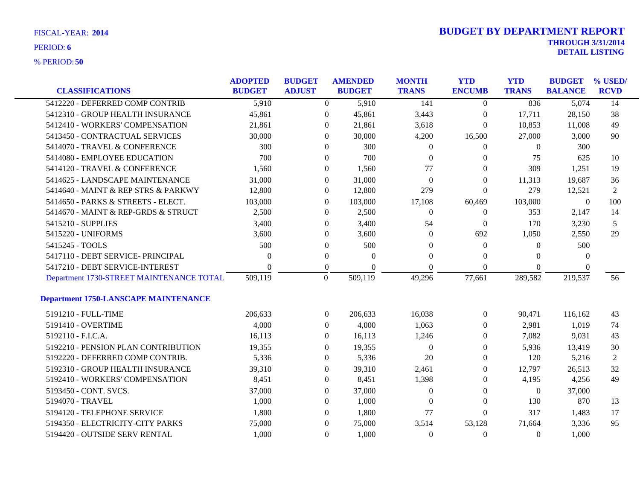| <b>FISCAL-YEAR: 2014</b> |  |
|--------------------------|--|
|                          |  |

| <b>CLASSIFICATIONS</b>                      | <b>ADOPTED</b><br><b>BUDGET</b> | <b>BUDGET</b><br><b>ADJUST</b> | <b>AMENDED</b><br><b>BUDGET</b> | <b>MONTH</b><br><b>TRANS</b> | <b>YTD</b><br><b>ENCUMB</b> | <b>YTD</b><br><b>TRANS</b> | <b>BUDGET</b><br><b>BALANCE</b> | % USED/<br><b>RCVD</b> |
|---------------------------------------------|---------------------------------|--------------------------------|---------------------------------|------------------------------|-----------------------------|----------------------------|---------------------------------|------------------------|
| 5412220 - DEFERRED COMP CONTRIB             | 5,910                           | $\Omega$                       | 5,910                           | 141                          | $\Omega$                    | 836                        | 5,074                           | 14                     |
| 5412310 - GROUP HEALTH INSURANCE            | 45,861                          | $\overline{0}$                 | 45,861                          | 3,443                        | $\boldsymbol{0}$            | 17,711                     | 28,150                          | 38                     |
| 5412410 - WORKERS' COMPENSATION             | 21,861                          | $\overline{0}$                 | 21,861                          | 3,618                        | $\boldsymbol{0}$            | 10,853                     | 11,008                          | 49                     |
| 5413450 - CONTRACTUAL SERVICES              | 30,000                          | $\Omega$                       | 30,000                          | 4,200                        | 16,500                      | 27,000                     | 3,000                           | 90                     |
| 5414070 - TRAVEL & CONFERENCE               | 300                             | $\Omega$                       | 300                             | 0                            | $\Omega$                    | $\Omega$                   | 300                             |                        |
| 5414080 - EMPLOYEE EDUCATION                | 700                             | $\overline{0}$                 | 700                             | $\theta$                     | $\theta$                    | 75                         | 625                             | 10                     |
| 5414120 - TRAVEL & CONFERENCE               | 1,560                           | $\theta$                       | 1,560                           | 77                           | $\Omega$                    | 309                        | 1,251                           | 19                     |
| 5414625 - LANDSCAPE MAINTENANCE             | 31,000                          | $\Omega$                       | 31,000                          | $\Omega$                     | $\Omega$                    | 11,313                     | 19,687                          | 36                     |
| 5414640 - MAINT & REP STRS & PARKWY         | 12,800                          | $\overline{0}$                 | 12,800                          | 279                          | $\Omega$                    | 279                        | 12,521                          | 2                      |
| 5414650 - PARKS & STREETS - ELECT.          | 103,000                         | $\overline{0}$                 | 103,000                         | 17,108                       | 60,469                      | 103,000                    | $\mathbf{0}$                    | 100                    |
| 5414670 - MAINT & REP-GRDS & STRUCT         | 2,500                           | $\theta$                       | 2,500                           | $\overline{0}$               | $\boldsymbol{0}$            | 353                        | 2,147                           | 14                     |
| 5415210 - SUPPLIES                          | 3,400                           | $\Omega$                       | 3,400                           | 54                           | $\theta$                    | 170                        | 3,230                           | 5                      |
| 5415220 - UNIFORMS                          | 3,600                           | $\theta$                       | 3,600                           | $\Omega$                     | 692                         | 1,050                      | 2,550                           | 29                     |
| 5415245 - TOOLS                             | 500                             | $\boldsymbol{0}$               | 500                             | $\theta$                     | $\mathbf{0}$                | $\theta$                   | 500                             |                        |
| 5417110 - DEBT SERVICE- PRINCIPAL           | $\Omega$                        | $\mathbf{0}$                   | $\Omega$                        | $\theta$                     | $\Omega$                    | $\Omega$                   | $\theta$                        |                        |
| 5417210 - DEBT SERVICE-INTEREST             | 0                               | $\overline{0}$                 | $\Omega$                        | 0                            | $\Omega$                    | $\Omega$                   | $\Omega$                        |                        |
| Department 1730-STREET MAINTENANCE TOTAL    | 509,119                         | $\overline{0}$                 | 509,119                         | 49,296                       | 77,661                      | 289,582                    | 219,537                         | 56                     |
| <b>Department 1750-LANSCAPE MAINTENANCE</b> |                                 |                                |                                 |                              |                             |                            |                                 |                        |
| 5191210 - FULL-TIME                         | 206,633                         | $\overline{0}$                 | 206,633                         | 16,038                       | $\boldsymbol{0}$            | 90,471                     | 116,162                         | 43                     |
| 5191410 - OVERTIME                          | 4,000                           | $\overline{0}$                 | 4,000                           | 1,063                        | $\Omega$                    | 2,981                      | 1,019                           | 74                     |
| 5192110 - F.I.C.A.                          | 16,113                          | $\overline{0}$                 | 16,113                          | 1,246                        | $\theta$                    | 7,082                      | 9,031                           | 43                     |
| 5192210 - PENSION PLAN CONTRIBUTION         | 19,355                          | $\overline{0}$                 | 19,355                          | $\theta$                     | $\mathbf{0}$                | 5,936                      | 13,419                          | 30                     |
| 5192220 - DEFERRED COMP CONTRIB.            | 5,336                           | $\boldsymbol{0}$               | 5,336                           | 20                           | $\theta$                    | 120                        | 5,216                           | 2                      |
| 5192310 - GROUP HEALTH INSURANCE            | 39,310                          | $\overline{0}$                 | 39,310                          | 2,461                        | $\overline{0}$              | 12,797                     | 26,513                          | 32                     |
| 5192410 - WORKERS' COMPENSATION             | 8,451                           | $\theta$                       | 8,451                           | 1,398                        | $\theta$                    | 4,195                      | 4,256                           | 49                     |
| 5193450 - CONT. SVCS.                       | 37,000                          | $\boldsymbol{0}$               | 37,000                          | $\overline{0}$               | $\overline{0}$              | $\boldsymbol{0}$           | 37,000                          |                        |
| 5194070 - TRAVEL                            | 1,000                           | $\theta$                       | 1,000                           | $\theta$                     | $\mathbf{0}$                | 130                        | 870                             | 13                     |
| 5194120 - TELEPHONE SERVICE                 | 1,800                           | $\overline{0}$                 | 1,800                           | 77                           | $\Omega$                    | 317                        | 1,483                           | 17                     |
| 5194350 - ELECTRICITY-CITY PARKS            | 75,000                          | $\theta$                       | 75,000                          | 3,514                        | 53,128                      | 71,664                     | 3,336                           | 95                     |
| 5194420 - OUTSIDE SERV RENTAL               | 1,000                           | $\overline{0}$                 | 1,000                           | 0                            | $\mathbf{0}$                | $\theta$                   | 1,000                           |                        |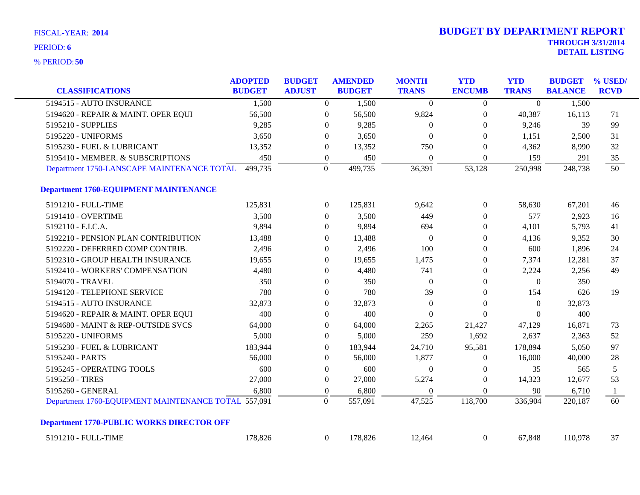| <b>CLASSIFICATIONS</b>                              | <b>ADOPTED</b><br><b>BUDGET</b> | <b>BUDGET</b><br><b>ADJUST</b> |                  | <b>AMENDED</b><br><b>BUDGET</b> | <b>MONTH</b><br><b>TRANS</b> | <b>YTD</b><br><b>ENCUMB</b> | <b>YTD</b><br><b>TRANS</b> | <b>BUDGET</b><br><b>BALANCE</b> | % USED/<br><b>RCVD</b> |
|-----------------------------------------------------|---------------------------------|--------------------------------|------------------|---------------------------------|------------------------------|-----------------------------|----------------------------|---------------------------------|------------------------|
| 5194515 - AUTO INSURANCE                            | 1,500                           |                                | $\overline{0}$   | 1,500                           | $\theta$                     | $\overline{0}$              | $\overline{0}$             | 1,500                           |                        |
| 5194620 - REPAIR & MAINT. OPER EQUI                 | 56,500                          |                                | $\boldsymbol{0}$ | 56,500                          | 9,824                        | $\boldsymbol{0}$            | 40,387                     | 16,113                          | 71                     |
| 5195210 - SUPPLIES                                  | 9,285                           |                                | $\theta$         | 9,285                           | $\theta$                     | $\overline{0}$              | 9,246                      | 39                              | 99                     |
| 5195220 - UNIFORMS                                  | 3,650                           |                                | $\theta$         | 3,650                           | $\theta$                     | $\theta$                    | 1,151                      | 2,500                           | 31                     |
| 5195230 - FUEL & LUBRICANT                          | 13,352                          |                                | $\theta$         | 13,352                          | 750                          | $\theta$                    | 4,362                      | 8,990                           | 32                     |
| 5195410 - MEMBER. & SUBSCRIPTIONS                   | 450                             |                                | $\boldsymbol{0}$ | 450                             | $\boldsymbol{0}$             | $\mathbf{0}$                | 159                        | 291                             | 35                     |
| Department 1750-LANSCAPE MAINTENANCE TOTAL          | 499,735                         |                                | $\boldsymbol{0}$ | 499,735                         | 36,391                       | 53,128                      | 250,998                    | 248,738                         | $\overline{50}$        |
| <b>Department 1760-EQUIPMENT MAINTENANCE</b>        |                                 |                                |                  |                                 |                              |                             |                            |                                 |                        |
| 5191210 - FULL-TIME                                 | 125,831                         |                                | $\overline{0}$   | 125,831                         | 9,642                        | $\boldsymbol{0}$            | 58,630                     | 67,201                          | 46                     |
| 5191410 - OVERTIME                                  | 3,500                           |                                | $\overline{0}$   | 3,500                           | 449                          | $\theta$                    | 577                        | 2,923                           | 16                     |
| 5192110 - F.I.C.A.                                  | 9,894                           |                                | $\boldsymbol{0}$ | 9,894                           | 694                          | $\boldsymbol{0}$            | 4,101                      | 5,793                           | 41                     |
| 5192210 - PENSION PLAN CONTRIBUTION                 | 13,488                          |                                | $\theta$         | 13,488                          | $\Omega$                     | $\theta$                    | 4,136                      | 9,352                           | 30                     |
| 5192220 - DEFERRED COMP CONTRIB.                    | 2,496                           |                                | $\theta$         | 2,496                           | 100                          | $\theta$                    | 600                        | 1,896                           | 24                     |
| 5192310 - GROUP HEALTH INSURANCE                    | 19,655                          |                                | $\theta$         | 19,655                          | 1,475                        | $\overline{0}$              | 7,374                      | 12,281                          | 37                     |
| 5192410 - WORKERS' COMPENSATION                     | 4,480                           |                                | $\boldsymbol{0}$ | 4,480                           | 741                          | $\boldsymbol{0}$            | 2,224                      | 2,256                           | 49                     |
| 5194070 - TRAVEL                                    | 350                             |                                | $\overline{0}$   | 350                             | $\theta$                     | $\overline{0}$              | $\theta$                   | 350                             |                        |
| 5194120 - TELEPHONE SERVICE                         | 780                             |                                | $\theta$         | 780                             | 39                           | $\overline{0}$              | 154                        | 626                             | 19                     |
| 5194515 - AUTO INSURANCE                            | 32,873                          |                                | $\overline{0}$   | 32,873                          | $\overline{0}$               | $\theta$                    | $\Omega$                   | 32,873                          |                        |
| 5194620 - REPAIR & MAINT. OPER EQUI                 | 400                             |                                | $\theta$         | 400                             | $\Omega$                     | $\theta$                    | $\theta$                   | 400                             |                        |
| 5194680 - MAINT & REP-OUTSIDE SVCS                  | 64,000                          |                                | $\boldsymbol{0}$ | 64,000                          | 2,265                        | 21,427                      | 47,129                     | 16,871                          | 73                     |
| 5195220 - UNIFORMS                                  | 5,000                           |                                | $\boldsymbol{0}$ | 5,000                           | 259                          | 1,692                       | 2,637                      | 2,363                           | 52                     |
| 5195230 - FUEL & LUBRICANT                          | 183,944                         |                                | $\overline{0}$   | 183,944                         | 24,710                       | 95,581                      | 178,894                    | 5,050                           | 97                     |
| 5195240 - PARTS                                     | 56,000                          |                                | $\overline{0}$   | 56,000                          | 1,877                        | $\overline{0}$              | 16,000                     | 40,000                          | 28                     |
| 5195245 - OPERATING TOOLS                           | 600                             |                                | $\boldsymbol{0}$ | 600                             | $\boldsymbol{0}$             | $\boldsymbol{0}$            | 35                         | 565                             | 5                      |
| 5195250 - TIRES                                     | 27,000                          |                                | $\boldsymbol{0}$ | 27,000                          | 5,274                        | $\boldsymbol{0}$            | 14,323                     | 12,677                          | 53                     |
| 5195260 - GENERAL                                   | 6,800                           |                                | $\boldsymbol{0}$ | 6,800                           | $\overline{0}$               | $\overline{0}$              | 90                         | 6,710                           | 1                      |
| Department 1760-EQUIPMENT MAINTENANCE TOTAL 557,091 |                                 |                                | $\Omega$         | 557,091                         | 47,525                       | 118,700                     | 336,904                    | 220,187                         | 60                     |
| <b>Department 1770-PUBLIC WORKS DIRECTOR OFF</b>    |                                 |                                |                  |                                 |                              |                             |                            |                                 |                        |
| 5191210 - FULL-TIME                                 | 178,826                         |                                | $\overline{0}$   | 178,826                         | 12,464                       | $\boldsymbol{0}$            | 67,848                     | 110,978                         | 37                     |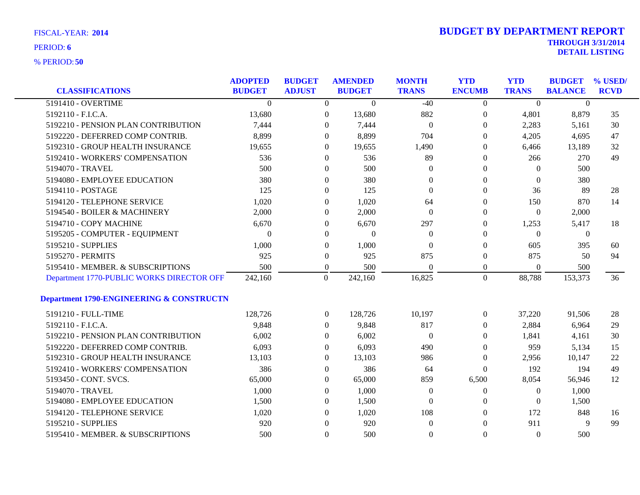| <b>CLASSIFICATIONS</b>                              | <b>ADOPTED</b><br><b>BUDGET</b> | <b>BUDGET</b><br><b>ADJUST</b> |                  | <b>AMENDED</b><br><b>BUDGET</b> | <b>MONTH</b><br><b>TRANS</b> | <b>YTD</b><br><b>ENCUMB</b> | <b>YTD</b><br><b>TRANS</b> | <b>BUDGET</b><br><b>BALANCE</b> | % USED/<br><b>RCVD</b> |
|-----------------------------------------------------|---------------------------------|--------------------------------|------------------|---------------------------------|------------------------------|-----------------------------|----------------------------|---------------------------------|------------------------|
| 5191410 - OVERTIME                                  | $\Omega$                        |                                | $\overline{0}$   | $\theta$                        | $-40$                        | $\theta$                    | $\Omega$                   | $\Omega$                        |                        |
| 5192110 - F.I.C.A.                                  | 13,680                          |                                | $\boldsymbol{0}$ | 13,680                          | 882                          | $\boldsymbol{0}$            | 4,801                      | 8,879                           | 35                     |
| 5192210 - PENSION PLAN CONTRIBUTION                 | 7,444                           |                                | $\theta$         | 7,444                           | $\overline{0}$               | $\overline{0}$              | 2,283                      | 5,161                           | 30                     |
| 5192220 - DEFERRED COMP CONTRIB.                    | 8,899                           |                                | $\theta$         | 8,899                           | 704                          | $\Omega$                    | 4,205                      | 4,695                           | 47                     |
| 5192310 - GROUP HEALTH INSURANCE                    | 19,655                          |                                | $\Omega$         | 19,655                          | 1,490                        | $\Omega$                    | 6,466                      | 13,189                          | 32                     |
| 5192410 - WORKERS' COMPENSATION                     | 536                             |                                | $\boldsymbol{0}$ | 536                             | 89                           | $\Omega$                    | 266                        | 270                             | 49                     |
| 5194070 - TRAVEL                                    | 500                             |                                | $\theta$         | 500                             | $\Omega$                     | $\Omega$                    | $\Omega$                   | 500                             |                        |
| 5194080 - EMPLOYEE EDUCATION                        | 380                             |                                | $\overline{0}$   | 380                             | $\Omega$                     | $\theta$                    | $\theta$                   | 380                             |                        |
| 5194110 - POSTAGE                                   | 125                             |                                | $\overline{0}$   | 125                             | $\theta$                     | $\Omega$                    | 36                         | 89                              | 28                     |
| 5194120 - TELEPHONE SERVICE                         | 1,020                           |                                | $\theta$         | 1,020                           | 64                           | $\theta$                    | 150                        | 870                             | 14                     |
| 5194540 - BOILER & MACHINERY                        | 2,000                           |                                | 0                | 2,000                           | $\theta$                     | $\overline{0}$              | $\overline{0}$             | 2,000                           |                        |
| 5194710 - COPY MACHINE                              | 6,670                           |                                | $\overline{0}$   | 6,670                           | 297                          | $\Omega$                    | 1,253                      | 5,417                           | 18                     |
| 5195205 - COMPUTER - EQUIPMENT                      | $\Omega$                        |                                | $\overline{0}$   | $\theta$                        | $\Omega$                     | $\Omega$                    | $\theta$                   | $\mathbf{0}$                    |                        |
| 5195210 - SUPPLIES                                  | 1,000                           |                                | $\theta$         | 1,000                           | $\theta$                     | $\theta$                    | 605                        | 395                             | 60                     |
| 5195270 - PERMITS                                   | 925                             |                                | $\theta$         | 925                             | 875                          | $\theta$                    | 875                        | 50                              | 94                     |
| 5195410 - MEMBER. & SUBSCRIPTIONS                   | 500                             |                                | $\boldsymbol{0}$ | 500                             | $\Omega$                     | $\overline{0}$              | $\overline{0}$             | 500                             |                        |
| Department 1770-PUBLIC WORKS DIRECTOR OFF           | 242,160                         |                                | $\boldsymbol{0}$ | 242,160                         | 16,825                       | $\mathbf{0}$                | 88,788                     | 153,373                         | 36                     |
| <b>Department 1790-ENGINEERING &amp; CONSTRUCTN</b> |                                 |                                |                  |                                 |                              |                             |                            |                                 |                        |
| 5191210 - FULL-TIME                                 | 128,726                         |                                | $\overline{0}$   | 128,726                         | 10,197                       | $\overline{0}$              | 37,220                     | 91,506                          | 28                     |
| 5192110 - F.I.C.A.                                  | 9,848                           |                                | $\theta$         | 9,848                           | 817                          | $\overline{0}$              | 2,884                      | 6,964                           | 29                     |
| 5192210 - PENSION PLAN CONTRIBUTION                 | 6,002                           |                                | $\theta$         | 6,002                           | $\boldsymbol{0}$             | $\theta$                    | 1,841                      | 4,161                           | 30                     |
| 5192220 - DEFERRED COMP CONTRIB.                    | 6,093                           |                                | $\theta$         | 6,093                           | 490                          | $\overline{0}$              | 959                        | 5,134                           | 15                     |
| 5192310 - GROUP HEALTH INSURANCE                    | 13,103                          |                                | $\overline{0}$   | 13,103                          | 986                          | $\overline{0}$              | 2,956                      | 10,147                          | 22                     |
| 5192410 - WORKERS' COMPENSATION                     | 386                             |                                | $\boldsymbol{0}$ | 386                             | 64                           | $\theta$                    | 192                        | 194                             | 49                     |
| 5193450 - CONT. SVCS.                               | 65,000                          |                                | $\theta$         | 65,000                          | 859                          | 6,500                       | 8,054                      | 56,946                          | 12                     |
| 5194070 - TRAVEL                                    | 1,000                           |                                | $\Omega$         | 1,000                           | $\theta$                     | $\overline{0}$              | $\theta$                   | 1,000                           |                        |
| 5194080 - EMPLOYEE EDUCATION                        | 1,500                           |                                | $\theta$         | 1,500                           | $\Omega$                     | $\theta$                    | $\overline{0}$             | 1,500                           |                        |
| 5194120 - TELEPHONE SERVICE                         | 1,020                           |                                | $\theta$         | 1,020                           | 108                          | $\Omega$                    | 172                        | 848                             | 16                     |
| 5195210 - SUPPLIES                                  | 920                             |                                | $\theta$         | 920                             | $\boldsymbol{0}$             | $\Omega$                    | 911                        | 9                               | 99                     |
| 5195410 - MEMBER. & SUBSCRIPTIONS                   | 500                             |                                | $\Omega$         | 500                             | $\theta$                     | $\Omega$                    | $\Omega$                   | 500                             |                        |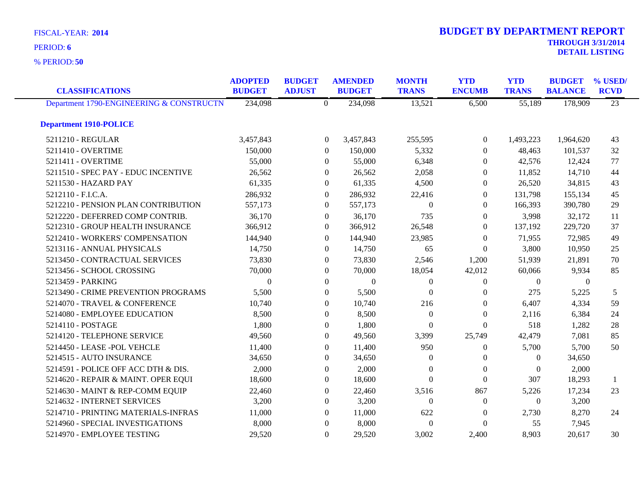**50** % PERIOD:

| <b>CLASSIFICATIONS</b>                   | <b>ADOPTED</b><br><b>BUDGET</b> | <b>BUDGET</b><br><b>ADJUST</b> | <b>AMENDED</b><br><b>BUDGET</b> | <b>MONTH</b><br><b>TRANS</b> | <b>YTD</b><br><b>ENCUMB</b> | <b>YTD</b><br><b>TRANS</b> | <b>BUDGET</b><br><b>BALANCE</b> | % USED/<br><b>RCVD</b> |
|------------------------------------------|---------------------------------|--------------------------------|---------------------------------|------------------------------|-----------------------------|----------------------------|---------------------------------|------------------------|
| Department 1790-ENGINEERING & CONSTRUCTN | 234,098                         | $\overline{0}$                 | 234,098                         | 13,521                       | 6,500                       | 55,189                     | 178,909                         | $\overline{23}$        |
| <b>Department 1910-POLICE</b>            |                                 |                                |                                 |                              |                             |                            |                                 |                        |
| 5211210 - REGULAR                        | 3,457,843                       |                                | $\overline{0}$<br>3,457,843     | 255,595                      | $\overline{0}$              | 1,493,223                  | 1,964,620                       | 43                     |
| 5211410 - OVERTIME                       | 150,000                         |                                | $\theta$<br>150,000             | 5,332                        | $\theta$                    | 48,463                     | 101,537                         | 32                     |
| 5211411 - OVERTIME                       | 55,000                          |                                | 55,000<br>$\Omega$              | 6,348                        | $\theta$                    | 42,576                     | 12,424                          | 77                     |
| 5211510 - SPEC PAY - EDUC INCENTIVE      | 26,562                          |                                | 26,562<br>$\overline{0}$        | 2,058                        | $\overline{0}$              | 11,852                     | 14,710                          | 44                     |
| 5211530 - HAZARD PAY                     | 61,335                          |                                | 61,335<br>$\theta$              | 4,500                        | $\overline{0}$              | 26,520                     | 34,815                          | 43                     |
| 5212110 - F.I.C.A.                       | 286,932                         |                                | 286,932<br>$\overline{0}$       | 22,416                       | $\Omega$                    | 131,798                    | 155,134                         | 45                     |
| 5212210 - PENSION PLAN CONTRIBUTION      | 557,173                         |                                | 557,173<br>$\mathbf{0}$         | $\Omega$                     | $\Omega$                    | 166,393                    | 390,780                         | 29                     |
| 5212220 - DEFERRED COMP CONTRIB.         | 36,170                          |                                | 36,170<br>$\overline{0}$        | 735                          | $\overline{0}$              | 3,998                      | 32,172                          | 11                     |
| 5212310 - GROUP HEALTH INSURANCE         | 366,912                         |                                | 366,912<br>0                    | 26,548                       | $\overline{0}$              | 137,192                    | 229,720                         | 37                     |
| 5212410 - WORKERS' COMPENSATION          | 144,940                         |                                | 144,940<br>$\Omega$             | 23,985                       | $\theta$                    | 71,955                     | 72,985                          | 49                     |
| 5213116 - ANNUAL PHYSICALS               | 14,750                          |                                | 14,750<br>$\Omega$              | 65                           | $\theta$                    | 3,800                      | 10,950                          | 25                     |
| 5213450 - CONTRACTUAL SERVICES           | 73,830                          |                                | 73,830<br>$\overline{0}$        | 2,546                        | 1,200                       | 51,939                     | 21,891                          | 70                     |
| 5213456 - SCHOOL CROSSING                | 70,000                          |                                | 70,000<br>$\mathbf{0}$          | 18,054                       | 42,012                      | 60,066                     | 9,934                           | 85                     |
| 5213459 - PARKING                        | $\Omega$                        |                                | $\Omega$<br>$\Omega$            | $\overline{0}$               | $\Omega$                    | $\Omega$                   | $\theta$                        |                        |
| 5213490 - CRIME PREVENTION PROGRAMS      | 5,500                           |                                | 5,500<br>$\Omega$               | $\Omega$                     | $\Omega$                    | 275                        | 5,225                           | 5                      |
| 5214070 - TRAVEL & CONFERENCE            | 10,740                          |                                | 10,740<br>$\overline{0}$        | 216                          | $\Omega$                    | 6,407                      | 4,334                           | 59                     |
| 5214080 - EMPLOYEE EDUCATION             | 8,500                           |                                | 8,500<br>$\Omega$               | $\Omega$                     | $\Omega$                    | 2,116                      | 6,384                           | 24                     |
| 5214110 - POSTAGE                        | 1,800                           |                                | 1,800<br>$\mathbf{0}$           | $\Omega$                     | $\Omega$                    | 518                        | 1,282                           | 28                     |
| 5214120 - TELEPHONE SERVICE              | 49,560                          |                                | 49,560<br>$\theta$              | 3,399                        | 25,749                      | 42,479                     | 7,081                           | 85                     |
| 5214450 - LEASE -POL VEHCLE              | 11,400                          |                                | 11,400<br>$\theta$              | 950                          | $\overline{0}$              | 5,700                      | 5,700                           | 50                     |
| 5214515 - AUTO INSURANCE                 | 34,650                          |                                | 34,650<br>$\theta$              | $\theta$                     | $\overline{0}$              | $\overline{0}$             | 34,650                          |                        |
| 5214591 - POLICE OFF ACC DTH & DIS.      | 2,000                           |                                | 2,000<br>$\Omega$               | $\theta$                     | $\Omega$                    | $\Omega$                   | 2,000                           |                        |
| 5214620 - REPAIR & MAINT. OPER EQUI      | 18,600                          |                                | 18,600<br>$\Omega$              | $\Omega$                     | $\Omega$                    | 307                        | 18,293                          | -1                     |
| 5214630 - MAINT & REP-COMM EQUIP         | 22,460                          |                                | $\overline{0}$<br>22,460        | 3,516                        | 867                         | 5,226                      | 17,234                          | 23                     |
| 5214632 - INTERNET SERVICES              | 3,200                           |                                | 3,200<br>$\overline{0}$         | $\theta$                     | $\overline{0}$              | $\Omega$                   | 3,200                           |                        |
| 5214710 - PRINTING MATERIALS-INFRAS      | 11,000                          |                                | 11,000<br>$\Omega$              | 622                          | $\theta$                    | 2,730                      | 8,270                           | 24                     |
| 5214960 - SPECIAL INVESTIGATIONS         | 8,000                           |                                | 8,000<br>$\Omega$               | $\Omega$                     | $\Omega$                    | 55                         | 7,945                           |                        |
| 5214970 - EMPLOYEE TESTING               | 29,520                          |                                | $\Omega$<br>29,520              | 3,002                        | 2,400                       | 8,903                      | 20,617                          | 30                     |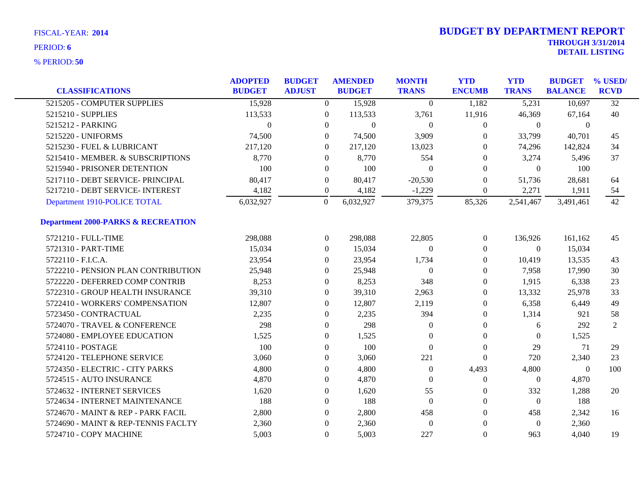| <b>CLASSIFICATIONS</b>                        | <b>ADOPTED</b><br><b>BUDGET</b> | <b>BUDGET</b><br><b>ADJUST</b> | <b>AMENDED</b><br><b>BUDGET</b> | <b>MONTH</b><br><b>TRANS</b> | <b>YTD</b><br><b>ENCUMB</b> | <b>YTD</b><br><b>TRANS</b> | <b>BUDGET</b><br><b>BALANCE</b> | % USED/<br><b>RCVD</b> |
|-----------------------------------------------|---------------------------------|--------------------------------|---------------------------------|------------------------------|-----------------------------|----------------------------|---------------------------------|------------------------|
| 5215205 - COMPUTER SUPPLIES                   | 15,928                          | $\Omega$                       | 15,928                          | $\theta$                     | 1,182                       | 5,231                      | 10,697                          | $\overline{32}$        |
| 5215210 - SUPPLIES                            | 113,533                         | $\overline{0}$                 | 113,533                         | 3,761                        | 11,916                      | 46,369                     | 67,164                          | 40                     |
| 5215212 - PARKING                             | $\Omega$                        | $\overline{0}$                 | $\mathbf{0}$                    | $\overline{0}$               | $\boldsymbol{0}$            | $\theta$                   | $\theta$                        |                        |
| 5215220 - UNIFORMS                            | 74,500                          | $\Omega$                       | 74,500                          | 3,909                        | $\Omega$                    | 33,799                     | 40,701                          | 45                     |
| 5215230 - FUEL & LUBRICANT                    | 217,120                         | $\Omega$                       | 217,120                         | 13,023                       | $\Omega$                    | 74,296                     | 142,824                         | 34                     |
| 5215410 - MEMBER. & SUBSCRIPTIONS             | 8,770                           | $\boldsymbol{0}$               | 8,770                           | 554                          | $\theta$                    | 3,274                      | 5,496                           | 37                     |
| 5215940 - PRISONER DETENTION                  | 100                             | $\overline{0}$                 | 100                             | $\Omega$                     | $\Omega$                    | $\theta$                   | 100                             |                        |
| 5217110 - DEBT SERVICE- PRINCIPAL             | 80,417                          | $\overline{0}$                 | 80,417                          | $-20,530$                    | $\Omega$                    | 51,736                     | 28,681                          | 64                     |
| 5217210 - DEBT SERVICE- INTEREST              | 4,182                           | $\overline{0}$                 | 4,182                           | $-1,229$                     | $\theta$                    | 2,271                      | 1,911                           | 54                     |
| Department 1910-POLICE TOTAL                  | 6,032,927                       | $\overline{0}$                 | 6,032,927                       | 379,375                      | 85,326                      | 2,541,467                  | 3,491,461                       | 42                     |
| <b>Department 2000-PARKS &amp; RECREATION</b> |                                 |                                |                                 |                              |                             |                            |                                 |                        |
| 5721210 - FULL-TIME                           | 298,088                         | $\overline{0}$                 | 298,088                         | 22,805                       | $\overline{0}$              | 136,926                    | 161,162                         | 45                     |
| 5721310 - PART-TIME                           | 15,034                          | $\overline{0}$                 | 15,034                          | $\mathbf{0}$                 | $\theta$                    | $\theta$                   | 15,034                          |                        |
| 5722110 - F.I.C.A.                            | 23,954                          | $\overline{0}$                 | 23,954                          | 1,734                        | $\theta$                    | 10,419                     | 13,535                          | 43                     |
| 5722210 - PENSION PLAN CONTRIBUTION           | 25,948                          | $\overline{0}$                 | 25,948                          | $\theta$                     | $\boldsymbol{0}$            | 7,958                      | 17,990                          | 30                     |
| 5722220 - DEFERRED COMP CONTRIB               | 8,253                           | $\overline{0}$                 | 8,253                           | 348                          | $\theta$                    | 1,915                      | 6,338                           | 23                     |
| 5722310 - GROUP HEALTH INSURANCE              | 39,310                          | $\overline{0}$                 | 39,310                          | 2,963                        | $\theta$                    | 13,332                     | 25,978                          | 33                     |
| 5722410 - WORKERS' COMPENSATION               | 12,807                          | $\boldsymbol{0}$               | 12,807                          | 2,119                        | $\boldsymbol{0}$            | 6,358                      | 6,449                           | 49                     |
| 5723450 - CONTRACTUAL                         | 2,235                           | $\mathbf{0}$                   | 2,235                           | 394                          | $\theta$                    | 1,314                      | 921                             | 58                     |
| 5724070 - TRAVEL & CONFERENCE                 | 298                             | $\overline{0}$                 | 298                             | $\Omega$                     | $\theta$                    | 6                          | 292                             | $\overline{2}$         |
| 5724080 - EMPLOYEE EDUCATION                  | 1,525                           | $\mathbf{0}$                   | 1,525                           | $\Omega$                     | $\theta$                    | $\Omega$                   | 1,525                           |                        |
| 5724110 - POSTAGE                             | 100                             | $\boldsymbol{0}$               | 100                             | $\mathbf{0}$                 | $\boldsymbol{0}$            | 29                         | 71                              | 29                     |
| 5724120 - TELEPHONE SERVICE                   | 3,060                           | 0                              | 3,060                           | 221                          | $\boldsymbol{0}$            | 720                        | 2,340                           | 23                     |
| 5724350 - ELECTRIC - CITY PARKS               | 4,800                           | $\overline{0}$                 | 4,800                           | $\overline{0}$               | 4,493                       | 4,800                      | $\theta$                        | 100                    |
| 5724515 - AUTO INSURANCE                      | 4,870                           | 0                              | 4,870                           | $\Omega$                     | $\boldsymbol{0}$            | $\overline{0}$             | 4,870                           |                        |
| 5724632 - INTERNET SERVICES                   | 1,620                           | $\boldsymbol{0}$               | 1,620                           | 55                           | $\boldsymbol{0}$            | 332                        | 1,288                           | 20                     |
| 5724634 - INTERNET MAINTENANCE                | 188                             | $\mathbf{0}$                   | 188                             | $\overline{0}$               | $\boldsymbol{0}$            | $\overline{0}$             | 188                             |                        |
| 5724670 - MAINT & REP - PARK FACIL            | 2,800                           | $\overline{0}$                 | 2,800                           | 458                          | $\theta$                    | 458                        | 2,342                           | 16                     |
| 5724690 - MAINT & REP-TENNIS FACLTY           | 2,360                           | 0                              | 2,360                           | $\boldsymbol{0}$             | $\Omega$                    | $\theta$                   | 2,360                           |                        |
| 5724710 - COPY MACHINE                        | 5,003                           | $\overline{0}$                 | 5,003                           | 227                          | $\theta$                    | 963                        | 4,040                           | 19                     |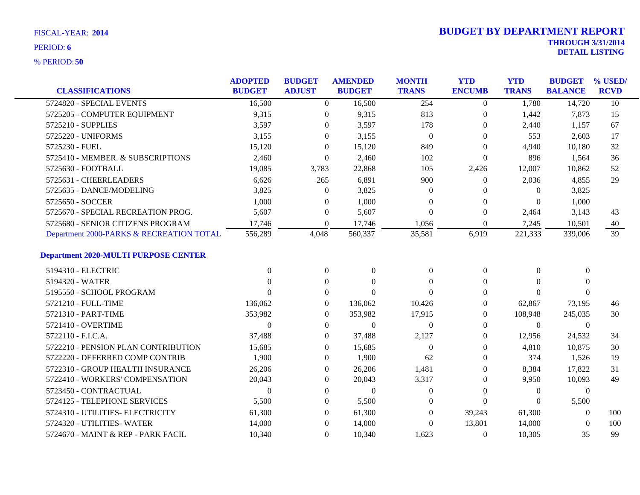|                                             | <b>ADOPTED</b> | <b>BUDGET</b>    | <b>AMENDED</b>   | <b>MONTH</b>     | <b>YTD</b>       | <b>YTD</b>     | <b>BUDGET % USED/</b> |                 |
|---------------------------------------------|----------------|------------------|------------------|------------------|------------------|----------------|-----------------------|-----------------|
| <b>CLASSIFICATIONS</b>                      | <b>BUDGET</b>  | <b>ADJUST</b>    | <b>BUDGET</b>    | <b>TRANS</b>     | <b>ENCUMB</b>    | <b>TRANS</b>   | <b>BALANCE</b>        | <b>RCVD</b>     |
| 5724820 - SPECIAL EVENTS                    | 16,500         | $\overline{0}$   | 16,500           | 254              | $\overline{0}$   | 1,780          | 14,720                | $\overline{10}$ |
| 5725205 - COMPUTER EQUIPMENT                | 9,315          | $\overline{0}$   | 9,315            | 813              | $\overline{0}$   | 1,442          | 7,873                 | 15              |
| 5725210 - SUPPLIES                          | 3,597          | $\overline{0}$   | 3,597            | 178              | $\theta$         | 2,440          | 1,157                 | 67              |
| 5725220 - UNIFORMS                          | 3,155          | $\theta$         | 3,155            | $\boldsymbol{0}$ | $\Omega$         | 553            | 2,603                 | 17              |
| 5725230 - FUEL                              | 15,120         | $\left($         | 15,120           | 849              | $\Omega$         | 4,940          | 10,180                | 32              |
| 5725410 - MEMBER. & SUBSCRIPTIONS           | 2,460          | $\overline{0}$   | 2,460            | 102              | $\overline{0}$   | 896            | 1,564                 | 36              |
| 5725630 - FOOTBALL                          | 19,085         | 3,783            | 22,868           | 105              | 2,426            | 12,007         | 10,862                | 52              |
| 5725631 - CHEERLEADERS                      | 6,626          | 265              | 6,891            | 900              | $\theta$         | 2,036          | 4,855                 | 29              |
| 5725635 - DANCE/MODELING                    | 3,825          | $\theta$         | 3,825            | $\Omega$         | $\Omega$         | $\Omega$       | 3,825                 |                 |
| 5725650 - SOCCER                            | 1,000          | $\overline{0}$   | 1,000            | $\Omega$         | $\overline{0}$   | $\Omega$       | 1,000                 |                 |
| 5725670 - SPECIAL RECREATION PROG.          | 5,607          | $\overline{0}$   | 5,607            | $\boldsymbol{0}$ | $\theta$         | 2,464          | 3,143                 | 43              |
| 5725680 - SENIOR CITIZENS PROGRAM           | 17,746         | $\overline{0}$   | 17,746           | 1,056            | $\theta$         | 7,245          | 10,501                | 40              |
| Department 2000-PARKS & RECREATION TOTAL    | 556,289        | 4,048            | 560,337          | 35,581           | 6,919            | 221,333        | 339,006               | 39              |
| <b>Department 2020-MULTI PURPOSE CENTER</b> |                |                  |                  |                  |                  |                |                       |                 |
| 5194310 - ELECTRIC                          | $\Omega$       | $\boldsymbol{0}$ | $\mathbf{0}$     | $\mathbf{0}$     | $\boldsymbol{0}$ | $\Omega$       | $\Omega$              |                 |
| 5194320 - WATER                             |                | $\Omega$         | $\Omega$         | $\Omega$         | $\theta$         | 0              | $\Omega$              |                 |
| 5195550 - SCHOOL PROGRAM                    |                | $\Omega$         | $\Omega$         | $\Omega$         | $\Omega$         | $\Omega$       | $\Omega$              |                 |
| 5721210 - FULL-TIME                         | 136,062        | $\overline{0}$   | 136,062          | 10,426           | $\overline{0}$   | 62,867         | 73,195                | 46              |
| 5721310 - PART-TIME                         | 353,982        | $\overline{0}$   | 353,982          | 17,915           | 0                | 108,948        | 245,035               | 30              |
| 5721410 - OVERTIME                          | $\Omega$       | $\overline{0}$   | $\mathbf{0}$     | $\theta$         | $\Omega$         | $\Omega$       | $\overline{0}$        |                 |
| 5722110 - F.I.C.A.                          | 37,488         | $\theta$         | 37,488           | 2,127            | 0                | 12,956         | 24,532                | 34              |
| 5722210 - PENSION PLAN CONTRIBUTION         | 15,685         | $\Omega$         | 15.685           | $\boldsymbol{0}$ | $\theta$         | 4,810          | 10,875                | 30              |
| 5722220 - DEFERRED COMP CONTRIB             | 1,900          | $\theta$         | 1,900            | 62               | $\Omega$         | 374            | 1,526                 | 19              |
| 5722310 - GROUP HEALTH INSURANCE            | 26,206         | $\theta$         | 26,206           | 1,481            | $\Omega$         | 8,384          | 17,822                | 31              |
| 5722410 - WORKERS' COMPENSATION             | 20,043         | $\Omega$         | 20,043           | 3,317            | $\Omega$         | 9,950          | 10,093                | 49              |
| 5723450 - CONTRACTUAL                       | $\Omega$       | $\theta$         | $\boldsymbol{0}$ | $\boldsymbol{0}$ | $\theta$         | $\overline{0}$ | $\boldsymbol{0}$      |                 |
| 5724125 - TELEPHONE SERVICES                | 5,500          | $\theta$         | 5,500            | $\mathbf{0}$     | $\Omega$         | $\Omega$       | 5,500                 |                 |
| 5724310 - UTILITIES- ELECTRICITY            | 61,300         | $\theta$         | 61,300           | $\Omega$         | 39,243           | 61,300         | $\Omega$              | 100             |
| 5724320 - UTILITIES- WATER                  | 14,000         | $\theta$         | 14,000           | $\theta$         | 13,801           | 14,000         | $\Omega$              | 100             |
| 5724670 - MAINT & REP - PARK FACIL          | 10,340         | $\theta$         | 10,340           | 1.623            | $\theta$         | 10,305         | 35                    | 99              |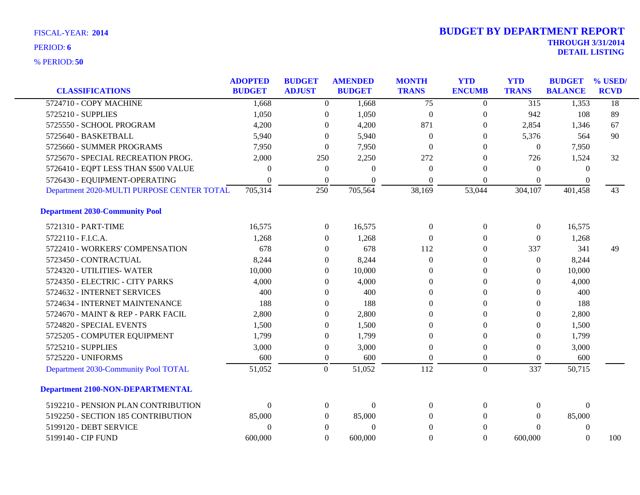|                                            | <b>ADOPTED</b> | <b>BUDGET</b>    | <b>AMENDED</b> | <b>MONTH</b>     | <b>YTD</b>       | <b>YTD</b>       | <b>BUDGET</b>  | % USED/         |
|--------------------------------------------|----------------|------------------|----------------|------------------|------------------|------------------|----------------|-----------------|
| <b>CLASSIFICATIONS</b>                     | <b>BUDGET</b>  | <b>ADJUST</b>    | <b>BUDGET</b>  | <b>TRANS</b>     | <b>ENCUMB</b>    | <b>TRANS</b>     | <b>BALANCE</b> | <b>RCVD</b>     |
| 5724710 - COPY MACHINE                     | 1,668          | $\boldsymbol{0}$ | 1,668          | $\overline{75}$  | $\theta$         | $\overline{315}$ | 1,353          | $\overline{18}$ |
| 5725210 - SUPPLIES                         | 1,050          | $\boldsymbol{0}$ | 1,050          | $\boldsymbol{0}$ | $\boldsymbol{0}$ | 942              | 108            | 89              |
| 5725550 - SCHOOL PROGRAM                   | 4,200          | $\mathbf{0}$     | 4,200          | 871              | $\overline{0}$   | 2,854            | 1,346          | 67              |
| 5725640 - BASKETBALL                       | 5,940          | $\Omega$         | 5,940          | $\theta$         | $\left($         | 5,376            | 564            | 90              |
| 5725660 - SUMMER PROGRAMS                  | 7,950          | $\mathbf{0}$     | 7,950          | $\Omega$         | 0                | $\mathbf{0}$     | 7,950          |                 |
| 5725670 - SPECIAL RECREATION PROG.         | 2,000          | 250              | 2,250          | 272              | $\theta$         | 726              | 1,524          | 32              |
| 5726410 - EQPT LESS THAN \$500 VALUE       | $\theta$       | $\boldsymbol{0}$ | $\Omega$       | $\theta$         | $\theta$         | 0                | $\theta$       |                 |
| 5726430 - EQUIPMENT-OPERATING              | $\Omega$       | $\theta$         | $\Omega$       | $\theta$         | $\theta$         | $\Omega$         | $\Omega$       |                 |
| Department 2020-MULTI PURPOSE CENTER TOTAL | 705,314        | 250              | 705,564        | 38,169           | 53,044           | 304,107          | 401,458        | 43              |
| <b>Department 2030-Community Pool</b>      |                |                  |                |                  |                  |                  |                |                 |
| 5721310 - PART-TIME                        | 16,575         | $\boldsymbol{0}$ | 16,575         | $\theta$         | $\boldsymbol{0}$ | $\boldsymbol{0}$ | 16,575         |                 |
| 5722110 - F.I.C.A.                         | 1,268          | $\mathbf{0}$     | 1,268          | $\theta$         | $\theta$         | $\mathbf{0}$     | 1,268          |                 |
| 5722410 - WORKERS' COMPENSATION            | 678            | $\theta$         | 678            | 112              | 0                | 337              | 341            | 49              |
| 5723450 - CONTRACTUAL                      | 8,244          | $\mathbf{0}$     | 8,244          | $\theta$         | $\overline{0}$   | $\mathbf{0}$     | 8,244          |                 |
| 5724320 - UTILITIES-WATER                  | 10,000         | $\overline{0}$   | 10,000         | $\Omega$         | $\theta$         | $\theta$         | 10,000         |                 |
| 5724350 - ELECTRIC - CITY PARKS            | 4,000          | $\theta$         | 4,000          | $\overline{0}$   | 0                | $\overline{0}$   | 4,000          |                 |
| 5724632 - INTERNET SERVICES                | 400            | $\theta$         | 400            | $\theta$         | 0                | $\Omega$         | 400            |                 |
| 5724634 - INTERNET MAINTENANCE             | 188            | $\Omega$         | 188            | $\Omega$         | 0                | $\theta$         | 188            |                 |
| 5724670 - MAINT & REP - PARK FACIL         | 2,800          | $\Omega$         | 2,800          | $\Omega$         | $\Omega$         | $\theta$         | 2,800          |                 |
| 5724820 - SPECIAL EVENTS                   | 1,500          | $\boldsymbol{0}$ | 1,500          | $\Omega$         | $\theta$         | $\overline{0}$   | 1,500          |                 |
| 5725205 - COMPUTER EQUIPMENT               | 1,799          | $\overline{0}$   | 1,799          | $\theta$         | $\theta$         | 0                | 1,799          |                 |
| 5725210 - SUPPLIES                         | 3,000          | $\boldsymbol{0}$ | 3,000          | $\theta$         | $\Omega$         | $\theta$         | 3,000          |                 |
| 5725220 - UNIFORMS                         | 600            | $\boldsymbol{0}$ | 600            | $\Omega$         | $\Omega$         | $\theta$         | 600            |                 |
| Department 2030-Community Pool TOTAL       | 51,052         | $\overline{0}$   | 51,052         | 112              | $\overline{0}$   | 337              | 50,715         |                 |
| <b>Department 2100-NON-DEPARTMENTAL</b>    |                |                  |                |                  |                  |                  |                |                 |
| 5192210 - PENSION PLAN CONTRIBUTION        | $\mathbf{0}$   | $\boldsymbol{0}$ | $\overline{0}$ | $\theta$         | $\overline{0}$   | 0                | $\theta$       |                 |
| 5192250 - SECTION 185 CONTRIBUTION         | 85,000         | $\overline{0}$   | 85,000         | $\Omega$         | $\Omega$         | $\Omega$         | 85,000         |                 |
| 5199120 - DEBT SERVICE                     | $\overline{0}$ | $\mathbf{0}$     | $\theta$       | $\overline{0}$   | $\theta$         | $\theta$         | $\overline{0}$ |                 |
| 5199140 - CIP FUND                         | 600,000        | $\Omega$         | 600,000        | $\Omega$         | $\Omega$         | 600,000          | $\Omega$       | 100             |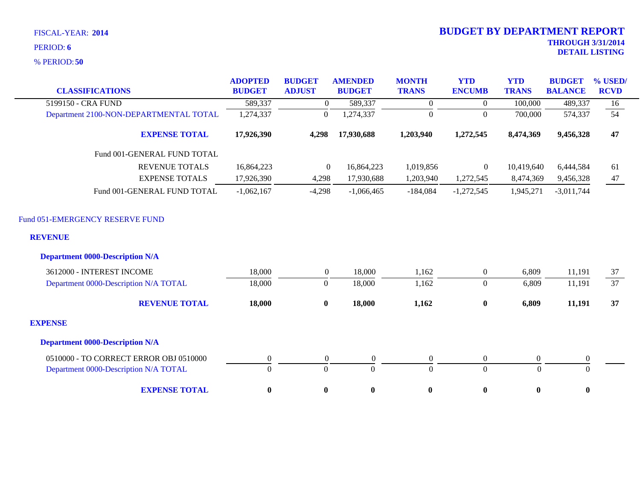**50** % PERIOD:

| <b>CLASSIFICATIONS</b>                            | <b>ADOPTED</b><br><b>BUDGET</b> | <b>BUDGET</b><br><b>ADJUST</b> | <b>AMENDED</b><br><b>BUDGET</b> | <b>MONTH</b><br><b>TRANS</b> | <b>YTD</b><br><b>ENCUMB</b> | <b>YTD</b><br><b>TRANS</b> | <b>BUDGET</b><br><b>BALANCE</b> | % USED/<br><b>RCVD</b> |
|---------------------------------------------------|---------------------------------|--------------------------------|---------------------------------|------------------------------|-----------------------------|----------------------------|---------------------------------|------------------------|
| 5199150 - CRA FUND                                | 589,337                         | $\boldsymbol{0}$               | 589,337                         | $\Omega$                     | $\Omega$                    | 100,000                    | 489,337                         | 16                     |
| Department 2100-NON-DEPARTMENTAL TOTAL            | 1,274,337                       | $\mathbf{0}$                   | 1,274,337                       | $\mathbf{0}$                 | $\boldsymbol{0}$            | 700,000                    | 574,337                         | 54                     |
| <b>EXPENSE TOTAL</b>                              | 17,926,390                      | 4,298                          | 17,930,688                      | 1,203,940                    | 1,272,545                   | 8,474,369                  | 9,456,328                       | 47                     |
| Fund 001-GENERAL FUND TOTAL                       |                                 |                                |                                 |                              |                             |                            |                                 |                        |
| <b>REVENUE TOTALS</b>                             | 16,864,223                      | $\boldsymbol{0}$               | 16,864,223                      | 1,019,856                    | $\overline{0}$              | 10,419,640                 | 6,444,584                       | 61                     |
| <b>EXPENSE TOTALS</b>                             | 17,926,390                      | 4,298                          | 17,930,688                      | 1,203,940                    | 1,272,545                   | 8,474,369                  | 9,456,328                       | 47                     |
| Fund 001-GENERAL FUND TOTAL                       | $-1,062,167$                    | $-4,298$                       | $-1,066,465$                    | $-184,084$                   | $-1,272,545$                | 1,945,271                  | $-3,011,744$                    |                        |
| Fund 051-EMERGENCY RESERVE FUND<br><b>REVENUE</b> |                                 |                                |                                 |                              |                             |                            |                                 |                        |
| <b>Department 0000-Description N/A</b>            |                                 |                                |                                 |                              |                             |                            |                                 |                        |
| 3612000 - INTEREST INCOME                         | 18,000                          | $\overline{0}$                 | 18,000                          | 1,162                        | $\boldsymbol{0}$            | 6,809                      | 11,191                          | 37                     |
| Department 0000-Description N/A TOTAL             | 18,000                          | $\mathbf{0}$                   | 18,000                          | 1,162                        | $\boldsymbol{0}$            | 6,809                      | 11,191                          | 37                     |
| <b>REVENUE TOTAL</b>                              | 18,000                          | $\bf{0}$                       | 18,000                          | 1,162                        | $\bf{0}$                    | 6,809                      | 11,191                          | 37                     |
| <b>EXPENSE</b>                                    |                                 |                                |                                 |                              |                             |                            |                                 |                        |
| <b>Department 0000-Description N/A</b>            |                                 |                                |                                 |                              |                             |                            |                                 |                        |
| 0510000 - TO CORRECT ERROR OBJ 0510000            | $\boldsymbol{0}$                | $\boldsymbol{0}$               | $\boldsymbol{0}$                | $\boldsymbol{0}$             | $\boldsymbol{0}$            | $\boldsymbol{0}$           | $\boldsymbol{0}$                |                        |
| Department 0000-Description N/A TOTAL             | $\overline{0}$                  | $\mathbf{0}$                   | $\mathbf{0}$                    | $\mathbf{0}$                 | $\overline{0}$              | $\overline{0}$             | $\mathbf{0}$                    |                        |
| <b>EXPENSE TOTAL</b>                              | $\bf{0}$                        | $\bf{0}$                       | $\bf{0}$                        | $\pmb{0}$                    | $\bf{0}$                    | $\bf{0}$                   | $\bf{0}$                        |                        |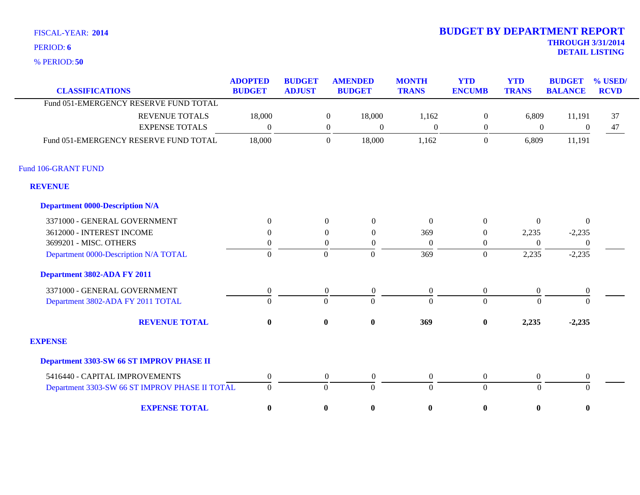**50** % PERIOD:

| <b>CLASSIFICATIONS</b>                         | <b>ADOPTED</b><br><b>BUDGET</b> | <b>BUDGET</b><br><b>ADJUST</b> |                  | <b>AMENDED</b><br><b>BUDGET</b> | <b>MONTH</b><br><b>TRANS</b> | <b>YTD</b><br><b>ENCUMB</b> | <b>YTD</b><br><b>TRANS</b> | <b>BUDGET</b><br><b>BALANCE</b> | % USED/<br><b>RCVD</b> |
|------------------------------------------------|---------------------------------|--------------------------------|------------------|---------------------------------|------------------------------|-----------------------------|----------------------------|---------------------------------|------------------------|
| Fund 051-EMERGENCY RESERVE FUND TOTAL          |                                 |                                |                  |                                 |                              |                             |                            |                                 |                        |
| <b>REVENUE TOTALS</b>                          | 18,000                          |                                | $\boldsymbol{0}$ | 18,000                          | 1,162                        | $\boldsymbol{0}$            | 6,809                      | 11,191                          | 37                     |
| <b>EXPENSE TOTALS</b>                          | $\overline{0}$                  |                                | $\boldsymbol{0}$ | $\boldsymbol{0}$                | $\boldsymbol{0}$             | $\boldsymbol{0}$            | $\boldsymbol{0}$           | $\boldsymbol{0}$                | 47                     |
|                                                |                                 |                                |                  |                                 |                              |                             |                            |                                 |                        |
| Fund 051-EMERGENCY RESERVE FUND TOTAL          | 18,000                          |                                | $\boldsymbol{0}$ | 18,000                          | 1,162                        | $\mathbf{0}$                | 6,809                      | 11,191                          |                        |
| Fund 106-GRANT FUND                            |                                 |                                |                  |                                 |                              |                             |                            |                                 |                        |
| <b>REVENUE</b>                                 |                                 |                                |                  |                                 |                              |                             |                            |                                 |                        |
| <b>Department 0000-Description N/A</b>         |                                 |                                |                  |                                 |                              |                             |                            |                                 |                        |
| 3371000 - GENERAL GOVERNMENT                   | $\overline{0}$                  |                                | $\overline{0}$   | $\theta$                        | $\theta$                     | $\overline{0}$              | $\Omega$                   | $\overline{0}$                  |                        |
| 3612000 - INTEREST INCOME                      | $\Omega$                        |                                | $\mathbf{0}$     | $\overline{0}$                  | 369                          | $\theta$                    | 2,235                      | $-2,235$                        |                        |
| 3699201 - MISC. OTHERS                         | $\Omega$                        |                                | $\overline{0}$   | $\boldsymbol{0}$                | $\Omega$                     | $\boldsymbol{0}$            | $\Omega$                   | $\overline{0}$                  |                        |
| Department 0000-Description N/A TOTAL          | $\boldsymbol{0}$                |                                | $\mathbf{0}$     | $\mathbf{0}$                    | 369                          | $\overline{0}$              | 2,235                      | $-2,235$                        |                        |
| Department 3802-ADA FY 2011                    |                                 |                                |                  |                                 |                              |                             |                            |                                 |                        |
| 3371000 - GENERAL GOVERNMENT                   | $\boldsymbol{0}$                |                                | $\boldsymbol{0}$ | $\boldsymbol{0}$                | $\boldsymbol{0}$             | $\mathbf{0}$                | $\boldsymbol{0}$           | $\boldsymbol{0}$                |                        |
| Department 3802-ADA FY 2011 TOTAL              | $\Omega$                        |                                | $\Omega$         | $\Omega$                        | $\Omega$                     | $\Omega$                    | $\Omega$                   | $\Omega$                        |                        |
| <b>REVENUE TOTAL</b>                           | $\mathbf{0}$                    |                                | $\bf{0}$         | $\boldsymbol{0}$                | 369                          | $\bf{0}$                    | 2,235                      | $-2,235$                        |                        |
| <b>EXPENSE</b>                                 |                                 |                                |                  |                                 |                              |                             |                            |                                 |                        |
| Department 3303-SW 66 ST IMPROV PHASE II       |                                 |                                |                  |                                 |                              |                             |                            |                                 |                        |
| 5416440 - CAPITAL IMPROVEMENTS                 | $\boldsymbol{0}$                |                                | $\mathbf{0}$     | $\boldsymbol{0}$                | $\mathbf{0}$                 | $\mathbf{0}$                | $\boldsymbol{0}$           | $\boldsymbol{0}$                |                        |
| Department 3303-SW 66 ST IMPROV PHASE II TOTAL | $\Omega$                        |                                | $\overline{0}$   | $\overline{0}$                  | $\theta$                     | $\overline{0}$              | $\theta$                   | $\Omega$                        |                        |
| <b>EXPENSE TOTAL</b>                           | $\bf{0}$                        |                                | $\bf{0}$         | $\boldsymbol{0}$                | $\bf{0}$                     | $\bf{0}$                    | $\bf{0}$                   | $\bf{0}$                        |                        |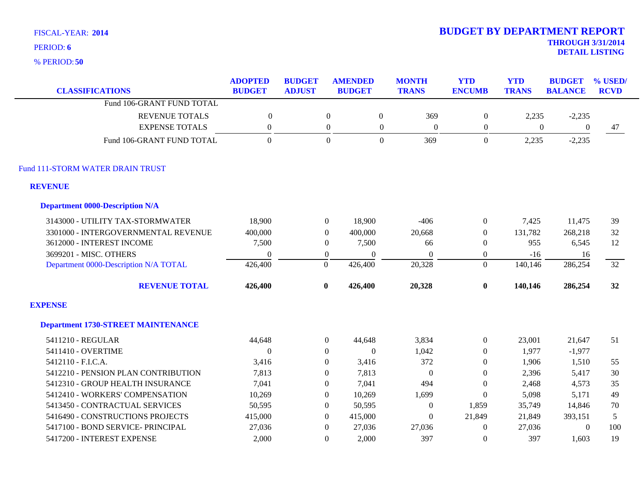**50** % PERIOD:

| <b>CLASSIFICATIONS</b>                    | <b>ADOPTED</b><br><b>BUDGET</b> | <b>BUDGET</b><br><b>ADJUST</b> | <b>AMENDED</b><br><b>BUDGET</b> |                  | <b>MONTH</b><br><b>TRANS</b> | <b>YTD</b><br><b>ENCUMB</b> | <b>YTD</b><br><b>TRANS</b> | <b>BUDGET</b><br><b>BALANCE</b> | % USED/<br><b>RCVD</b> |
|-------------------------------------------|---------------------------------|--------------------------------|---------------------------------|------------------|------------------------------|-----------------------------|----------------------------|---------------------------------|------------------------|
| Fund 106-GRANT FUND TOTAL                 |                                 |                                |                                 |                  |                              |                             |                            |                                 |                        |
| <b>REVENUE TOTALS</b>                     | $\boldsymbol{0}$                |                                | $\overline{0}$                  | $\boldsymbol{0}$ | 369                          | $\boldsymbol{0}$            | 2,235                      | $-2,235$                        |                        |
| <b>EXPENSE TOTALS</b>                     | $\boldsymbol{0}$                |                                | $\boldsymbol{0}$                | $\boldsymbol{0}$ | $\boldsymbol{0}$             | $\overline{0}$              | $\boldsymbol{0}$           | $\overline{0}$                  | 47                     |
| Fund 106-GRANT FUND TOTAL                 | $\Omega$                        |                                | $\Omega$                        | $\overline{0}$   | 369                          | $\overline{0}$              | 2,235                      | $-2,235$                        |                        |
| Fund 111-STORM WATER DRAIN TRUST          |                                 |                                |                                 |                  |                              |                             |                            |                                 |                        |
| <b>REVENUE</b>                            |                                 |                                |                                 |                  |                              |                             |                            |                                 |                        |
| <b>Department 0000-Description N/A</b>    |                                 |                                |                                 |                  |                              |                             |                            |                                 |                        |
| 3143000 - UTILITY TAX-STORMWATER          | 18,900                          | $\boldsymbol{0}$               |                                 | 18,900           | $-406$                       | $\overline{0}$              | 7,425                      | 11,475                          | 39                     |
| 3301000 - INTERGOVERNMENTAL REVENUE       | 400,000                         | $\mathbf{0}$                   | 400,000                         |                  | 20,668                       | $\overline{0}$              | 131,782                    | 268,218                         | 32                     |
| 3612000 - INTEREST INCOME                 | 7,500                           | $\overline{0}$                 |                                 | 7,500            | 66                           | $\overline{0}$              | 955                        | 6,545                           | 12                     |
| 3699201 - MISC. OTHERS                    | $\theta$                        | $\overline{0}$                 |                                 | $\Omega$         | $\theta$                     | $\overline{0}$              | $-16$                      | 16                              |                        |
| Department 0000-Description N/A TOTAL     | 426,400                         | $\boldsymbol{0}$               | 426,400                         |                  | 20,328                       | $\Omega$                    | 140,146                    | 286,254                         | 32                     |
| <b>REVENUE TOTAL</b>                      | 426,400                         | $\bf{0}$                       | 426,400                         |                  | 20,328                       | $\bf{0}$                    | 140,146                    | 286,254                         | 32                     |
| <b>EXPENSE</b>                            |                                 |                                |                                 |                  |                              |                             |                            |                                 |                        |
| <b>Department 1730-STREET MAINTENANCE</b> |                                 |                                |                                 |                  |                              |                             |                            |                                 |                        |
| 5411210 - REGULAR                         | 44,648                          | $\boldsymbol{0}$               |                                 | 44,648           | 3,834                        | $\boldsymbol{0}$            | 23,001                     | 21,647                          | 51                     |
| 5411410 - OVERTIME                        | $\theta$                        | $\Omega$                       |                                 | $\theta$         | 1,042                        | $\overline{0}$              | 1,977                      | $-1,977$                        |                        |
| 5412110 - F.I.C.A.                        | 3,416                           | $\mathbf{0}$                   |                                 | 3,416            | 372                          | $\overline{0}$              | 1,906                      | 1,510                           | 55                     |
| 5412210 - PENSION PLAN CONTRIBUTION       | 7,813                           | $\Omega$                       |                                 | 7,813            | $\overline{0}$               | $\theta$                    | 2,396                      | 5,417                           | 30                     |
| 5412310 - GROUP HEALTH INSURANCE          | 7,041                           | $\mathbf{0}$                   |                                 | 7,041            | 494                          | $\boldsymbol{0}$            | 2,468                      | 4,573                           | 35                     |
| 5412410 - WORKERS' COMPENSATION           | 10,269                          | $\Omega$                       |                                 | 10,269           | 1,699                        | $\overline{0}$              | 5,098                      | 5,171                           | 49                     |
| 5413450 - CONTRACTUAL SERVICES            | 50,595                          | $\Omega$                       |                                 | 50,595           | $\boldsymbol{0}$             | 1,859                       | 35,749                     | 14,846                          | 70                     |
| 5416490 - CONSTRUCTIONS PROJECTS          | 415,000                         | $\theta$                       | 415,000                         |                  | $\Omega$                     | 21,849                      | 21,849                     | 393,151                         | 5                      |
| 5417100 - BOND SERVICE- PRINCIPAL         | 27,036                          | $\Omega$                       |                                 | 27,036           | 27,036                       | $\boldsymbol{0}$            | 27,036                     | $\boldsymbol{0}$                | 100                    |
| 5417200 - INTEREST EXPENSE                | 2.000                           | $\Omega$                       |                                 | 2,000            | 397                          | $\theta$                    | 397                        | 1,603                           | 19                     |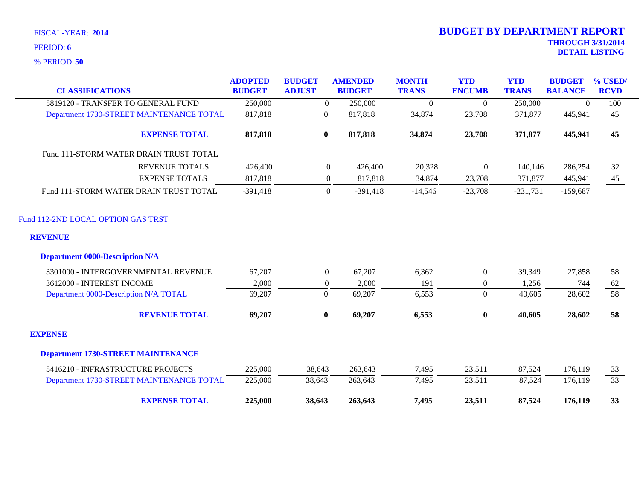**50** % PERIOD:

| <b>CLASSIFICATIONS</b>                               | <b>ADOPTED</b><br><b>BUDGET</b> | <b>BUDGET</b><br><b>ADJUST</b> | <b>AMENDED</b><br><b>BUDGET</b> | <b>MONTH</b><br><b>TRANS</b> | <b>YTD</b><br><b>ENCUMB</b> | <b>YTD</b><br><b>TRANS</b> | <b>BUDGET</b><br><b>BALANCE</b> | % USED/<br><b>RCVD</b> |
|------------------------------------------------------|---------------------------------|--------------------------------|---------------------------------|------------------------------|-----------------------------|----------------------------|---------------------------------|------------------------|
| 5819120 - TRANSFER TO GENERAL FUND                   | 250,000                         |                                | 250,000<br>$\overline{0}$       | $\Omega$                     | $\boldsymbol{0}$            | 250,000                    | $\theta$                        | 100                    |
| Department 1730-STREET MAINTENANCE TOTAL             | 817,818                         | $\boldsymbol{0}$               | 817,818                         | 34,874                       | 23,708                      | 371,877                    | 445,941                         | 45                     |
| <b>EXPENSE TOTAL</b>                                 | 817,818                         | $\bf{0}$                       | 817,818                         | 34,874                       | 23,708                      | 371,877                    | 445,941                         | 45                     |
| Fund 111-STORM WATER DRAIN TRUST TOTAL               |                                 |                                |                                 |                              |                             |                            |                                 |                        |
| <b>REVENUE TOTALS</b>                                | 426,400                         |                                | $\overline{0}$<br>426,400       | 20,328                       | $\mathbf{0}$                | 140,146                    | 286,254                         | 32                     |
| <b>EXPENSE TOTALS</b>                                | 817,818                         |                                | 817,818<br>$\overline{0}$       | 34,874                       | 23,708                      | 371,877                    | 445,941                         | 45                     |
| Fund 111-STORM WATER DRAIN TRUST TOTAL               | $-391,418$                      |                                | $\overline{0}$<br>$-391,418$    | $-14,546$                    | $-23,708$                   | $-231,731$                 | $-159,687$                      |                        |
| Fund 112-2ND LOCAL OPTION GAS TRST<br><b>REVENUE</b> |                                 |                                |                                 |                              |                             |                            |                                 |                        |
| <b>Department 0000-Description N/A</b>               |                                 |                                |                                 |                              |                             |                            |                                 |                        |
| 3301000 - INTERGOVERNMENTAL REVENUE                  | 67,207                          |                                | $\overline{0}$<br>67,207        | 6,362                        | $\boldsymbol{0}$            | 39,349                     | 27,858                          | 58                     |
| 3612000 - INTEREST INCOME                            | 2,000                           |                                | 2,000<br>$\theta$               | 191                          | $\overline{0}$              | 1,256                      | 744                             | 62                     |
| Department 0000-Description N/A TOTAL                | 69,207                          | $\boldsymbol{0}$               | 69,207                          | 6,553                        | $\boldsymbol{0}$            | 40,605                     | 28,602                          | 58                     |
| <b>REVENUE TOTAL</b>                                 | 69,207                          | $\bf{0}$                       | 69,207                          | 6,553                        | $\bf{0}$                    | 40,605                     | 28,602                          | 58                     |
| <b>EXPENSE</b>                                       |                                 |                                |                                 |                              |                             |                            |                                 |                        |
| <b>Department 1730-STREET MAINTENANCE</b>            |                                 |                                |                                 |                              |                             |                            |                                 |                        |
| 5416210 - INFRASTRUCTURE PROJECTS                    | 225,000                         | 38,643                         | 263,643                         | 7,495                        | 23,511                      | 87,524                     | 176,119                         | 33                     |
| Department 1730-STREET MAINTENANCE TOTAL             | 225,000                         | 38,643                         | 263,643                         | 7,495                        | 23,511                      | 87,524                     | 176,119                         | 33                     |
| <b>EXPENSE TOTAL</b>                                 | 225,000                         | 38,643                         | 263,643                         | 7,495                        | 23,511                      | 87,524                     | 176,119                         | 33                     |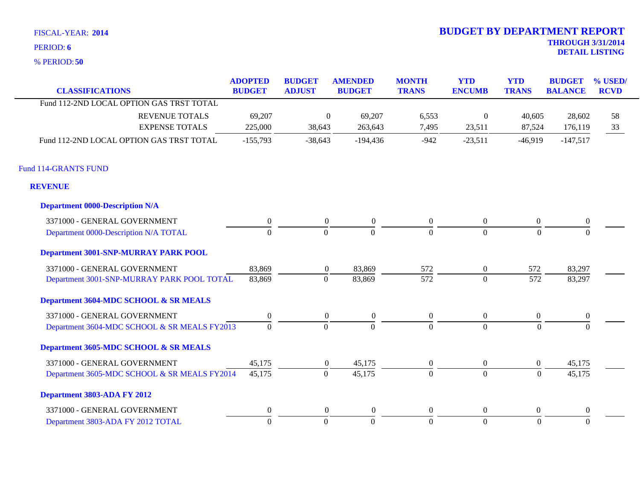**50** % PERIOD:

| <b>CLASSIFICATIONS</b>                       | <b>ADOPTED</b><br><b>BUDGET</b> | <b>BUDGET</b><br><b>ADJUST</b> | <b>AMENDED</b><br><b>BUDGET</b> | <b>MONTH</b><br><b>TRANS</b> | <b>YTD</b><br><b>ENCUMB</b> | <b>YTD</b><br><b>TRANS</b> | <b>BUDGET</b><br><b>BALANCE</b> | % USED/<br><b>RCVD</b> |
|----------------------------------------------|---------------------------------|--------------------------------|---------------------------------|------------------------------|-----------------------------|----------------------------|---------------------------------|------------------------|
| Fund 112-2ND LOCAL OPTION GAS TRST TOTAL     |                                 |                                |                                 |                              |                             |                            |                                 |                        |
| <b>REVENUE TOTALS</b>                        | 69,207                          | $\boldsymbol{0}$               | 69,207                          | 6,553                        | $\boldsymbol{0}$            | 40,605                     | 28,602                          | 58                     |
| <b>EXPENSE TOTALS</b>                        | 225,000                         | 38,643                         | 263,643                         | 7,495                        | 23,511                      | 87,524                     | 176,119                         | 33                     |
| Fund 112-2ND LOCAL OPTION GAS TRST TOTAL     | $-155,793$                      | $-38,643$                      | $-194,436$                      | $-942$                       | $-23,511$                   | $-46,919$                  | $-147,517$                      |                        |
| <b>Fund 114-GRANTS FUND</b>                  |                                 |                                |                                 |                              |                             |                            |                                 |                        |
| <b>REVENUE</b>                               |                                 |                                |                                 |                              |                             |                            |                                 |                        |
| <b>Department 0000-Description N/A</b>       |                                 |                                |                                 |                              |                             |                            |                                 |                        |
| 3371000 - GENERAL GOVERNMENT                 | $\theta$                        | $\overline{0}$                 | $\boldsymbol{0}$                | $\boldsymbol{0}$             | $\overline{0}$              | $\overline{0}$             | $\boldsymbol{0}$                |                        |
| Department 0000-Description N/A TOTAL        | $\Omega$                        | $\mathbf{0}$                   | $\Omega$                        | $\Omega$                     | $\overline{0}$              | $\Omega$                   | $\Omega$                        |                        |
| <b>Department 3001-SNP-MURRAY PARK POOL</b>  |                                 |                                |                                 |                              |                             |                            |                                 |                        |
| 3371000 - GENERAL GOVERNMENT                 | 83,869                          | $\overline{0}$                 | 83,869                          | 572                          | $\overline{0}$              | 572                        | 83,297                          |                        |
| Department 3001-SNP-MURRAY PARK POOL TOTAL   | 83,869                          | $\mathbf{0}$                   | 83,869                          | 572                          | $\overline{0}$              | 572                        | 83,297                          |                        |
| Department 3604-MDC SCHOOL & SR MEALS        |                                 |                                |                                 |                              |                             |                            |                                 |                        |
| 3371000 - GENERAL GOVERNMENT                 | $\theta$                        | $\overline{0}$                 | $\boldsymbol{0}$                | $\boldsymbol{0}$             | $\overline{0}$              | $\overline{0}$             | $\mathbf{0}$                    |                        |
| Department 3604-MDC SCHOOL & SR MEALS FY2013 | $\overline{0}$                  | $\mathbf{0}$                   | $\Omega$                        | $\Omega$                     | $\theta$                    | $\Omega$                   | $\Omega$                        |                        |
| Department 3605-MDC SCHOOL & SR MEALS        |                                 |                                |                                 |                              |                             |                            |                                 |                        |
| 3371000 - GENERAL GOVERNMENT                 | 45,175                          | $\overline{0}$                 | 45,175                          | $\overline{0}$               | $\overline{0}$              | $\overline{0}$             | 45,175                          |                        |
| Department 3605-MDC SCHOOL & SR MEALS FY2014 | 45,175                          | $\mathbf{0}$                   | 45,175                          | $\overline{0}$               | $\overline{0}$              | $\mathbf{0}$               | 45,175                          |                        |
| Department 3803-ADA FY 2012                  |                                 |                                |                                 |                              |                             |                            |                                 |                        |
| 3371000 - GENERAL GOVERNMENT                 | $\theta$                        | $\overline{0}$                 | $\overline{0}$                  | $\theta$                     | $\boldsymbol{0}$            | $\overline{0}$             | $\mathbf{0}$                    |                        |
| Department 3803-ADA FY 2012 TOTAL            | $\overline{0}$                  | $\mathbf{0}$                   | $\overline{0}$                  | $\overline{0}$               | $\overline{0}$              | $\overline{0}$             | $\mathbf{0}$                    |                        |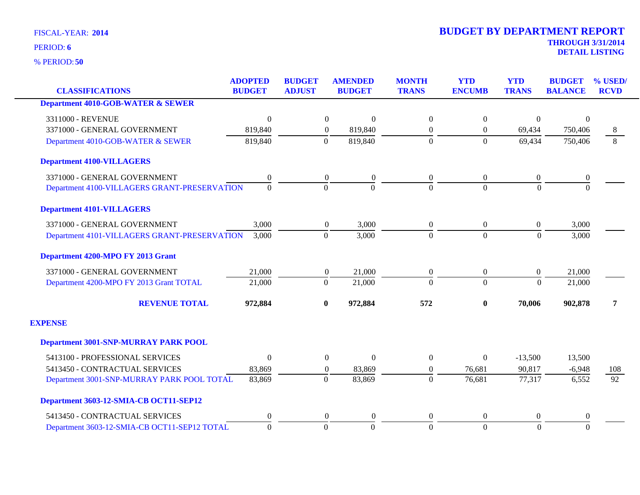**50** % PERIOD:

| <b>CLASSIFICATIONS</b>                       | <b>ADOPTED</b><br><b>BUDGET</b> | <b>BUDGET</b><br><b>ADJUST</b> | <b>AMENDED</b><br><b>BUDGET</b> | <b>MONTH</b><br><b>TRANS</b> | <b>YTD</b><br><b>ENCUMB</b> | <b>YTD</b><br><b>TRANS</b> | <b>BUDGET</b><br><b>BALANCE</b> | % USED/<br><b>RCVD</b> |
|----------------------------------------------|---------------------------------|--------------------------------|---------------------------------|------------------------------|-----------------------------|----------------------------|---------------------------------|------------------------|
| <b>Department 4010-GOB-WATER &amp; SEWER</b> |                                 |                                |                                 |                              |                             |                            |                                 |                        |
|                                              |                                 |                                |                                 |                              |                             |                            |                                 |                        |
| 3311000 - REVENUE                            | $\boldsymbol{0}$                | $\boldsymbol{0}$               | $\boldsymbol{0}$                | $\boldsymbol{0}$             | $\boldsymbol{0}$            | $\boldsymbol{0}$           | $\mathbf{0}$                    |                        |
| 3371000 - GENERAL GOVERNMENT                 | 819,840                         | $\overline{0}$                 | 819,840                         | $\boldsymbol{0}$             | $\overline{0}$              | 69,434                     | 750,406                         | 8                      |
| Department 4010-GOB-WATER & SEWER            | 819,840                         | $\Omega$                       | 819,840                         | $\Omega$                     | $\Omega$                    | 69,434                     | 750,406                         | 8                      |
| <b>Department 4100-VILLAGERS</b>             |                                 |                                |                                 |                              |                             |                            |                                 |                        |
| 3371000 - GENERAL GOVERNMENT                 | $\boldsymbol{0}$                | $\boldsymbol{0}$               | $\boldsymbol{0}$                | $\boldsymbol{0}$             | $\overline{0}$              | $\boldsymbol{0}$           | 0                               |                        |
| Department 4100-VILLAGERS GRANT-PRESERVATION | $\Omega$                        | $\theta$                       | $\Omega$                        | $\Omega$                     | $\Omega$                    | $\Omega$                   | $\Omega$                        |                        |
| <b>Department 4101-VILLAGERS</b>             |                                 |                                |                                 |                              |                             |                            |                                 |                        |
| 3371000 - GENERAL GOVERNMENT                 | 3,000                           | $\overline{0}$                 | 3,000                           | $\boldsymbol{0}$             | $\overline{0}$              | $\boldsymbol{0}$           | 3,000                           |                        |
| Department 4101-VILLAGERS GRANT-PRESERVATION | 3,000                           | $\Omega$                       | 3,000                           | $\Omega$                     | $\Omega$                    | $\Omega$                   | 3,000                           |                        |
| Department 4200-MPO FY 2013 Grant            |                                 |                                |                                 |                              |                             |                            |                                 |                        |
| 3371000 - GENERAL GOVERNMENT                 | 21,000                          | $\boldsymbol{0}$               | 21,000                          | $\boldsymbol{0}$             | $\overline{0}$              | $\boldsymbol{0}$           | 21,000                          |                        |
| Department 4200-MPO FY 2013 Grant TOTAL      | 21,000                          | $\boldsymbol{0}$               | 21,000                          | $\overline{0}$               | $\Omega$                    | $\overline{0}$             | 21,000                          |                        |
| <b>REVENUE TOTAL</b>                         | 972,884                         | $\bf{0}$                       | 972,884                         | 572                          | $\bf{0}$                    | 70,006                     | 902,878                         | 7                      |
| <b>EXPENSE</b>                               |                                 |                                |                                 |                              |                             |                            |                                 |                        |
| <b>Department 3001-SNP-MURRAY PARK POOL</b>  |                                 |                                |                                 |                              |                             |                            |                                 |                        |
| 5413100 - PROFESSIONAL SERVICES              | $\mathbf{0}$                    | $\boldsymbol{0}$               | $\boldsymbol{0}$                | $\boldsymbol{0}$             | $\Omega$                    | $-13,500$                  | 13,500                          |                        |
| 5413450 - CONTRACTUAL SERVICES               | 83,869                          | $\overline{0}$                 | 83,869                          | $\boldsymbol{0}$             | 76,681                      | 90,817                     | $-6,948$                        | 108                    |
| Department 3001-SNP-MURRAY PARK POOL TOTAL   | 83,869                          | $\boldsymbol{0}$               | 83,869                          | $\boldsymbol{0}$             | 76,681                      | 77,317                     | 6,552                           | $\overline{92}$        |
| Department 3603-12-SMIA-CB OCT11-SEP12       |                                 |                                |                                 |                              |                             |                            |                                 |                        |
| 5413450 - CONTRACTUAL SERVICES               | $\theta$                        | $\overline{0}$                 | $\theta$                        | $\overline{0}$               | $\Omega$                    | $\overline{0}$             | $\mathbf{0}$                    |                        |
| Department 3603-12-SMIA-CB OCT11-SEP12 TOTAL | $\mathbf{0}$                    | $\Omega$                       | $\Omega$                        | $\boldsymbol{0}$             | $\overline{0}$              | $\theta$                   | $\overline{0}$                  |                        |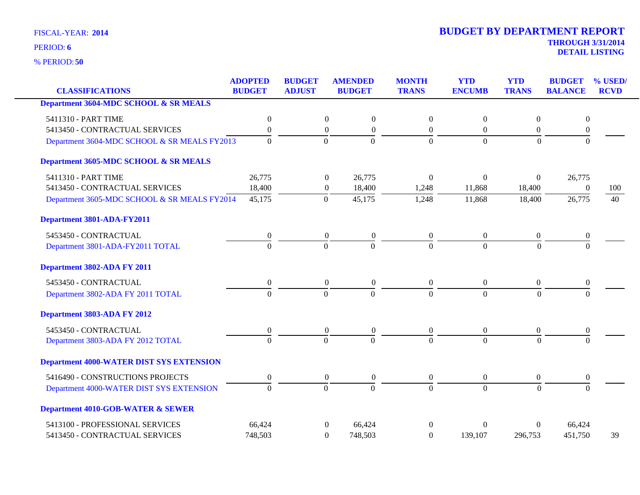**50** % PERIOD:

|                                                  | <b>ADOPTED</b>   | <b>BUDGET</b>    | <b>AMENDED</b>                       | <b>MONTH</b>     | <b>YTD</b>       | <b>YTD</b>       | <b>BUDGET</b>    | % USED/     |
|--------------------------------------------------|------------------|------------------|--------------------------------------|------------------|------------------|------------------|------------------|-------------|
| <b>CLASSIFICATIONS</b>                           | <b>BUDGET</b>    | <b>ADJUST</b>    | <b>BUDGET</b>                        | <b>TRANS</b>     | <b>ENCUMB</b>    | <b>TRANS</b>     | <b>BALANCE</b>   | <b>RCVD</b> |
| <b>Department 3604-MDC SCHOOL &amp; SR MEALS</b> |                  |                  |                                      |                  |                  |                  |                  |             |
| 5411310 - PART TIME                              | $\boldsymbol{0}$ | $\boldsymbol{0}$ | $\boldsymbol{0}$                     | $\mathbf{0}$     | $\boldsymbol{0}$ | $\boldsymbol{0}$ | $\boldsymbol{0}$ |             |
| 5413450 - CONTRACTUAL SERVICES                   | $\boldsymbol{0}$ | $\boldsymbol{0}$ | $\boldsymbol{0}$                     | $\boldsymbol{0}$ | $\boldsymbol{0}$ | $\overline{0}$   | $\boldsymbol{0}$ |             |
| Department 3604-MDC SCHOOL & SR MEALS FY2013     | $\Omega$         | $\theta$         | $\overline{0}$                       | $\Omega$         | $\overline{0}$   | $\Omega$         | $\Omega$         |             |
| Department 3605-MDC SCHOOL & SR MEALS            |                  |                  |                                      |                  |                  |                  |                  |             |
| 5411310 - PART TIME                              | 26,775           | $\boldsymbol{0}$ | 26,775                               | $\Omega$         | $\boldsymbol{0}$ | $\boldsymbol{0}$ | 26,775           |             |
| 5413450 - CONTRACTUAL SERVICES                   | 18,400           | $\boldsymbol{0}$ | 18,400                               | 1,248            | 11,868           | 18,400           | $\theta$         | 100         |
| Department 3605-MDC SCHOOL & SR MEALS FY2014     | 45,175           | $\overline{0}$   | 45,175                               | 1,248            | 11,868           | 18,400           | 26,775           | 40          |
| Department 3801-ADA-FY2011                       |                  |                  |                                      |                  |                  |                  |                  |             |
| 5453450 - CONTRACTUAL                            | $\boldsymbol{0}$ | $\boldsymbol{0}$ | $\boldsymbol{0}$                     | $\boldsymbol{0}$ | $\boldsymbol{0}$ | $\boldsymbol{0}$ | $\boldsymbol{0}$ |             |
| Department 3801-ADA-FY2011 TOTAL                 | $\theta$         | $\theta$         | $\overline{0}$                       | $\Omega$         | $\theta$         | $\Omega$         | $\theta$         |             |
| Department 3802-ADA FY 2011                      |                  |                  |                                      |                  |                  |                  |                  |             |
| 5453450 - CONTRACTUAL                            | $\boldsymbol{0}$ |                  | $\boldsymbol{0}$<br>$\boldsymbol{0}$ | $\overline{0}$   | $\boldsymbol{0}$ | $\overline{0}$   | $\boldsymbol{0}$ |             |
| Department 3802-ADA FY 2011 TOTAL                | $\Omega$         | $\Omega$         | $\overline{0}$                       | $\Omega$         | $\theta$         | $\Omega$         | $\Omega$         |             |
| Department 3803-ADA FY 2012                      |                  |                  |                                      |                  |                  |                  |                  |             |
| 5453450 - CONTRACTUAL                            | $\boldsymbol{0}$ | $\boldsymbol{0}$ | $\boldsymbol{0}$                     | $\boldsymbol{0}$ | $\boldsymbol{0}$ | $\boldsymbol{0}$ | $\boldsymbol{0}$ |             |
| Department 3803-ADA FY 2012 TOTAL                | $\Omega$         | $\overline{0}$   | $\Omega$                             | $\Omega$         | $\overline{0}$   | $\Omega$         | $\theta$         |             |
| <b>Department 4000-WATER DIST SYS EXTENSION</b>  |                  |                  |                                      |                  |                  |                  |                  |             |
| 5416490 - CONSTRUCTIONS PROJECTS                 | $\boldsymbol{0}$ | $\boldsymbol{0}$ | $\boldsymbol{0}$                     | $\overline{0}$   | $\boldsymbol{0}$ | $\overline{0}$   | $\boldsymbol{0}$ |             |
| Department 4000-WATER DIST SYS EXTENSION         | $\overline{0}$   | $\mathbf{0}$     | $\overline{0}$                       | $\overline{0}$   | $\overline{0}$   | $\Omega$         | $\overline{0}$   |             |
| <b>Department 4010-GOB-WATER &amp; SEWER</b>     |                  |                  |                                      |                  |                  |                  |                  |             |
| 5413100 - PROFESSIONAL SERVICES                  | 66,424           |                  | 66,424<br>$\mathbf{0}$               | $\Omega$         | $\theta$         | $\theta$         | 66,424           |             |
| 5413450 - CONTRACTUAL SERVICES                   | 748,503          |                  | $\Omega$<br>748,503                  | $\Omega$         | 139,107          | 296,753          | 451,750          | 39          |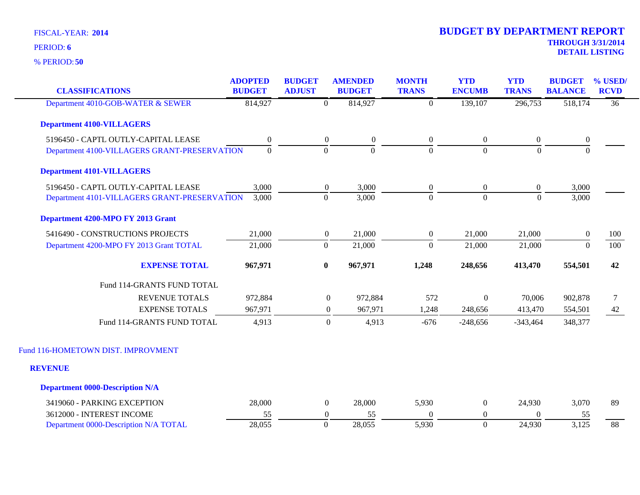| <b>DETAIL LISTING</b> |
|-----------------------|

| <b>CLASSIFICATIONS</b>                       | <b>ADOPTED</b><br><b>BUDGET</b> | <b>BUDGET</b><br><b>ADJUST</b> | <b>AMENDED</b><br><b>BUDGET</b> | <b>MONTH</b><br><b>TRANS</b> | <b>YTD</b><br><b>ENCUMB</b> | <b>YTD</b><br><b>TRANS</b> | <b>BUDGET</b><br><b>BALANCE</b> | % USED/<br><b>RCVD</b> |
|----------------------------------------------|---------------------------------|--------------------------------|---------------------------------|------------------------------|-----------------------------|----------------------------|---------------------------------|------------------------|
| Department 4010-GOB-WATER & SEWER            | 814,927                         | $\overline{0}$                 | 814,927                         | $\mathbf{0}$                 | 139,107                     | 296,753                    | 518,174                         | $\overline{36}$        |
| <b>Department 4100-VILLAGERS</b>             |                                 |                                |                                 |                              |                             |                            |                                 |                        |
| 5196450 - CAPTL OUTLY-CAPITAL LEASE          | $\boldsymbol{0}$                | $\boldsymbol{0}$               | $\mathbf{0}$                    | $\boldsymbol{0}$             | $\boldsymbol{0}$            | $\boldsymbol{0}$           | $\boldsymbol{0}$                |                        |
| Department 4100-VILLAGERS GRANT-PRESERVATION | $\boldsymbol{0}$                | $\boldsymbol{0}$               | $\boldsymbol{0}$                | $\boldsymbol{0}$             | $\boldsymbol{0}$            | $\boldsymbol{0}$           | $\boldsymbol{0}$                |                        |
| <b>Department 4101-VILLAGERS</b>             |                                 |                                |                                 |                              |                             |                            |                                 |                        |
| 5196450 - CAPTL OUTLY-CAPITAL LEASE          | 3,000                           | $\boldsymbol{0}$               | 3,000                           | $\boldsymbol{0}$             | $\boldsymbol{0}$            | $\boldsymbol{0}$           | 3,000                           |                        |
| Department 4101-VILLAGERS GRANT-PRESERVATION | 3,000                           | $\mathbf{0}$                   | 3,000                           | $\overline{0}$               | $\overline{0}$              | $\overline{0}$             | 3,000                           |                        |
| Department 4200-MPO FY 2013 Grant            |                                 |                                |                                 |                              |                             |                            |                                 |                        |
| 5416490 - CONSTRUCTIONS PROJECTS             | 21,000                          | $\overline{0}$                 | 21,000                          | $\boldsymbol{0}$             | 21,000                      | 21,000                     | $\boldsymbol{0}$                | 100                    |
| Department 4200-MPO FY 2013 Grant TOTAL      | 21,000                          | $\boldsymbol{0}$               | 21,000                          | $\boldsymbol{0}$             | 21,000                      | 21,000                     | $\boldsymbol{0}$                | 100                    |
| <b>EXPENSE TOTAL</b>                         | 967,971                         | $\bf{0}$                       | 967,971                         | 1,248                        | 248,656                     | 413,470                    | 554,501                         | 42                     |
| Fund 114-GRANTS FUND TOTAL                   |                                 |                                |                                 |                              |                             |                            |                                 |                        |
| <b>REVENUE TOTALS</b>                        | 972,884                         |                                | $\boldsymbol{0}$<br>972,884     | 572                          | $\boldsymbol{0}$            | 70,006                     | 902,878                         | $\tau$                 |
| <b>EXPENSE TOTALS</b>                        | 967,971                         |                                | 967,971<br>$\boldsymbol{0}$     | 1,248                        | 248,656                     | 413,470                    | 554,501                         | 42                     |
| Fund 114-GRANTS FUND TOTAL                   | 4,913                           |                                | $\mathbf{0}$<br>4,913           | $-676$                       | $-248,656$                  | $-343,464$                 | 348,377                         |                        |
| Fund 116-HOMETOWN DIST. IMPROVMENT           |                                 |                                |                                 |                              |                             |                            |                                 |                        |
| <b>REVENUE</b>                               |                                 |                                |                                 |                              |                             |                            |                                 |                        |
| <b>Department 0000-Description N/A</b>       |                                 |                                |                                 |                              |                             |                            |                                 |                        |
| 3419060 - PARKING EXCEPTION                  | 28,000                          | $\overline{0}$                 | 28,000                          | 5,930                        | $\boldsymbol{0}$            | 24,930                     | 3,070                           | 89                     |
| 3612000 - INTEREST INCOME                    | 55                              | $\boldsymbol{0}$               | 55                              | $\boldsymbol{0}$             | $\boldsymbol{0}$            | $\Omega$                   | 55                              |                        |
| Department 0000-Description N/A TOTAL        | 28,055                          | $\mathbf{0}$                   | 28,055                          | 5,930                        | $\boldsymbol{0}$            | 24,930                     | 3,125                           | 88                     |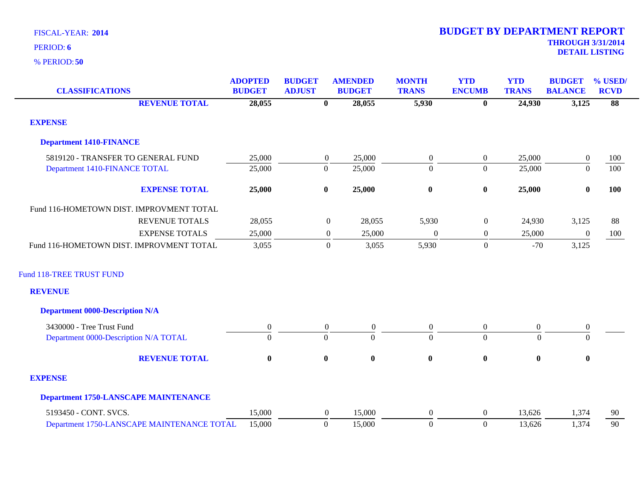| <b>CLASSIFICATIONS</b>                      | <b>ADOPTED</b><br><b>BUDGET</b> | <b>BUDGET</b><br><b>ADJUST</b> |                  | <b>AMENDED</b><br><b>BUDGET</b> | <b>MONTH</b><br><b>TRANS</b> | <b>YTD</b><br><b>ENCUMB</b> | <b>YTD</b><br><b>TRANS</b> | <b>BUDGET</b><br><b>BALANCE</b> | % USED/<br><b>RCVD</b> |
|---------------------------------------------|---------------------------------|--------------------------------|------------------|---------------------------------|------------------------------|-----------------------------|----------------------------|---------------------------------|------------------------|
| <b>REVENUE TOTAL</b>                        | 28,055                          |                                | $\mathbf{0}$     | 28,055                          | 5,930                        | $\bf{0}$                    | 24,930                     | 3,125                           | 88                     |
| <b>EXPENSE</b>                              |                                 |                                |                  |                                 |                              |                             |                            |                                 |                        |
| <b>Department 1410-FINANCE</b>              |                                 |                                |                  |                                 |                              |                             |                            |                                 |                        |
| 5819120 - TRANSFER TO GENERAL FUND          | 25,000                          |                                | $\overline{0}$   | 25,000                          | $\boldsymbol{0}$             | $\overline{0}$              | 25,000                     | $\boldsymbol{0}$                | 100                    |
| Department 1410-FINANCE TOTAL               | 25,000                          |                                | $\boldsymbol{0}$ | 25,000                          | $\boldsymbol{0}$             | $\overline{0}$              | 25,000                     | $\boldsymbol{0}$                | 100                    |
| <b>EXPENSE TOTAL</b>                        | 25,000                          |                                | $\bf{0}$         | 25,000                          | $\boldsymbol{0}$             | $\pmb{0}$                   | 25,000                     | $\bf{0}$                        | 100                    |
| Fund 116-HOMETOWN DIST. IMPROVMENT TOTAL    |                                 |                                |                  |                                 |                              |                             |                            |                                 |                        |
| <b>REVENUE TOTALS</b>                       | 28,055                          |                                | $\boldsymbol{0}$ | 28,055                          | 5,930                        | $\boldsymbol{0}$            | 24,930                     | 3,125                           | 88                     |
| <b>EXPENSE TOTALS</b>                       | 25,000                          |                                | $\boldsymbol{0}$ | 25,000                          | $\boldsymbol{0}$             | $\boldsymbol{0}$            | 25,000                     | $\boldsymbol{0}$                | 100                    |
| Fund 116-HOMETOWN DIST. IMPROVMENT TOTAL    | 3,055                           |                                | $\overline{0}$   | 3,055                           | 5,930                        | $\boldsymbol{0}$            | $-70$                      | 3,125                           |                        |
| <b>Fund 118-TREE TRUST FUND</b>             |                                 |                                |                  |                                 |                              |                             |                            |                                 |                        |
| <b>REVENUE</b>                              |                                 |                                |                  |                                 |                              |                             |                            |                                 |                        |
| <b>Department 0000-Description N/A</b>      |                                 |                                |                  |                                 |                              |                             |                            |                                 |                        |
| 3430000 - Tree Trust Fund                   | $\overline{0}$                  |                                | $\overline{0}$   | $\overline{0}$                  | $\boldsymbol{0}$             | $\overline{0}$              | $\boldsymbol{0}$           | $\boldsymbol{0}$                |                        |
| Department 0000-Description N/A TOTAL       | $\Omega$                        |                                | $\Omega$         | $\Omega$                        | $\theta$                     | $\overline{0}$              | $\Omega$                   | $\Omega$                        |                        |
| <b>REVENUE TOTAL</b>                        | $\bf{0}$                        |                                | $\bf{0}$         | $\bf{0}$                        | $\bf{0}$                     | $\pmb{0}$                   | $\boldsymbol{0}$           | $\bf{0}$                        |                        |
| <b>EXPENSE</b>                              |                                 |                                |                  |                                 |                              |                             |                            |                                 |                        |
| <b>Department 1750-LANSCAPE MAINTENANCE</b> |                                 |                                |                  |                                 |                              |                             |                            |                                 |                        |
| 5193450 - CONT. SVCS.                       | 15,000                          |                                | $\boldsymbol{0}$ | 15,000                          | $\boldsymbol{0}$             | $\overline{0}$              | 13,626                     | 1,374                           | 90                     |
| Department 1750-LANSCAPE MAINTENANCE TOTAL  | 15,000                          |                                | $\mathbf{0}$     | 15,000                          | $\boldsymbol{0}$             | $\overline{0}$              | 13,626                     | 1,374                           | 90                     |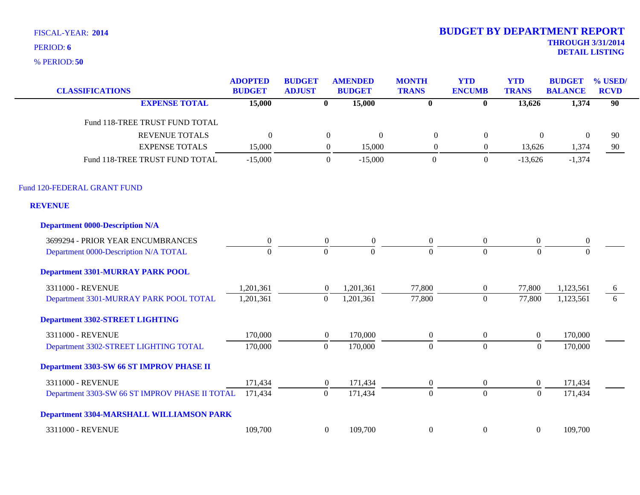**50** % PERIOD:

| <b>CLASSIFICATIONS</b>                          | <b>ADOPTED</b><br><b>BUDGET</b> | <b>BUDGET</b><br><b>ADJUST</b> | <b>AMENDED</b><br><b>BUDGET</b> | <b>MONTH</b><br><b>TRANS</b> | <b>YTD</b><br><b>ENCUMB</b> | <b>YTD</b><br><b>TRANS</b> | <b>BUDGET</b><br><b>BALANCE</b> | % USED/<br><b>RCVD</b> |
|-------------------------------------------------|---------------------------------|--------------------------------|---------------------------------|------------------------------|-----------------------------|----------------------------|---------------------------------|------------------------|
| <b>EXPENSE TOTAL</b>                            | 15,000                          | $\bf{0}$                       | 15,000                          | $\mathbf{0}$                 | $\bf{0}$                    | 13,626                     | 1,374                           | $\overline{90}$        |
| Fund 118-TREE TRUST FUND TOTAL                  |                                 |                                |                                 |                              |                             |                            |                                 |                        |
| <b>REVENUE TOTALS</b>                           | $\theta$                        | $\boldsymbol{0}$               | $\mathbf{0}$                    | $\boldsymbol{0}$             | $\boldsymbol{0}$            | $\boldsymbol{0}$           | $\overline{0}$                  | 90                     |
| <b>EXPENSE TOTALS</b>                           | 15,000                          | $\boldsymbol{0}$               | 15,000                          | $\boldsymbol{0}$             | $\boldsymbol{0}$            | 13,626                     | 1,374                           | 90                     |
| Fund 118-TREE TRUST FUND TOTAL                  | $-15,000$                       | $\boldsymbol{0}$               | $-15,000$                       | $\boldsymbol{0}$             | $\boldsymbol{0}$            | $-13,626$                  | $-1,374$                        |                        |
| Fund 120-FEDERAL GRANT FUND                     |                                 |                                |                                 |                              |                             |                            |                                 |                        |
| <b>REVENUE</b>                                  |                                 |                                |                                 |                              |                             |                            |                                 |                        |
| <b>Department 0000-Description N/A</b>          |                                 |                                |                                 |                              |                             |                            |                                 |                        |
| 3699294 - PRIOR YEAR ENCUMBRANCES               | $\overline{0}$                  | $\overline{0}$                 | $\overline{0}$                  | $\boldsymbol{0}$             | $\overline{0}$              | $\overline{0}$             | $\boldsymbol{0}$                |                        |
| Department 0000-Description N/A TOTAL           | $\Omega$                        | $\Omega$                       | $\theta$                        | $\theta$                     | $\Omega$                    | $\mathbf{0}$               | $\Omega$                        |                        |
| <b>Department 3301-MURRAY PARK POOL</b>         |                                 |                                |                                 |                              |                             |                            |                                 |                        |
| 3311000 - REVENUE                               | 1,201,361                       | $\overline{0}$                 | 1,201,361                       | 77,800                       | $\boldsymbol{0}$            | 77,800                     | 1,123,561                       | $\theta$               |
| Department 3301-MURRAY PARK POOL TOTAL          | 1,201,361                       | $\theta$                       | 1,201,361                       | 77,800                       | $\overline{0}$              | 77,800                     | 1,123,561                       | 6                      |
| <b>Department 3302-STREET LIGHTING</b>          |                                 |                                |                                 |                              |                             |                            |                                 |                        |
| 3311000 - REVENUE                               | 170,000                         | $\overline{0}$                 | 170,000                         | $\boldsymbol{0}$             | $\overline{0}$              | $\overline{0}$             | 170,000                         |                        |
| Department 3302-STREET LIGHTING TOTAL           | 170,000                         | $\mathbf{0}$                   | 170,000                         | $\overline{0}$               | $\overline{0}$              | $\boldsymbol{0}$           | 170,000                         |                        |
| Department 3303-SW 66 ST IMPROV PHASE II        |                                 |                                |                                 |                              |                             |                            |                                 |                        |
| 3311000 - REVENUE                               | 171,434                         | $\overline{0}$                 | 171,434                         | $\boldsymbol{0}$             | $\overline{0}$              | $\overline{0}$             | 171,434                         |                        |
| Department 3303-SW 66 ST IMPROV PHASE II TOTAL  | 171,434                         | $\overline{0}$                 | 171,434                         | $\overline{0}$               | $\overline{0}$              | $\overline{0}$             | 171,434                         |                        |
| <b>Department 3304-MARSHALL WILLIAMSON PARK</b> |                                 |                                |                                 |                              |                             |                            |                                 |                        |
| 3311000 - REVENUE                               | 109,700                         | $\mathbf{0}$                   | 109,700                         | $\boldsymbol{0}$             | $\boldsymbol{0}$            | $\mathbf{0}$               | 109,700                         |                        |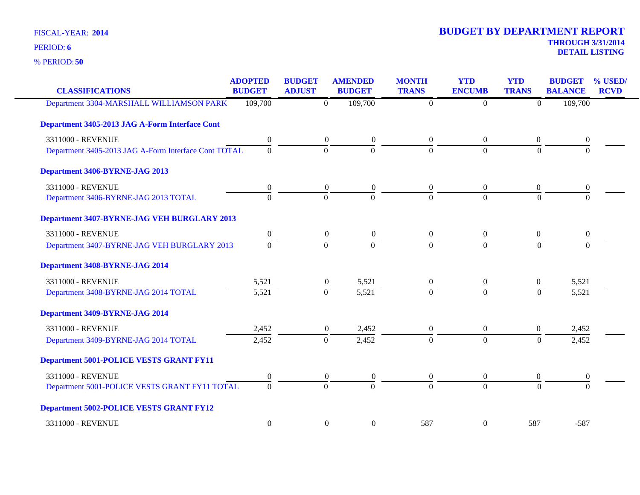**50** % PERIOD:

| <b>CLASSIFICATIONS</b>                               | <b>ADOPTED</b><br><b>BUDGET</b> | <b>BUDGET</b><br><b>ADJUST</b> | <b>AMENDED</b><br><b>BUDGET</b>      | <b>MONTH</b><br><b>TRANS</b> | <b>YTD</b><br><b>ENCUMB</b> | <b>YTD</b><br><b>TRANS</b> | <b>BUDGET</b><br><b>BALANCE</b> | % USED/<br><b>RCVD</b> |
|------------------------------------------------------|---------------------------------|--------------------------------|--------------------------------------|------------------------------|-----------------------------|----------------------------|---------------------------------|------------------------|
| Department 3304-MARSHALL WILLIAMSON PARK             | 109,700                         |                                | 109,700<br>$\overline{0}$            | $\overline{0}$               | $\overline{0}$              | $\overline{0}$             | 109,700                         |                        |
| Department 3405-2013 JAG A-Form Interface Cont       |                                 |                                |                                      |                              |                             |                            |                                 |                        |
| 3311000 - REVENUE                                    | $\boldsymbol{0}$                |                                | $\boldsymbol{0}$<br>$\boldsymbol{0}$ | $\overline{0}$               | $\boldsymbol{0}$            | $\mathbf{0}$               | $\boldsymbol{0}$                |                        |
| Department 3405-2013 JAG A-Form Interface Cont TOTAL | $\overline{0}$                  |                                | $\overline{0}$<br>$\overline{0}$     | $\overline{0}$               | $\mathbf{0}$                | $\overline{0}$             | $\overline{0}$                  |                        |
| Department 3406-BYRNE-JAG 2013                       |                                 |                                |                                      |                              |                             |                            |                                 |                        |
| 3311000 - REVENUE                                    | 0                               |                                | $\boldsymbol{0}$<br>$\boldsymbol{0}$ | $\boldsymbol{0}$             | $\boldsymbol{0}$            | $\boldsymbol{0}$           | $\boldsymbol{0}$                |                        |
| Department 3406-BYRNE-JAG 2013 TOTAL                 | $\Omega$                        |                                | $\overline{0}$<br>$\mathbf{0}$       | $\overline{0}$               | $\overline{0}$              | $\overline{0}$             | $\theta$                        |                        |
| Department 3407-BYRNE-JAG VEH BURGLARY 2013          |                                 |                                |                                      |                              |                             |                            |                                 |                        |
| 3311000 - REVENUE                                    | $\mathbf{0}$                    |                                | $\boldsymbol{0}$<br>$\overline{0}$   | $\overline{0}$               | $\overline{0}$              | $\overline{0}$             | $\boldsymbol{0}$                |                        |
| Department 3407-BYRNE-JAG VEH BURGLARY 2013          | $\overline{0}$                  |                                | $\mathbf{0}$<br>$\mathbf{0}$         | $\overline{0}$               | $\mathbf{0}$                | $\boldsymbol{0}$           | $\overline{0}$                  |                        |
| Department 3408-BYRNE-JAG 2014                       |                                 |                                |                                      |                              |                             |                            |                                 |                        |
| 3311000 - REVENUE                                    | 5,521                           |                                | $\boldsymbol{0}$<br>5,521            | $\boldsymbol{0}$             | $\boldsymbol{0}$            | $\boldsymbol{0}$           | 5,521                           |                        |
| Department 3408-BYRNE-JAG 2014 TOTAL                 | 5,521                           |                                | $\mathbf{0}$<br>5,521                | $\boldsymbol{0}$             | $\overline{0}$              | $\mathbf{0}$               | 5,521                           |                        |
| Department 3409-BYRNE-JAG 2014                       |                                 |                                |                                      |                              |                             |                            |                                 |                        |
| 3311000 - REVENUE                                    | 2,452                           |                                | $\boldsymbol{0}$<br>2,452            | $\boldsymbol{0}$             | $\boldsymbol{0}$            | $\mathbf{0}$               | 2,452                           |                        |
| Department 3409-BYRNE-JAG 2014 TOTAL                 | 2,452                           |                                | 2,452<br>$\theta$                    | $\Omega$                     | $\overline{0}$              | $\Omega$                   | 2,452                           |                        |
| <b>Department 5001-POLICE VESTS GRANT FY11</b>       |                                 |                                |                                      |                              |                             |                            |                                 |                        |
| 3311000 - REVENUE                                    | 0                               |                                | $\boldsymbol{0}$<br>$\boldsymbol{0}$ | $\boldsymbol{0}$             | $\boldsymbol{0}$            | $\boldsymbol{0}$           | $\boldsymbol{0}$                |                        |
| Department 5001-POLICE VESTS GRANT FY11 TOTAL        | $\Omega$                        |                                | $\mathbf{0}$<br>$\Omega$             | $\Omega$                     | $\theta$                    | $\Omega$                   | $\overline{0}$                  |                        |
| <b>Department 5002-POLICE VESTS GRANT FY12</b>       |                                 |                                |                                      |                              |                             |                            |                                 |                        |
| 3311000 - REVENUE                                    | $\overline{0}$                  |                                | $\boldsymbol{0}$<br>$\boldsymbol{0}$ | 587                          | $\boldsymbol{0}$            | 587                        | $-587$                          |                        |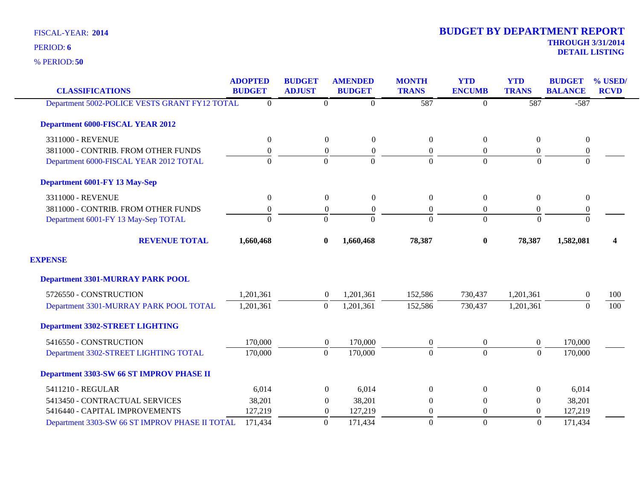**50** % PERIOD:

| <b>CLASSIFICATIONS</b>                         | <b>ADOPTED</b><br><b>BUDGET</b> | <b>BUDGET</b><br><b>ADJUST</b> | <b>AMENDED</b><br><b>BUDGET</b> | <b>MONTH</b><br><b>TRANS</b> | <b>YTD</b><br><b>ENCUMB</b> | <b>YTD</b><br><b>TRANS</b> | <b>BUDGET</b><br><b>BALANCE</b> | % USED/<br><b>RCVD</b>  |
|------------------------------------------------|---------------------------------|--------------------------------|---------------------------------|------------------------------|-----------------------------|----------------------------|---------------------------------|-------------------------|
| Department 5002-POLICE VESTS GRANT FY12 TOTAL  | $\theta$                        | $\boldsymbol{0}$               | $\overline{0}$                  | 587                          | $\overline{0}$              | 587                        | $-587$                          |                         |
| <b>Department 6000-FISCAL YEAR 2012</b>        |                                 |                                |                                 |                              |                             |                            |                                 |                         |
| 3311000 - REVENUE                              | $\boldsymbol{0}$                | $\boldsymbol{0}$               | $\boldsymbol{0}$                | $\boldsymbol{0}$             | $\boldsymbol{0}$            | $\boldsymbol{0}$           | $\boldsymbol{0}$                |                         |
| 3811000 - CONTRIB. FROM OTHER FUNDS            | $\boldsymbol{0}$                | $\boldsymbol{0}$               | $\boldsymbol{0}$                | $\boldsymbol{0}$             | $\overline{0}$              | $\boldsymbol{0}$           | $\boldsymbol{0}$                |                         |
| Department 6000-FISCAL YEAR 2012 TOTAL         | $\overline{0}$                  | $\overline{0}$                 | $\Omega$                        | $\Omega$                     | $\theta$                    | $\Omega$                   | $\theta$                        |                         |
| Department 6001-FY 13 May-Sep                  |                                 |                                |                                 |                              |                             |                            |                                 |                         |
| 3311000 - REVENUE                              | $\boldsymbol{0}$                | $\boldsymbol{0}$               | $\overline{0}$                  | $\boldsymbol{0}$             | $\overline{0}$              | $\mathbf{0}$               | $\overline{0}$                  |                         |
| 3811000 - CONTRIB. FROM OTHER FUNDS            | $\boldsymbol{0}$                | $\boldsymbol{0}$               | $\boldsymbol{0}$                | $\boldsymbol{0}$             | $\overline{0}$              | $\boldsymbol{0}$           | $\boldsymbol{0}$                |                         |
| Department 6001-FY 13 May-Sep TOTAL            | $\theta$                        | $\Omega$                       | $\Omega$                        | $\Omega$                     | $\Omega$                    | $\Omega$                   | $\mathbf{0}$                    |                         |
| <b>REVENUE TOTAL</b>                           | 1,660,468                       | $\bf{0}$                       | 1,660,468                       | 78,387                       | $\bf{0}$                    | 78,387                     | 1,582,081                       | $\overline{\mathbf{4}}$ |
| <b>EXPENSE</b>                                 |                                 |                                |                                 |                              |                             |                            |                                 |                         |
| <b>Department 3301-MURRAY PARK POOL</b>        |                                 |                                |                                 |                              |                             |                            |                                 |                         |
| 5726550 - CONSTRUCTION                         | 1,201,361                       | $\overline{0}$                 | 1,201,361                       | 152,586                      | 730,437                     | 1,201,361                  | $\overline{0}$                  | 100                     |
| Department 3301-MURRAY PARK POOL TOTAL         | 1,201,361                       | $\overline{0}$                 | 1,201,361                       | 152,586                      | 730,437                     | 1,201,361                  | $\theta$                        | 100                     |
| <b>Department 3302-STREET LIGHTING</b>         |                                 |                                |                                 |                              |                             |                            |                                 |                         |
| 5416550 - CONSTRUCTION                         | 170,000                         | $\boldsymbol{0}$               | 170,000                         | $\boldsymbol{0}$             | $\overline{0}$              | $\overline{0}$             | 170,000                         |                         |
| Department 3302-STREET LIGHTING TOTAL          | 170,000                         | $\boldsymbol{0}$               | 170,000                         | $\Omega$                     | $\Omega$                    | $\Omega$                   | 170,000                         |                         |
| Department 3303-SW 66 ST IMPROV PHASE II       |                                 |                                |                                 |                              |                             |                            |                                 |                         |
| 5411210 - REGULAR                              | 6,014                           | $\overline{0}$                 | 6,014                           | $\Omega$                     | $\Omega$                    | $\overline{0}$             | 6,014                           |                         |
| 5413450 - CONTRACTUAL SERVICES                 | 38,201                          | $\overline{0}$                 | 38,201                          | $\mathbf{0}$                 | $\mathbf{0}$                | $\mathbf{0}$               | 38,201                          |                         |
| 5416440 - CAPITAL IMPROVEMENTS                 | 127,219                         | $\theta$                       | 127,219                         | $\overline{0}$               | $\overline{0}$              | $\boldsymbol{0}$           | 127,219                         |                         |
| Department 3303-SW 66 ST IMPROV PHASE II TOTAL | 171,434                         | $\Omega$                       | 171,434                         | $\Omega$                     | $\overline{0}$              | $\Omega$                   | 171,434                         |                         |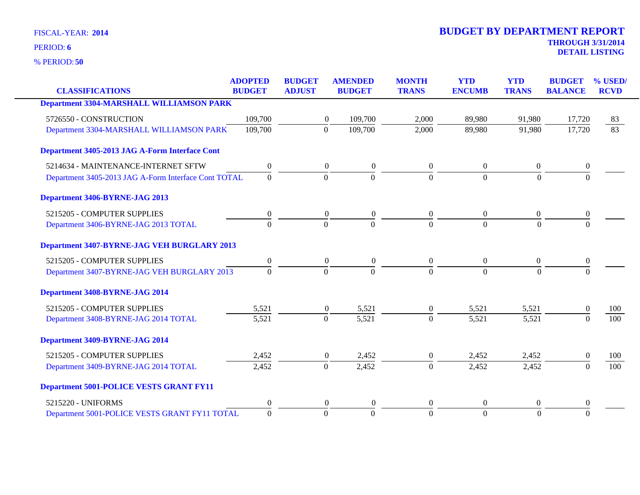**50** % PERIOD:

|                                                      | <b>ADOPTED</b>   | <b>BUDGET</b>    | <b>AMENDED</b>   | <b>MONTH</b>   | <b>YTD</b>     | <b>YTD</b>     | <b>BUDGET</b>    | % USED/          |
|------------------------------------------------------|------------------|------------------|------------------|----------------|----------------|----------------|------------------|------------------|
| <b>CLASSIFICATIONS</b>                               | <b>BUDGET</b>    | <b>ADJUST</b>    | <b>BUDGET</b>    | <b>TRANS</b>   | <b>ENCUMB</b>  | <b>TRANS</b>   | <b>BALANCE</b>   | <b>RCVD</b>      |
| <b>Department 3304-MARSHALL WILLIAMSON PARK</b>      |                  |                  |                  |                |                |                |                  |                  |
| 5726550 - CONSTRUCTION                               | 109,700          | $\boldsymbol{0}$ | 109,700          | 2,000          | 89,980         | 91,980         | 17,720           | 83               |
| Department 3304-MARSHALL WILLIAMSON PARK             | 109,700          | $\boldsymbol{0}$ | 109,700          | 2,000          | 89,980         | 91,980         | 17,720           | $\overline{83}$  |
| Department 3405-2013 JAG A-Form Interface Cont       |                  |                  |                  |                |                |                |                  |                  |
| 5214634 - MAINTENANCE-INTERNET SFTW                  | $\boldsymbol{0}$ | $\overline{0}$   | $\theta$         | $\overline{0}$ | $\overline{0}$ | $\overline{0}$ | $\boldsymbol{0}$ |                  |
| Department 3405-2013 JAG A-Form Interface Cont TOTAL | $\boldsymbol{0}$ | $\mathbf{0}$     | $\overline{0}$   | $\Omega$       | $\overline{0}$ | $\overline{0}$ | $\mathbf{0}$     |                  |
| Department 3406-BYRNE-JAG 2013                       |                  |                  |                  |                |                |                |                  |                  |
| 5215205 - COMPUTER SUPPLIES                          | $\boldsymbol{0}$ | $\boldsymbol{0}$ | $\boldsymbol{0}$ | $\overline{0}$ | $\overline{0}$ | $\theta$       | $\boldsymbol{0}$ |                  |
| Department 3406-BYRNE-JAG 2013 TOTAL                 | $\Omega$         | $\overline{0}$   | $\Omega$         | $\Omega$       | $\Omega$       | $\Omega$       | $\Omega$         |                  |
| Department 3407-BYRNE-JAG VEH BURGLARY 2013          |                  |                  |                  |                |                |                |                  |                  |
| 5215205 - COMPUTER SUPPLIES                          | $\boldsymbol{0}$ | $\boldsymbol{0}$ | $\boldsymbol{0}$ | $\overline{0}$ | $\overline{0}$ | $\mathbf{0}$   | $\boldsymbol{0}$ |                  |
| Department 3407-BYRNE-JAG VEH BURGLARY 2013          | $\Omega$         | $\overline{0}$   | $\overline{0}$   | $\Omega$       | $\Omega$       | $\Omega$       | $\Omega$         |                  |
| Department 3408-BYRNE-JAG 2014                       |                  |                  |                  |                |                |                |                  |                  |
| 5215205 - COMPUTER SUPPLIES                          | 5,521            | $\boldsymbol{0}$ | 5,521            | $\overline{0}$ | 5,521          | 5,521          | $\theta$         | 100              |
| Department 3408-BYRNE-JAG 2014 TOTAL                 | 5,521            | $\overline{0}$   | 5,521            | $\overline{0}$ | 5,521          | 5,521          | $\Omega$         | $\overline{100}$ |
| Department 3409-BYRNE-JAG 2014                       |                  |                  |                  |                |                |                |                  |                  |
| 5215205 - COMPUTER SUPPLIES                          | 2,452            | $\boldsymbol{0}$ | 2,452            | $\overline{0}$ | 2,452          | 2,452          | $\boldsymbol{0}$ | 100              |
| Department 3409-BYRNE-JAG 2014 TOTAL                 | 2,452            | $\overline{0}$   | 2,452            | $\Omega$       | 2,452          | 2,452          | $\Omega$         | 100              |
| <b>Department 5001-POLICE VESTS GRANT FY11</b>       |                  |                  |                  |                |                |                |                  |                  |
| 5215220 - UNIFORMS                                   | $\overline{0}$   | $\boldsymbol{0}$ | $\theta$         | $\overline{0}$ | $\theta$       | $\mathbf{0}$   | $\boldsymbol{0}$ |                  |
| Department 5001-POLICE VESTS GRANT FY11 TOTAL        | $\overline{0}$   | $\overline{0}$   | $\Omega$         | $\Omega$       | $\Omega$       | $\theta$       | $\Omega$         |                  |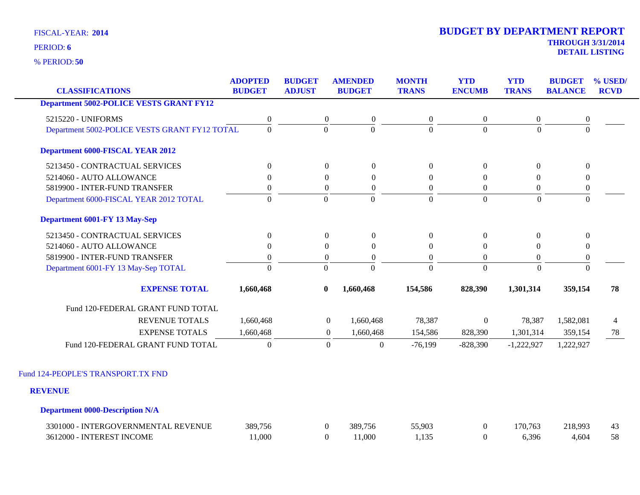**50** % PERIOD:

| <b>CLASSIFICATIONS</b>                         | <b>ADOPTED</b><br><b>BUDGET</b> | <b>BUDGET</b><br><b>ADJUST</b> | <b>AMENDED</b><br><b>BUDGET</b> | <b>MONTH</b><br><b>TRANS</b> | <b>YTD</b><br><b>ENCUMB</b> | <b>YTD</b><br><b>TRANS</b> | <b>BUDGET</b><br><b>BALANCE</b> | % USED/<br><b>RCVD</b> |
|------------------------------------------------|---------------------------------|--------------------------------|---------------------------------|------------------------------|-----------------------------|----------------------------|---------------------------------|------------------------|
| <b>Department 5002-POLICE VESTS GRANT FY12</b> |                                 |                                |                                 |                              |                             |                            |                                 |                        |
| 5215220 - UNIFORMS                             | $\boldsymbol{0}$                | $\boldsymbol{0}$               | $\boldsymbol{0}$                | $\boldsymbol{0}$             | $\boldsymbol{0}$            | $\boldsymbol{0}$           | $\boldsymbol{0}$                |                        |
| Department 5002-POLICE VESTS GRANT FY12 TOTAL  | $\mathbf{0}$                    | $\Omega$                       | $\Omega$                        | $\overline{0}$               | $\Omega$                    | $\Omega$                   | $\Omega$                        |                        |
| <b>Department 6000-FISCAL YEAR 2012</b>        |                                 |                                |                                 |                              |                             |                            |                                 |                        |
| 5213450 - CONTRACTUAL SERVICES                 | $\overline{0}$                  | $\overline{0}$                 | $\overline{0}$                  | $\theta$                     | $\overline{0}$              | $\Omega$                   | $\theta$                        |                        |
| 5214060 - AUTO ALLOWANCE                       | $\theta$                        | $\Omega$                       | $\overline{0}$                  | $\Omega$                     | $\overline{0}$              | $\Omega$                   | $\mathbf{0}$                    |                        |
| 5819900 - INTER-FUND TRANSFER                  | $\boldsymbol{0}$                | $\boldsymbol{0}$               | $\boldsymbol{0}$                | $\overline{0}$               | $\boldsymbol{0}$            | $\boldsymbol{0}$           | $\boldsymbol{0}$                |                        |
| Department 6000-FISCAL YEAR 2012 TOTAL         | $\Omega$                        | $\Omega$                       | $\Omega$                        | $\Omega$                     | $\overline{0}$              | $\Omega$                   | $\theta$                        |                        |
| <b>Department 6001-FY 13 May-Sep</b>           |                                 |                                |                                 |                              |                             |                            |                                 |                        |
| 5213450 - CONTRACTUAL SERVICES                 | $\boldsymbol{0}$                | $\boldsymbol{0}$               | $\boldsymbol{0}$                | $\boldsymbol{0}$             | $\boldsymbol{0}$            | $\mathbf{0}$               | $\boldsymbol{0}$                |                        |
| 5214060 - AUTO ALLOWANCE                       | $\theta$                        | $\Omega$                       | $\boldsymbol{0}$                | $\Omega$                     | $\mathbf{0}$                | $\Omega$                   | $\mathbf{0}$                    |                        |
| 5819900 - INTER-FUND TRANSFER                  | $\boldsymbol{0}$                | $\boldsymbol{0}$               | $\boldsymbol{0}$                | $\boldsymbol{0}$             | $\boldsymbol{0}$            | $\boldsymbol{0}$           | $\boldsymbol{0}$                |                        |
| Department 6001-FY 13 May-Sep TOTAL            | $\overline{0}$                  | $\theta$                       | $\Omega$                        | $\Omega$                     | $\Omega$                    | $\Omega$                   | $\Omega$                        |                        |
| <b>EXPENSE TOTAL</b>                           | 1,660,468                       | $\bf{0}$                       | 1,660,468                       | 154,586                      | 828,390                     | 1,301,314                  | 359,154                         | 78                     |
| Fund 120-FEDERAL GRANT FUND TOTAL              |                                 |                                |                                 |                              |                             |                            |                                 |                        |
| <b>REVENUE TOTALS</b>                          | 1,660,468                       | $\overline{0}$                 | 1,660,468                       | 78,387                       | $\boldsymbol{0}$            | 78,387                     | 1,582,081                       | 4                      |
| <b>EXPENSE TOTALS</b>                          | 1,660,468                       | $\mathbf{0}$                   | 1,660,468                       | 154,586                      | 828,390                     | 1,301,314                  | 359,154                         | 78                     |
| Fund 120-FEDERAL GRANT FUND TOTAL              | $\overline{0}$                  | $\mathbf{0}$                   | $\boldsymbol{0}$                | $-76,199$                    | $-828,390$                  | $-1,222,927$               | 1,222,927                       |                        |
| Fund 124-PEOPLE'S TRANSPORT.TX FND             |                                 |                                |                                 |                              |                             |                            |                                 |                        |
| <b>REVENUE</b>                                 |                                 |                                |                                 |                              |                             |                            |                                 |                        |
|                                                |                                 |                                |                                 |                              |                             |                            |                                 |                        |
| <b>Department 0000-Description N/A</b>         |                                 |                                |                                 |                              |                             |                            |                                 |                        |
| 3301000 - INTERGOVERNMENTAL REVENUE            | 389,756                         | $\boldsymbol{0}$               | 389,756                         | 55,903                       | $\boldsymbol{0}$            | 170,763                    | 218,993                         | 43                     |
| 3612000 - INTEREST INCOME                      | 11.000                          | $\theta$                       | 11.000                          | 1,135                        | $\Omega$                    | 6,396                      | 4,604                           | 58                     |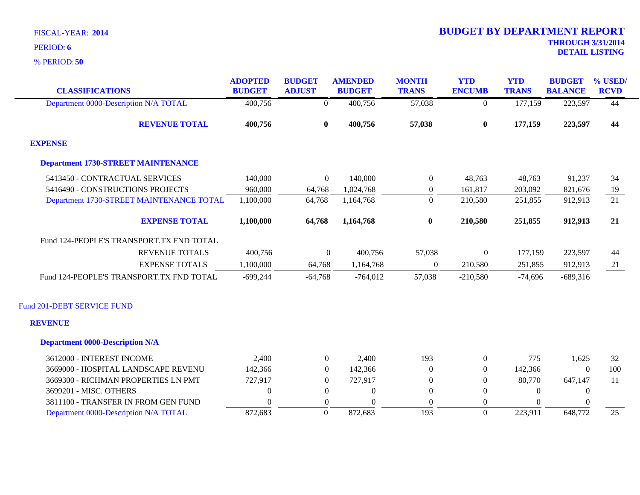| <b>CLASSIFICATIONS</b>                    | <b>ADOPTED</b><br><b>BUDGET</b> | <b>BUDGET</b><br><b>ADJUST</b> | <b>AMENDED</b><br><b>BUDGET</b> | <b>MONTH</b><br><b>TRANS</b> | <b>YTD</b><br><b>ENCUMB</b> | <b>YTD</b><br><b>TRANS</b> | <b>BUDGET</b><br><b>BALANCE</b> | % USED/<br><b>RCVD</b> |
|-------------------------------------------|---------------------------------|--------------------------------|---------------------------------|------------------------------|-----------------------------|----------------------------|---------------------------------|------------------------|
| Department 0000-Description N/A TOTAL     | 400,756                         | $\overline{0}$                 | 400,756                         | 57,038                       | $\overline{0}$              | 177,159                    | 223,597                         | $\overline{44}$        |
|                                           |                                 |                                |                                 |                              |                             |                            |                                 |                        |
| <b>REVENUE TOTAL</b>                      | 400,756                         | $\bf{0}$                       | 400,756                         | 57,038                       | $\bf{0}$                    | 177,159                    | 223,597                         | 44                     |
| <b>EXPENSE</b>                            |                                 |                                |                                 |                              |                             |                            |                                 |                        |
| <b>Department 1730-STREET MAINTENANCE</b> |                                 |                                |                                 |                              |                             |                            |                                 |                        |
| 5413450 - CONTRACTUAL SERVICES            | 140,000                         | $\overline{0}$                 | 140,000                         | $\overline{0}$               | 48,763                      | 48,763                     | 91,237                          | 34                     |
| 5416490 - CONSTRUCTIONS PROJECTS          | 960,000                         | 64,768                         | 1,024,768                       | $\overline{0}$               | 161,817                     | 203,092                    | 821,676                         | 19                     |
| Department 1730-STREET MAINTENANCE TOTAL  | 1,100,000                       | 64,768                         | 1,164,768                       | $\theta$                     | 210,580                     | 251,855                    | 912,913                         | 21                     |
| <b>EXPENSE TOTAL</b>                      | 1,100,000                       | 64,768                         | 1,164,768                       | $\bf{0}$                     | 210,580                     | 251,855                    | 912,913                         | 21                     |
| Fund 124-PEOPLE'S TRANSPORT.TX FND TOTAL  |                                 |                                |                                 |                              |                             |                            |                                 |                        |
| <b>REVENUE TOTALS</b>                     | 400,756                         | $\boldsymbol{0}$               | 400,756                         | 57,038                       | $\boldsymbol{0}$            | 177,159                    | 223,597                         | 44                     |
| <b>EXPENSE TOTALS</b>                     | 1,100,000                       | 64,768                         | 1,164,768                       | $\overline{0}$               | 210,580                     | 251,855                    | 912,913                         | 21                     |
| Fund 124-PEOPLE'S TRANSPORT.TX FND TOTAL  | $-699,244$                      | $-64,768$                      | $-764,012$                      | 57,038                       | $-210,580$                  | $-74,696$                  | $-689,316$                      |                        |
| Fund 201-DEBT SERVICE FUND                |                                 |                                |                                 |                              |                             |                            |                                 |                        |
| <b>REVENUE</b>                            |                                 |                                |                                 |                              |                             |                            |                                 |                        |
| <b>Department 0000-Description N/A</b>    |                                 |                                |                                 |                              |                             |                            |                                 |                        |
| 3612000 - INTEREST INCOME                 | 2,400                           | $\overline{0}$                 | 2,400                           | 193                          | $\overline{0}$              | 775                        | 1,625                           | 32                     |
| 3669000 - HOSPITAL LANDSCAPE REVENU       | 142,366                         | $\overline{0}$                 | 142,366                         | $\Omega$                     | $\theta$                    | 142,366                    | $\theta$                        | 100                    |
| 3669300 - RICHMAN PROPERTIES LN PMT       | 727,917                         | $\theta$                       | 727,917                         | $\mathbf{0}$                 | $\theta$                    | 80,770                     | 647,147                         | 11                     |
| 3699201 - MISC. OTHERS                    | $\Omega$                        | $\Omega$                       | $\Omega$                        | $\theta$                     | $\Omega$                    | $\Omega$                   | $\overline{0}$                  |                        |
| 3811100 - TRANSFER IN FROM GEN FUND       | $\Omega$                        | $\Omega$                       | $\Omega$                        | $\Omega$                     | $\mathbf{0}$                | $\Omega$                   | $\Omega$                        |                        |
| Department 0000-Description N/A TOTAL     | 872,683                         | $\Omega$                       | 872,683                         | 193                          | $\Omega$                    | 223,911                    | 648,772                         | 25                     |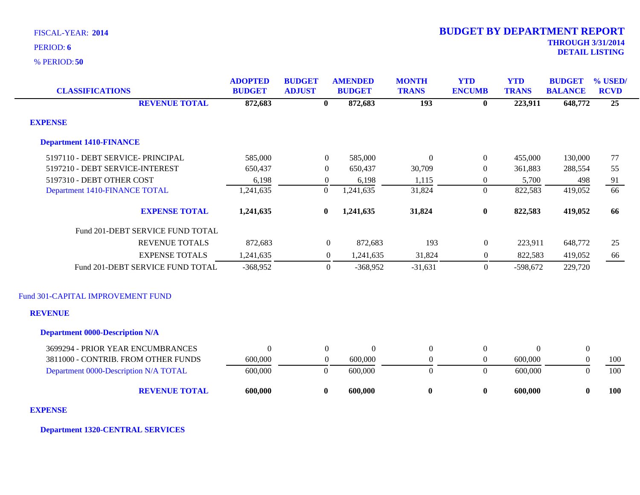**50** % PERIOD:

| <b>CLASSIFICATIONS</b>                 | <b>ADOPTED</b><br><b>BUDGET</b> | <b>BUDGET</b><br><b>ADJUST</b> | <b>AMENDED</b><br><b>BUDGET</b> | <b>MONTH</b><br><b>TRANS</b> | <b>YTD</b><br><b>ENCUMB</b> | <b>YTD</b><br><b>TRANS</b> | <b>BUDGET</b><br><b>BALANCE</b> | % USED/<br><b>RCVD</b> |
|----------------------------------------|---------------------------------|--------------------------------|---------------------------------|------------------------------|-----------------------------|----------------------------|---------------------------------|------------------------|
| <b>REVENUE TOTAL</b>                   | 872,683                         | $\bf{0}$                       | 872,683                         | 193                          | $\mathbf{0}$                | 223,911                    | 648,772                         | $\overline{25}$        |
| <b>EXPENSE</b>                         |                                 |                                |                                 |                              |                             |                            |                                 |                        |
| <b>Department 1410-FINANCE</b>         |                                 |                                |                                 |                              |                             |                            |                                 |                        |
| 5197110 - DEBT SERVICE- PRINCIPAL      | 585,000                         | $\overline{0}$                 | 585,000                         | $\Omega$                     | $\overline{0}$              | 455,000                    | 130,000                         | 77                     |
| 5197210 - DEBT SERVICE-INTEREST        | 650,437                         | $\overline{0}$                 | 650,437                         | 30,709                       | $\boldsymbol{0}$            | 361,883                    | 288,554                         | 55                     |
| 5197310 - DEBT OTHER COST              | 6,198                           | $\overline{0}$                 | 6,198                           | 1,115                        | $\overline{0}$              | 5,700                      | 498                             | $\frac{91}{66}$        |
| Department 1410-FINANCE TOTAL          | 1,241,635                       | $\theta$                       | 1,241,635                       | 31,824                       | $\overline{0}$              | 822,583                    | 419,052                         |                        |
| <b>EXPENSE TOTAL</b>                   | 1,241,635                       | $\bf{0}$                       | 1,241,635                       | 31,824                       | $\pmb{0}$                   | 822,583                    | 419,052                         | 66                     |
| Fund 201-DEBT SERVICE FUND TOTAL       |                                 |                                |                                 |                              |                             |                            |                                 |                        |
| <b>REVENUE TOTALS</b>                  | 872,683                         | $\boldsymbol{0}$               | 872,683                         | 193                          | $\mathbf{0}$                | 223,911                    | 648,772                         | 25                     |
| <b>EXPENSE TOTALS</b>                  | 1,241,635                       | $\overline{0}$                 | 1,241,635                       | 31,824                       | $\mathbf{0}$                | 822,583                    | 419,052                         | 66                     |
| Fund 201-DEBT SERVICE FUND TOTAL       | $-368,952$                      | $\overline{0}$                 | $-368,952$                      | $-31,631$                    | $\overline{0}$              | $-598,672$                 | 229,720                         |                        |
| Fund 301-CAPITAL IMPROVEMENT FUND      |                                 |                                |                                 |                              |                             |                            |                                 |                        |
| <b>REVENUE</b>                         |                                 |                                |                                 |                              |                             |                            |                                 |                        |
| <b>Department 0000-Description N/A</b> |                                 |                                |                                 |                              |                             |                            |                                 |                        |
| 3699294 - PRIOR YEAR ENCUMBRANCES      | $\Omega$                        | $\overline{0}$                 | $\theta$                        | $\Omega$                     | $\overline{0}$              | $\Omega$                   | $\boldsymbol{0}$                |                        |
| 3811000 - CONTRIB. FROM OTHER FUNDS    | 600,000                         | $\overline{0}$                 | 600,000                         | $\boldsymbol{0}$             | $\overline{0}$              | 600,000                    | $\boldsymbol{0}$                | 100                    |
| Department 0000-Description N/A TOTAL  | 600,000                         | $\overline{0}$                 | 600,000                         | $\mathbf{0}$                 | $\overline{0}$              | 600,000                    | $\mathbf{0}$                    | 100                    |
| <b>REVENUE TOTAL</b>                   | 600,000                         | $\bf{0}$                       | 600,000                         | $\bf{0}$                     | $\bf{0}$                    | 600,000                    | $\bf{0}$                        | 100                    |

### **EXPENSE**

**Department 1320-CENTRAL SERVICES**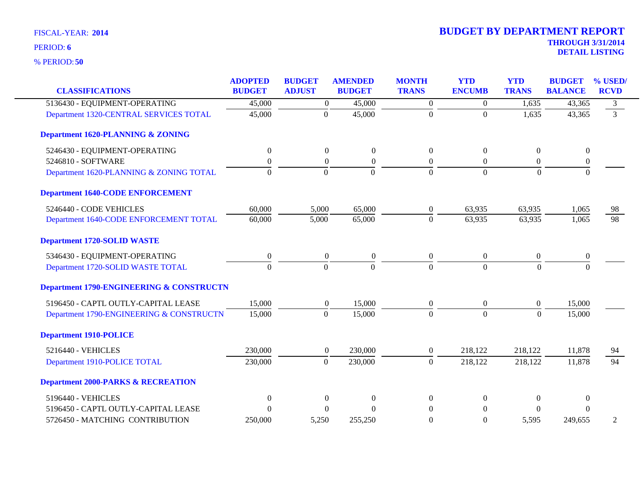| <b>CLASSIFICATIONS</b>                              | <b>ADOPTED</b><br><b>BUDGET</b> | <b>BUDGET</b><br><b>ADJUST</b> | <b>AMENDED</b><br><b>BUDGET</b> | <b>MONTH</b><br><b>TRANS</b> | <b>YTD</b><br><b>ENCUMB</b> | <b>YTD</b><br><b>TRANS</b> | <b>BUDGET</b><br><b>BALANCE</b> | % USED/<br><b>RCVD</b> |
|-----------------------------------------------------|---------------------------------|--------------------------------|---------------------------------|------------------------------|-----------------------------|----------------------------|---------------------------------|------------------------|
| 5136430 - EQUIPMENT-OPERATING                       | 45,000                          | $\boldsymbol{0}$               | 45,000                          | $\boldsymbol{0}$             | $\boldsymbol{0}$            | 1,635                      | 43,365                          | 3                      |
| Department 1320-CENTRAL SERVICES TOTAL              | 45,000                          | $\theta$                       | 45,000                          | $\Omega$                     | $\Omega$                    | 1,635                      | 43,365                          | $\overline{3}$         |
| <b>Department 1620-PLANNING &amp; ZONING</b>        |                                 |                                |                                 |                              |                             |                            |                                 |                        |
| 5246430 - EQUIPMENT-OPERATING                       | $\theta$                        | $\boldsymbol{0}$               | $\boldsymbol{0}$                | $\overline{0}$               | $\overline{0}$              | $\overline{0}$             | $\mathbf{0}$                    |                        |
| 5246810 - SOFTWARE                                  | $\Omega$                        | $\boldsymbol{0}$               | $\boldsymbol{0}$                | $\boldsymbol{0}$             | $\Omega$                    | $\overline{0}$             | $\mathbf{0}$                    |                        |
| Department 1620-PLANNING & ZONING TOTAL             | $\Omega$                        | $\theta$                       | $\boldsymbol{0}$                | $\Omega$                     | $\Omega$                    | $\Omega$                   | $\Omega$                        |                        |
| <b>Department 1640-CODE ENFORCEMENT</b>             |                                 |                                |                                 |                              |                             |                            |                                 |                        |
| 5246440 - CODE VEHICLES                             | 60,000                          | 5,000                          | 65,000                          | $\boldsymbol{0}$             | 63,935                      | 63,935                     | 1,065                           | 98                     |
| Department 1640-CODE ENFORCEMENT TOTAL              | 60,000                          | 5,000                          | 65,000                          | $\Omega$                     | 63,935                      | 63,935                     | 1,065                           | $\overline{98}$        |
| <b>Department 1720-SOLID WASTE</b>                  |                                 |                                |                                 |                              |                             |                            |                                 |                        |
| 5346430 - EQUIPMENT-OPERATING                       | $\boldsymbol{0}$                | $\boldsymbol{0}$               | $\boldsymbol{0}$                | $\boldsymbol{0}$             | $\overline{0}$              | $\boldsymbol{0}$           | $\boldsymbol{0}$                |                        |
| Department 1720-SOLID WASTE TOTAL                   | $\Omega$                        | $\Omega$                       | $\overline{0}$                  | $\Omega$                     | $\Omega$                    | $\Omega$                   | $\Omega$                        |                        |
| <b>Department 1790-ENGINEERING &amp; CONSTRUCTN</b> |                                 |                                |                                 |                              |                             |                            |                                 |                        |
| 5196450 - CAPTL OUTLY-CAPITAL LEASE                 | 15,000                          | $\boldsymbol{0}$               | 15,000                          | $\boldsymbol{0}$             | $\boldsymbol{0}$            | $\boldsymbol{0}$           | 15,000                          |                        |
| Department 1790-ENGINEERING & CONSTRUCTN            | 15,000                          | $\overline{0}$                 | 15,000                          | $\Omega$                     | $\mathbf{0}$                | $\overline{0}$             | 15,000                          |                        |
| <b>Department 1910-POLICE</b>                       |                                 |                                |                                 |                              |                             |                            |                                 |                        |
| 5216440 - VEHICLES                                  | 230,000                         | $\boldsymbol{0}$               | 230,000                         | $\boldsymbol{0}$             | 218,122                     | 218,122                    | 11,878                          | 94                     |
| Department 1910-POLICE TOTAL                        | 230,000                         | $\mathbf{0}$                   | 230,000                         | $\boldsymbol{0}$             | 218,122                     | 218,122                    | 11,878                          | 94                     |
| <b>Department 2000-PARKS &amp; RECREATION</b>       |                                 |                                |                                 |                              |                             |                            |                                 |                        |
| 5196440 - VEHICLES                                  | $\boldsymbol{0}$                | $\theta$                       | $\boldsymbol{0}$                | $\Omega$                     | $\Omega$                    | $\Omega$                   | $\theta$                        |                        |
| 5196450 - CAPTL OUTLY-CAPITAL LEASE                 | $\Omega$                        | $\Omega$                       | $\Omega$                        | $\Omega$                     | $\Omega$                    | 0                          | $\Omega$                        |                        |
| 5726450 - MATCHING CONTRIBUTION                     | 250,000                         | 5,250                          | 255,250                         | $\Omega$                     | $\theta$                    | 5,595                      | 249,655                         | $\overline{2}$         |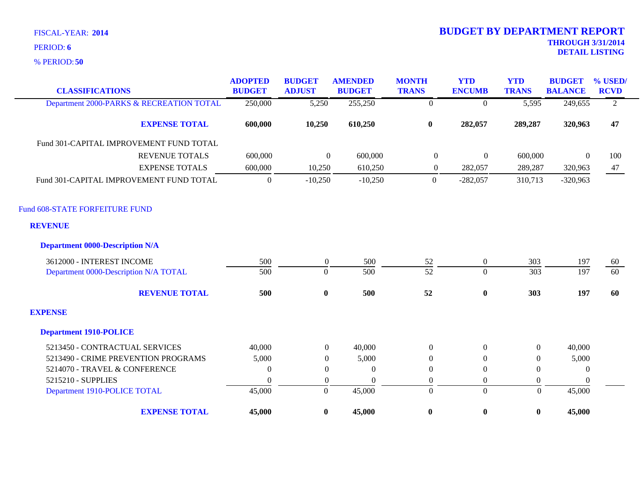**50** % PERIOD:

| <b>CLASSIFICATIONS</b>                   | <b>ADOPTED</b><br><b>BUDGET</b> | <b>BUDGET</b><br><b>ADJUST</b> | <b>AMENDED</b><br><b>BUDGET</b> | <b>MONTH</b><br><b>TRANS</b> | <b>YTD</b><br><b>ENCUMB</b> | <b>YTD</b><br><b>TRANS</b> | <b>BUDGET</b><br><b>BALANCE</b> | % USED/<br><b>RCVD</b> |
|------------------------------------------|---------------------------------|--------------------------------|---------------------------------|------------------------------|-----------------------------|----------------------------|---------------------------------|------------------------|
| Department 2000-PARKS & RECREATION TOTAL | 250,000                         | 5,250                          | 255,250                         | $\boldsymbol{0}$             | $\overline{0}$              | 5,595                      | 249,655                         | $\overline{2}$         |
| <b>EXPENSE TOTAL</b>                     | 600,000                         | 10,250                         | 610,250                         | $\bf{0}$                     | 282,057                     | 289,287                    | 320,963                         | 47                     |
| Fund 301-CAPITAL IMPROVEMENT FUND TOTAL  |                                 |                                |                                 |                              |                             |                            |                                 |                        |
| <b>REVENUE TOTALS</b>                    | 600,000                         | $\overline{0}$                 | 600,000                         | $\boldsymbol{0}$             | $\boldsymbol{0}$            | 600,000                    | $\Omega$                        | 100                    |
| <b>EXPENSE TOTALS</b>                    | 600,000                         | 10,250                         | 610,250                         | $\overline{0}$               | 282,057                     | 289,287                    | 320,963                         | 47                     |
| Fund 301-CAPITAL IMPROVEMENT FUND TOTAL  | $\boldsymbol{0}$                | $-10,250$                      | $-10,250$                       | $\overline{0}$               | $-282,057$                  | 310,713                    | $-320,963$                      |                        |
| Fund 608-STATE FORFEITURE FUND           |                                 |                                |                                 |                              |                             |                            |                                 |                        |
| <b>REVENUE</b>                           |                                 |                                |                                 |                              |                             |                            |                                 |                        |
| <b>Department 0000-Description N/A</b>   |                                 |                                |                                 |                              |                             |                            |                                 |                        |
| 3612000 - INTEREST INCOME                | 500                             | $\overline{0}$                 | 500                             | 52                           | $\overline{0}$              | 303                        | 197                             | 60                     |
| Department 0000-Description N/A TOTAL    | 500                             | $\Omega$                       | 500                             | 52                           | $\overline{0}$              | 303                        | 197                             | 60                     |
| <b>REVENUE TOTAL</b>                     | 500                             | $\bf{0}$                       | 500                             | 52                           | $\boldsymbol{0}$            | 303                        | 197                             | 60                     |
| <b>EXPENSE</b>                           |                                 |                                |                                 |                              |                             |                            |                                 |                        |
| <b>Department 1910-POLICE</b>            |                                 |                                |                                 |                              |                             |                            |                                 |                        |
| 5213450 - CONTRACTUAL SERVICES           | 40,000                          | $\overline{0}$                 | 40,000                          | $\theta$                     | $\theta$                    | $\Omega$                   | 40,000                          |                        |
| 5213490 - CRIME PREVENTION PROGRAMS      | 5,000                           | $\theta$                       | 5,000                           | $\Omega$                     | $\boldsymbol{0}$            | $\Omega$                   | 5,000                           |                        |
| 5214070 - TRAVEL & CONFERENCE            | $\Omega$                        | $\theta$                       | $\theta$                        | $\Omega$                     | $\theta$                    | $\Omega$                   | $\overline{0}$                  |                        |
| 5215210 - SUPPLIES                       | $\theta$                        | $\overline{0}$                 | $\theta$                        | $\overline{0}$               | $\overline{0}$              | $\mathbf{0}$               | $\theta$                        |                        |
| Department 1910-POLICE TOTAL             | 45,000                          | $\boldsymbol{0}$               | 45,000                          | $\overline{0}$               | $\overline{0}$              | $\Omega$                   | 45,000                          |                        |
| <b>EXPENSE TOTAL</b>                     | 45,000                          | $\bf{0}$                       | 45,000                          | $\bf{0}$                     | $\bf{0}$                    | $\bf{0}$                   | 45,000                          |                        |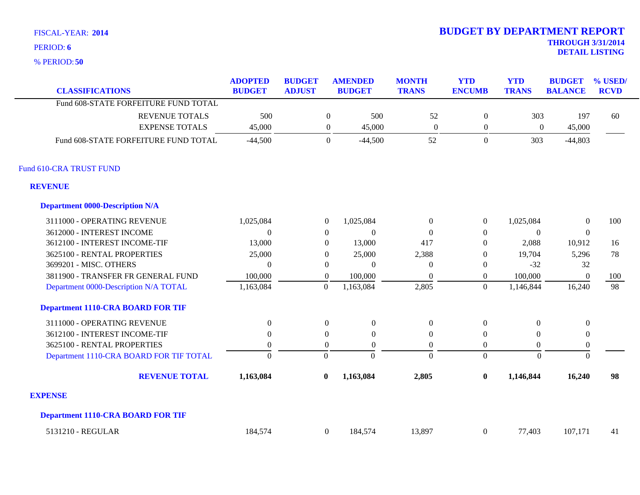**50** % PERIOD:

|                                          | <b>ADOPTED</b> | <b>BUDGET</b> |                  | <b>AMENDED</b>   | <b>MONTH</b>     | <b>YTD</b>       | <b>YTD</b>       | <b>BUDGET</b>    | % USED      |
|------------------------------------------|----------------|---------------|------------------|------------------|------------------|------------------|------------------|------------------|-------------|
| <b>CLASSIFICATIONS</b>                   | <b>BUDGET</b>  | <b>ADJUST</b> |                  | <b>BUDGET</b>    | <b>TRANS</b>     | <b>ENCUMB</b>    | <b>TRANS</b>     | <b>BALANCE</b>   | <b>RCVD</b> |
| Fund 608-STATE FORFEITURE FUND TOTAL     |                |               |                  |                  |                  |                  |                  |                  |             |
| <b>REVENUE TOTALS</b>                    | 500            |               | $\boldsymbol{0}$ | 500              | 52               | $\boldsymbol{0}$ | 303              | 197              | 60          |
| <b>EXPENSE TOTALS</b>                    | 45,000         |               | $\boldsymbol{0}$ | 45,000           | $\boldsymbol{0}$ | $\boldsymbol{0}$ | $\boldsymbol{0}$ | 45,000           |             |
| Fund 608-STATE FORFEITURE FUND TOTAL     | $-44,500$      |               | $\boldsymbol{0}$ | $-44,500$        | 52               | $\boldsymbol{0}$ | 303              | $-44,803$        |             |
| Fund 610-CRA TRUST FUND                  |                |               |                  |                  |                  |                  |                  |                  |             |
| <b>REVENUE</b>                           |                |               |                  |                  |                  |                  |                  |                  |             |
| <b>Department 0000-Description N/A</b>   |                |               |                  |                  |                  |                  |                  |                  |             |
| 3111000 - OPERATING REVENUE              | 1,025,084      |               | $\theta$         | 1,025,084        | $\theta$         | $\overline{0}$   | 1,025,084        | $\overline{0}$   | 100         |
| 3612000 - INTEREST INCOME                | $\Omega$       |               | $\overline{0}$   | $\Omega$         | $\theta$         | $\overline{0}$   | $\Omega$         | $\mathbf{0}$     |             |
| 3612100 - INTEREST INCOME-TIF            | 13,000         |               | $\overline{0}$   | 13,000           | 417              | $\overline{0}$   | 2,088            | 10,912           | 16          |
| 3625100 - RENTAL PROPERTIES              | 25,000         |               | $\overline{0}$   | 25,000           | 2,388            | $\overline{0}$   | 19,704           | 5,296            | 78          |
| 3699201 - MISC. OTHERS                   | $\Omega$       |               | $\overline{0}$   | $\Omega$         | $\overline{0}$   | $\overline{0}$   | $-32$            | 32               |             |
| 3811900 - TRANSFER FR GENERAL FUND       | 100,000        |               | $\Omega$         | 100,000          | $\theta$         | $\overline{0}$   | 100,000          | $\overline{0}$   | 100         |
| Department 0000-Description N/A TOTAL    | 1,163,084      |               | $\boldsymbol{0}$ | 1,163,084        | 2,805            | $\overline{0}$   | 1,146,844        | 16,240           | 98          |
| <b>Department 1110-CRA BOARD FOR TIF</b> |                |               |                  |                  |                  |                  |                  |                  |             |
| 3111000 - OPERATING REVENUE              | $\Omega$       |               | $\boldsymbol{0}$ | $\mathbf{0}$     | $\mathbf{0}$     | $\boldsymbol{0}$ | $\Omega$         | $\mathbf{0}$     |             |
| 3612100 - INTEREST INCOME-TIF            | $\Omega$       |               | $\boldsymbol{0}$ | $\overline{0}$   | $\theta$         | $\overline{0}$   | $\Omega$         | $\boldsymbol{0}$ |             |
| 3625100 - RENTAL PROPERTIES              | $\Omega$       |               | $\overline{0}$   | $\boldsymbol{0}$ | $\boldsymbol{0}$ | $\overline{0}$   | $\overline{0}$   | $\boldsymbol{0}$ |             |
| Department 1110-CRA BOARD FOR TIF TOTAL  | $\Omega$       |               | $\Omega$         | $\Omega$         | $\theta$         | $\overline{0}$   | $\Omega$         | $\mathbf{0}$     |             |
| <b>REVENUE TOTAL</b>                     | 1,163,084      |               | $\bf{0}$         | 1,163,084        | 2,805            | $\bf{0}$         | 1,146,844        | 16,240           | 98          |
| <b>EXPENSE</b>                           |                |               |                  |                  |                  |                  |                  |                  |             |
| <b>Department 1110-CRA BOARD FOR TIF</b> |                |               |                  |                  |                  |                  |                  |                  |             |
| 5131210 - REGULAR                        | 184,574        |               | $\overline{0}$   | 184,574          | 13,897           | $\boldsymbol{0}$ | 77,403           | 107,171          | 41          |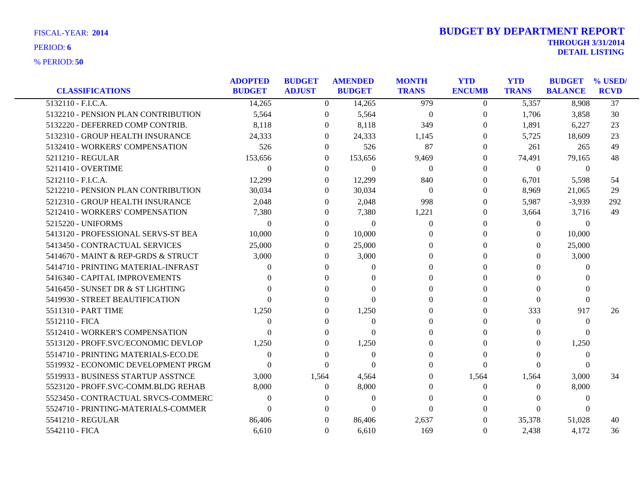|                                     | <b>ADOPTED</b> | <b>BUDGET</b>  | <b>AMENDED</b> | <b>MONTH</b> | <b>YTD</b>     | <b>YTD</b>   | <b>BUDGET</b>  | % USED/         |
|-------------------------------------|----------------|----------------|----------------|--------------|----------------|--------------|----------------|-----------------|
| <b>CLASSIFICATIONS</b>              | <b>BUDGET</b>  | <b>ADJUST</b>  | <b>BUDGET</b>  | <b>TRANS</b> | <b>ENCUMB</b>  | <b>TRANS</b> | <b>BALANCE</b> | <b>RCVD</b>     |
| 5132110 - F.I.C.A.                  | 14,265         | $\overline{0}$ | 14,265         | 979          | $\overline{0}$ | 5,357        | 8,908          | $\overline{37}$ |
| 5132210 - PENSION PLAN CONTRIBUTION | 5,564          | $\overline{0}$ | 5,564          | $\mathbf{0}$ | $\overline{0}$ | 1,706        | 3,858          | 30              |
| 5132220 - DEFERRED COMP CONTRIB.    | 8,118          | $\theta$       | 8,118          | 349          | $\left($       | 1,891        | 6,227          | 23              |
| 5132310 - GROUP HEALTH INSURANCE    | 24,333         | $\Omega$       | 24,333         | 1,145        | $\Omega$       | 5,725        | 18,609         | 23              |
| 5132410 - WORKERS' COMPENSATION     | 526            | $\Omega$       | 526            | 87           | $\Omega$       | 261          | 265            | 49              |
| 5211210 - REGULAR                   | 153,656        | $\Omega$       | 153,656        | 9,469        | $\Omega$       | 74,491       | 79,165         | 48              |
| 5211410 - OVERTIME                  | $\Omega$       | $\Omega$       | $\Omega$       | $\theta$     | $\Omega$       | $\theta$     | $\theta$       |                 |
| 5212110 - F.I.C.A.                  | 12,299         | $\Omega$       | 12,299         | 840          | $\Omega$       | 6,701        | 5,598          | 54              |
| 5212210 - PENSION PLAN CONTRIBUTION | 30,034         | $\Omega$       | 30,034         | $\theta$     | $\Omega$       | 8,969        | 21,065         | 29              |
| 5212310 - GROUP HEALTH INSURANCE    | 2,048          | $\theta$       | 2,048          | 998          | $\Omega$       | 5,987        | $-3,939$       | 292             |
| 5212410 - WORKERS' COMPENSATION     | 7,380          | $\Omega$       | 7,380          | 1,221        | $\Omega$       | 3,664        | 3,716          | 49              |
| 5215220 - UNIFORMS                  | $\Omega$       | $\Omega$       | $\Omega$       | $\Omega$     | $\Omega$       | $\Omega$     | $\overline{0}$ |                 |
| 5413120 - PROFESSIONAL SERVS-ST BEA | 10,000         | $\overline{0}$ | 10,000         | $\Omega$     | $\Omega$       | $\Omega$     | 10,000         |                 |
| 5413450 - CONTRACTUAL SERVICES      | 25,000         | $\Omega$       | 25,000         | $\Omega$     | $\Omega$       | $\Omega$     | 25,000         |                 |
| 5414670 - MAINT & REP-GRDS & STRUCT | 3,000          | $\Omega$       | 3,000          | $\Omega$     | $\Omega$       | 0            | 3,000          |                 |
| 5414710 - PRINTING MATERIAL-INFRAST | $\theta$       | $\Omega$       | $\Omega$       | $\Omega$     | 0              | $\Omega$     | $\mathbf{0}$   |                 |
| 5416340 - CAPITAL IMPROVEMENTS      |                | $\Omega$       | $\Omega$       | $\Omega$     | 0              | $\Omega$     | $\Omega$       |                 |
| 5416450 - SUNSET DR & ST LIGHTING   |                | $\Omega$       | $\Omega$       | 0            | 0              | 0            | $\Omega$       |                 |
| 5419930 - STREET BEAUTIFICATION     |                | $\Omega$       | 0              | 0            | $\Omega$       | $\Omega$     | $\Omega$       |                 |
| 5511310 - PART TIME                 | 1,250          | $\Omega$       | 1,250          | $\Omega$     | $\Omega$       | 333          | 917            | 26              |
| 5512110 - FICA                      | $\Omega$       | $\Omega$       | $\Omega$       | 0            | $\Omega$       | $\Omega$     | $\theta$       |                 |
| 5512410 - WORKER'S COMPENSATION     | $\Omega$       | $\Omega$       | $\Omega$       | 0            | $\Omega$       | 0            | $\Omega$       |                 |
| 5513120 - PROFF.SVC/ECONOMIC DEVLOP | 1,250          | $\Omega$       | 1,250          | $\Omega$     | $\Omega$       | 0            | 1,250          |                 |
| 5514710 - PRINTING MATERIALS-ECO.DE | $\Omega$       | $\Omega$       | $\overline{0}$ | $\Omega$     | $\Omega$       | $\Omega$     | $\mathbf{0}$   |                 |
| 5519932 - ECONOMIC DEVELOPMENT PRGM | $\Omega$       | $\Omega$       | $\Omega$       | $\theta$     | $\Omega$       | 0            | $\Omega$       |                 |
| 5519933 - BUSINESS STARTUP ASSTNCE  | 3,000          | 1,564          | 4,564          | $\Omega$     | 1,564          | 1,564        | 3,000          | 34              |
| 5523120 - PROFF.SVC-COMM.BLDG REHAB | 8,000          | $\theta$       | 8,000          | $\Omega$     | $\Omega$       | $\Omega$     | 8,000          |                 |
| 5523450 - CONTRACTUAL SRVCS-COMMERC | $\theta$       | $\theta$       | $\Omega$       | $\Omega$     | $^{(1)}$       | $\theta$     | $\mathbf{0}$   |                 |
| 5524710 - PRINTING-MATERIALS-COMMER | $\Omega$       | $\Omega$       | $\Omega$       | $\Omega$     | 0              | $\Omega$     | $\Omega$       |                 |
| 5541210 - REGULAR                   | 86,406         | $\Omega$       | 86,406         | 2,637        | 0              | 35,378       | 51,028         | 40              |
| 5542110 - FICA                      | 6,610          | $\Omega$       | 6,610          | 169          | $\Omega$       | 2,438        | 4,172          | 36              |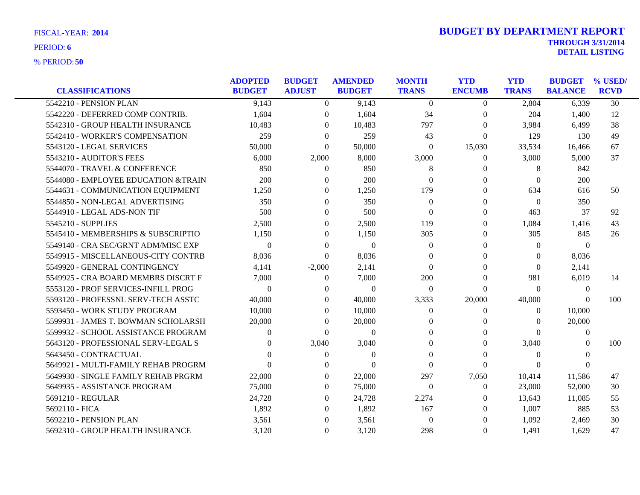|                                      | <b>ADOPTED</b> | <b>BUDGET</b>  | <b>AMENDED</b> | <b>MONTH</b>   | <b>YTD</b>     | <b>YTD</b>   | <b>BUDGET</b>  | % USED/     |
|--------------------------------------|----------------|----------------|----------------|----------------|----------------|--------------|----------------|-------------|
| <b>CLASSIFICATIONS</b>               | <b>BUDGET</b>  | <b>ADJUST</b>  | <b>BUDGET</b>  | <b>TRANS</b>   | <b>ENCUMB</b>  | <b>TRANS</b> | <b>BALANCE</b> | <b>RCVD</b> |
| 5542210 - PENSION PLAN               | 9,143          | $\theta$       | 9,143          | $\Omega$       | $\Omega$       | 2,804        | 6,339          | 30          |
| 5542220 - DEFERRED COMP CONTRIB.     | 1,604          | $\overline{0}$ | 1,604          | 34             | $\overline{0}$ | 204          | 1,400          | 12          |
| 5542310 - GROUP HEALTH INSURANCE     | 10,483         | $\Omega$       | 10,483         | 797            | $\theta$       | 3,984        | 6,499          | 38          |
| 5542410 - WORKER'S COMPENSATION      | 259            | $\Omega$       | 259            | 43             | $\theta$       | 129          | 130            | 49          |
| 5543120 - LEGAL SERVICES             | 50,000         | $\Omega$       | 50,000         | $\overline{0}$ | 15,030         | 33,534       | 16,466         | 67          |
| 5543210 - AUDITOR'S FEES             | 6,000          | 2,000          | 8,000          | 3,000          | $\Omega$       | 3,000        | 5,000          | 37          |
| 5544070 - TRAVEL & CONFERENCE        | 850            | $\Omega$       | 850            | 8              | $\Omega$       | 8            | 842            |             |
| 5544080 - EMPLOYEE EDUCATION & TRAIN | 200            | $\Omega$       | 200            | $\Omega$       | $\Omega$       | $\Omega$     | 200            |             |
| 5544631 - COMMUNICATION EQUIPMENT    | 1,250          | $\mathbf{0}$   | 1,250          | 179            | $\theta$       | 634          | 616            | 50          |
| 5544850 - NON-LEGAL ADVERTISING      | 350            | $\Omega$       | 350            | $\Omega$       | $\Omega$       | $\Omega$     | 350            |             |
| 5544910 - LEGAL ADS-NON TIF          | 500            | $\Omega$       | 500            | $\Omega$       | $\Omega$       | 463          | 37             | 92          |
| 5545210 - SUPPLIES                   | 2,500          | $\overline{0}$ | 2,500          | 119            | $\theta$       | 1,084        | 1,416          | 43          |
| 5545410 - MEMBERSHIPS & SUBSCRIPTIO  | 1,150          | $\Omega$       | 1,150          | 305            | $\Omega$       | 305          | 845            | 26          |
| 5549140 - CRA SEC/GRNT ADM/MISC EXP  | $\theta$       | $\Omega$       | $\Omega$       | $\theta$       | $\Omega$       | $\Omega$     | $\theta$       |             |
| 5549915 - MISCELLANEOUS-CITY CONTRB  | 8,036          | $\Omega$       | 8,036          | $\Omega$       | $\Omega$       | 0            | 8,036          |             |
| 5549920 - GENERAL CONTINGENCY        | 4,141          | $-2,000$       | 2,141          | $\Omega$       | 0              | $\theta$     | 2,141          |             |
| 5549925 - CRA BOARD MEMBRS DISCRT F  | 7,000          | $\overline{0}$ | 7,000          | 200            | $\theta$       | 981          | 6,019          | 14          |
| 5553120 - PROF SERVICES-INFILL PROG  | $\Omega$       | $\Omega$       | $\Omega$       | $\Omega$       | $\Omega$       | $\theta$     | $\Omega$       |             |
| 5593120 - PROFESSNL SERV-TECH ASSTC  | 40,000         | $\Omega$       | 40,000         | 3,333          | 20,000         | 40,000       | $\Omega$       | 100         |
| 5593450 - WORK STUDY PROGRAM         | 10,000         | $\Omega$       | 10,000         | $\overline{0}$ | $\theta$       | $\Omega$     | 10,000         |             |
| 5599931 - JAMES T. BOWMAN SCHOLARSH  | 20,000         | $\Omega$       | 20,000         | $\Omega$       | $\Omega$       | $\theta$     | 20,000         |             |
| 5599932 - SCHOOL ASSISTANCE PROGRAM  | 0              | $\Omega$       | $\Omega$       | $\Omega$       | $\Omega$       | 0            | $\Omega$       |             |
| 5643120 - PROFESSIONAL SERV-LEGAL S  |                | 3,040          | 3,040          | $\Omega$       | $\Omega$       | 3,040        | $\Omega$       | 100         |
| 5643450 - CONTRACTUAL                |                | $\overline{0}$ | $\theta$       | $\Omega$       | $\Omega$       | 0            | $\theta$       |             |
| 5649921 - MULTI-FAMILY REHAB PROGRM  | $\Omega$       | $\Omega$       | $\Omega$       | $\Omega$       | $\Omega$       | $\Omega$     | $\Omega$       |             |
| 5649930 - SINGLE FAMILY REHAB PRGRM  | 22,000         | $\Omega$       | 22,000         | 297            | 7,050          | 10,414       | 11,586         | 47          |
| 5649935 - ASSISTANCE PROGRAM         | 75,000         | $\Omega$       | 75,000         | $\overline{0}$ | $\overline{0}$ | 23,000       | 52,000         | 30          |
| 5691210 - REGULAR                    | 24,728         | $\theta$       | 24,728         | 2,274          | $\Omega$       | 13,643       | 11,085         | 55          |
| 5692110 - FICA                       | 1.892          | $\Omega$       | 1,892          | 167            | $\Omega$       | 1,007        | 885            | 53          |
| 5692210 - PENSION PLAN               | 3,561          | $\Omega$       | 3,561          | $\mathbf{0}$   | $\Omega$       | 1,092        | 2,469          | 30          |
| 5692310 - GROUP HEALTH INSURANCE     | 3,120          | $\Omega$       | 3,120          | 298            | $\Omega$       | 1,491        | 1,629          | 47          |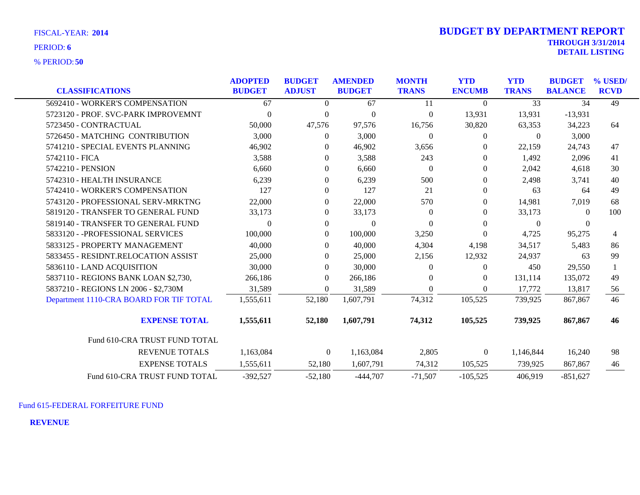**50** % PERIOD:

| <b>FISCAL-YEAR: 2014</b> | <b>BUDGET BY DEPARTMENT REPORT</b> |
|--------------------------|------------------------------------|
| <b>PERIOD: 6</b>         | <b>THROUGH 3/31/2014</b>           |
|                          | <b>DETAIL LISTING</b>              |

| <b>CLASSIFICATIONS</b>                  | <b>ADOPTED</b><br><b>BUDGET</b> | <b>BUDGET</b><br><b>ADJUST</b> | <b>AMENDED</b><br><b>BUDGET</b> | <b>MONTH</b><br><b>TRANS</b> | <b>YTD</b><br><b>ENCUMB</b> | <b>YTD</b><br><b>TRANS</b> | <b>BUDGET</b><br><b>BALANCE</b> | % USED/<br><b>RCVD</b> |
|-----------------------------------------|---------------------------------|--------------------------------|---------------------------------|------------------------------|-----------------------------|----------------------------|---------------------------------|------------------------|
|                                         |                                 |                                |                                 |                              |                             | $\overline{33}$            |                                 |                        |
| 5692410 - WORKER'S COMPENSATION         | 67                              | $\theta$                       | 67                              | 11                           | $\Omega$                    |                            | 34                              | 49                     |
| 5723120 - PROF. SVC-PARK IMPROVEMNT     | $\theta$                        | $\mathbf{0}$                   | $\mathbf{0}$                    | $\Omega$                     | 13,931                      | 13,931                     | $-13,931$                       |                        |
| 5723450 - CONTRACTUAL                   | 50,000                          | 47,576                         | 97,576                          | 16,756                       | 30,820                      | 63,353                     | 34,223                          | 64                     |
| 5726450 - MATCHING CONTRIBUTION         | 3,000                           | $\overline{0}$                 | 3,000                           | $\theta$                     | $\overline{0}$              | $\overline{0}$             | 3,000                           |                        |
| 5741210 - SPECIAL EVENTS PLANNING       | 46,902                          | $\theta$                       | 46,902                          | 3,656                        | $\theta$                    | 22,159                     | 24,743                          | 47                     |
| 5742110 - FICA                          | 3,588                           | $\Omega$                       | 3,588                           | 243                          | $\Omega$                    | 1,492                      | 2,096                           | 41                     |
| 5742210 - PENSION                       | 6,660                           | $\overline{0}$                 | 6,660                           | $\theta$                     | $\theta$                    | 2,042                      | 4,618                           | 30                     |
| 5742310 - HEALTH INSURANCE              | 6,239                           | $\overline{0}$                 | 6,239                           | 500                          | $\boldsymbol{0}$            | 2,498                      | 3,741                           | 40                     |
| 5742410 - WORKER'S COMPENSATION         | 127                             | $\overline{0}$                 | 127                             | 21                           | $\theta$                    | 63                         | 64                              | 49                     |
| 5743120 - PROFESSIONAL SERV-MRKTNG      | 22,000                          | $\overline{0}$                 | 22,000                          | 570                          | $\theta$                    | 14,981                     | 7,019                           | 68                     |
| 5819120 - TRANSFER TO GENERAL FUND      | 33,173                          | $\overline{0}$                 | 33,173                          | $\Omega$                     | $\overline{0}$              | 33,173                     | $\Omega$                        | 100                    |
| 5819140 - TRANSFER TO GENERAL FUND      | $\Omega$                        | $\overline{0}$                 | $\mathbf{0}$                    | $\Omega$                     | $\Omega$                    | $\mathbf{0}$               | $\theta$                        |                        |
| 5833120 - - PROFESSIONAL SERVICES       | 100,000                         | $\overline{0}$                 | 100,000                         | 3,250                        | $\Omega$                    | 4,725                      | 95,275                          | 4                      |
| 5833125 - PROPERTY MANAGEMENT           | 40,000                          | $\Omega$                       | 40,000                          | 4,304                        | 4,198                       | 34,517                     | 5,483                           | 86                     |
| 5833455 - RESIDNT.RELOCATION ASSIST     | 25,000                          | $\Omega$                       | 25,000                          | 2,156                        | 12,932                      | 24,937                     | 63                              | 99                     |
| 5836110 - LAND ACQUISITION              | 30,000                          | $\Omega$                       | 30,000                          | $\Omega$                     | $\theta$                    | 450                        | 29,550                          |                        |
| 5837110 - REGIONS BANK LOAN \$2,730,    | 266,186                         | $\overline{0}$                 | 266,186                         | 0                            | $\overline{0}$              | 131,114                    | 135,072                         | 49                     |
| 5837210 - REGIONS LN 2006 - \$2,730M    | 31,589                          | $\Omega$                       | 31,589                          | $\theta$                     | $\Omega$                    | 17,772                     | 13,817                          | 56                     |
| Department 1110-CRA BOARD FOR TIF TOTAL | 1,555,611                       | 52,180                         | 1,607,791                       | 74,312                       | 105,525                     | 739,925                    | 867,867                         | 46                     |
| <b>EXPENSE TOTAL</b>                    | 1,555,611                       | 52,180                         | 1,607,791                       | 74,312                       | 105,525                     | 739,925                    | 867,867                         | 46                     |
| Fund 610-CRA TRUST FUND TOTAL           |                                 |                                |                                 |                              |                             |                            |                                 |                        |
| <b>REVENUE TOTALS</b>                   | 1,163,084                       | $\boldsymbol{0}$               | 1,163,084                       | 2,805                        | $\boldsymbol{0}$            | 1,146,844                  | 16,240                          | 98                     |
| <b>EXPENSE TOTALS</b>                   | 1,555,611                       | 52,180                         | 1,607,791                       | 74,312                       | 105,525                     | 739,925                    | 867,867                         | 46                     |
| Fund 610-CRA TRUST FUND TOTAL           | $-392,527$                      | $-52,180$                      | $-444,707$                      | $-71,507$                    | $-105,525$                  | 406,919                    | $-851,627$                      |                        |

Fund 615-FEDERAL FORFEITURE FUND

**REVENUE**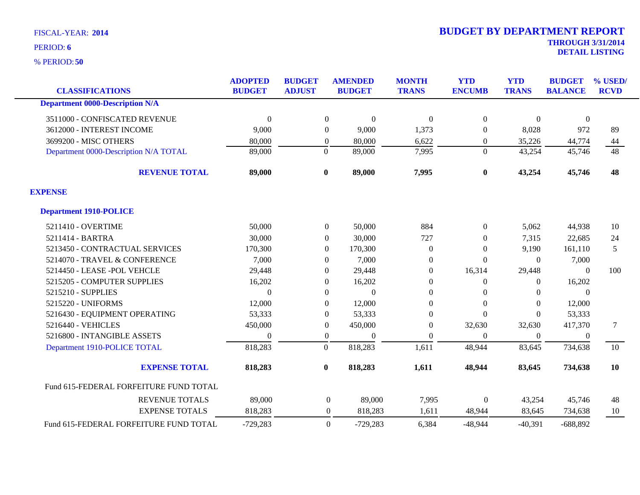**50** % PERIOD:

| <b>CLASSIFICATIONS</b>                 | <b>ADOPTED</b><br><b>BUDGET</b> | <b>BUDGET</b><br><b>ADJUST</b> | <b>AMENDED</b><br><b>BUDGET</b> | <b>MONTH</b><br><b>TRANS</b> | <b>YTD</b><br><b>ENCUMB</b> | <b>YTD</b><br><b>TRANS</b> | <b>BUDGET</b><br><b>BALANCE</b> | % USED/<br><b>RCVD</b> |
|----------------------------------------|---------------------------------|--------------------------------|---------------------------------|------------------------------|-----------------------------|----------------------------|---------------------------------|------------------------|
| <b>Department 0000-Description N/A</b> |                                 |                                |                                 |                              |                             |                            |                                 |                        |
| 3511000 - CONFISCATED REVENUE          | $\mathbf{0}$                    | $\boldsymbol{0}$               | $\Omega$                        | $\theta$                     | $\overline{0}$              | $\overline{0}$             | $\overline{0}$                  |                        |
| 3612000 - INTEREST INCOME              | 9,000                           | $\overline{0}$                 | 9,000                           | 1,373                        | $\Omega$                    | 8,028                      | 972                             | 89                     |
| 3699200 - MISC OTHERS                  | 80,000                          | $\overline{0}$                 | 80,000                          | 6,622                        | 0                           | 35,226                     | 44,774                          | 44                     |
| Department 0000-Description N/A TOTAL  | 89,000                          | $\mathbf{0}$                   | 89,000                          | 7,995                        | $\overline{0}$              | 43,254                     | 45,746                          | 48                     |
| <b>REVENUE TOTAL</b>                   | 89,000                          | $\bf{0}$                       | 89,000                          | 7,995                        | $\bf{0}$                    | 43,254                     | 45,746                          | 48                     |
| <b>EXPENSE</b>                         |                                 |                                |                                 |                              |                             |                            |                                 |                        |
| <b>Department 1910-POLICE</b>          |                                 |                                |                                 |                              |                             |                            |                                 |                        |
| 5211410 - OVERTIME                     | 50,000                          | $\boldsymbol{0}$               | 50,000                          | 884                          | $\overline{0}$              | 5,062                      | 44,938                          | 10                     |
| 5211414 - BARTRA                       | 30,000                          | $\overline{0}$                 | 30,000                          | 727                          | 0                           | 7,315                      | 22,685                          | 24                     |
| 5213450 - CONTRACTUAL SERVICES         | 170,300                         | $\overline{0}$                 | 170,300                         | $\theta$                     | $\Omega$                    | 9,190                      | 161,110                         | 5                      |
| 5214070 - TRAVEL & CONFERENCE          | 7,000                           | $\overline{0}$                 | 7,000                           | $\boldsymbol{0}$             | $\Omega$                    | $\overline{0}$             | 7,000                           |                        |
| 5214450 - LEASE - POL VEHCLE           | 29,448                          | $\theta$                       | 29,448                          | $\theta$                     | 16,314                      | 29,448                     | $\theta$                        | 100                    |
| 5215205 - COMPUTER SUPPLIES            | 16,202                          | $\mathbf{0}$                   | 16,202                          | $\boldsymbol{0}$             | $\theta$                    | $\boldsymbol{0}$           | 16,202                          |                        |
| 5215210 - SUPPLIES                     | $\mathbf{0}$                    | $\boldsymbol{0}$               | $\Omega$                        | $\overline{0}$               | $\Omega$                    | $\overline{0}$             | $\mathbf{0}$                    |                        |
| 5215220 - UNIFORMS                     | 12,000                          | $\overline{0}$                 | 12,000                          | $\overline{0}$               | $\Omega$                    | $\Omega$                   | 12,000                          |                        |
| 5216430 - EQUIPMENT OPERATING          | 53,333                          | $\overline{0}$                 | 53,333                          | $\mathbf{0}$                 | $\Omega$                    | $\theta$                   | 53,333                          |                        |
| 5216440 - VEHICLES                     | 450,000                         | $\boldsymbol{0}$               | 450,000                         | $\boldsymbol{0}$             | 32,630                      | 32,630                     | 417,370                         | 7                      |
| 5216800 - INTANGIBLE ASSETS            | $\Omega$                        | $\boldsymbol{0}$               | $\Omega$                        | $\boldsymbol{0}$             | $\Omega$                    | $\overline{0}$             | $\theta$                        |                        |
| Department 1910-POLICE TOTAL           | 818,283                         | $\overline{0}$                 | 818,283                         | 1,611                        | 48,944                      | 83,645                     | 734,638                         | 10                     |
| <b>EXPENSE TOTAL</b>                   | 818,283                         | $\bf{0}$                       | 818,283                         | 1,611                        | 48,944                      | 83,645                     | 734,638                         | 10                     |
| Fund 615-FEDERAL FORFEITURE FUND TOTAL |                                 |                                |                                 |                              |                             |                            |                                 |                        |
| <b>REVENUE TOTALS</b>                  | 89,000                          |                                | $\boldsymbol{0}$<br>89,000      | 7,995                        | $\boldsymbol{0}$            | 43,254                     | 45,746                          | 48                     |
| <b>EXPENSE TOTALS</b>                  | 818,283                         |                                | 818,283<br>$\boldsymbol{0}$     | 1,611                        | 48,944                      | 83,645                     | 734,638                         | 10                     |
| Fund 615-FEDERAL FORFEITURE FUND TOTAL | $-729,283$                      |                                | $\Omega$<br>$-729,283$          | 6,384                        | $-48,944$                   | $-40,391$                  | $-688,892$                      |                        |